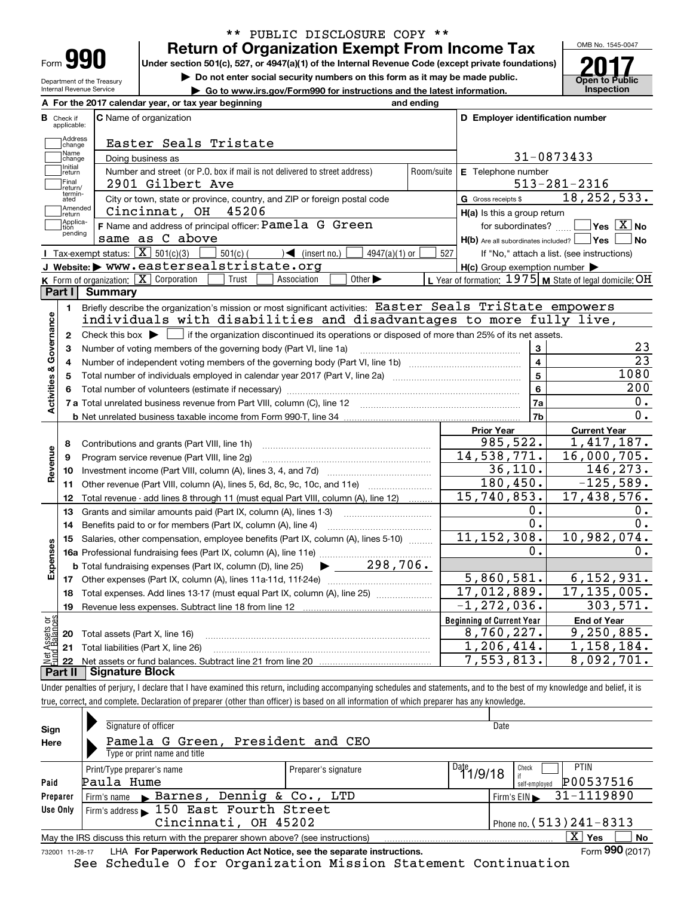| Form |  |
|------|--|

Department of the Treasury Internal Revenue Service

### **Return of Organization Exempt From Income Tax** \*\* PUBLIC DISCLOSURE COPY \*\*

**Under section 501(c), 527, or 4947(a)(1) of the Internal Revenue Code (except private foundations)**

**| Do not enter social security numbers on this form as it may be made public.**

▶ Go to www.irs.gov/Form990 for instructions and the latest information. **Inspection** 



|                         |                         | A For the 2017 calendar year, or tax year beginning                                                                                                 | and ending |                                                     |                                                           |  |  |  |  |  |
|-------------------------|-------------------------|-----------------------------------------------------------------------------------------------------------------------------------------------------|------------|-----------------------------------------------------|-----------------------------------------------------------|--|--|--|--|--|
| В                       | Check if<br>applicable: | <b>C</b> Name of organization                                                                                                                       |            | D Employer identification number                    |                                                           |  |  |  |  |  |
|                         | Address<br>change       | Easter Seals Tristate                                                                                                                               |            |                                                     |                                                           |  |  |  |  |  |
|                         | Name<br>change          | Doing business as                                                                                                                                   |            | 31-0873433                                          |                                                           |  |  |  |  |  |
|                         | Initial<br>return       | Number and street (or P.O. box if mail is not delivered to street address)                                                                          | Room/suite | E Telephone number                                  |                                                           |  |  |  |  |  |
|                         | Final<br>return/        | 2901 Gilbert Ave                                                                                                                                    |            |                                                     | $513 - 281 - 2316$                                        |  |  |  |  |  |
|                         | termin-<br>ated         | City or town, state or province, country, and ZIP or foreign postal code                                                                            |            | G Gross receipts \$                                 | 18, 252, 533.                                             |  |  |  |  |  |
|                         | Amended<br>return       | 45206<br>Cincinnat, OH                                                                                                                              |            | H(a) Is this a group return                         |                                                           |  |  |  |  |  |
|                         | Applica-<br>tion        | F Name and address of principal officer: Pamela G Green                                                                                             |            | for subordinates?                                   | $\sqrt{}$ Yes $\sqrt{}$ X $\sqrt{}$ No                    |  |  |  |  |  |
|                         | pending                 | same as C above                                                                                                                                     |            | $H(b)$ Are all subordinates included? $\Box$ Yes    | <b>No</b>                                                 |  |  |  |  |  |
|                         |                         | Tax-exempt status: $\boxed{\mathbf{X}}$ 501(c)(3)<br>$\sum$ (insert no.)<br>$501(c)$ (<br>$4947(a)(1)$ or                                           | 527        |                                                     | If "No," attach a list. (see instructions)                |  |  |  |  |  |
|                         |                         | J Website: > WWW.eastersealstristate.org                                                                                                            |            | $H(c)$ Group exemption number $\blacktriangleright$ |                                                           |  |  |  |  |  |
|                         |                         | K Form of organization: $X$ Corporation<br>Other $\blacktriangleright$<br>Trust<br>Association                                                      |            |                                                     | L Year of formation: $1975$ M State of legal domicile: OH |  |  |  |  |  |
|                         | Part I                  | <b>Summary</b>                                                                                                                                      |            |                                                     |                                                           |  |  |  |  |  |
|                         | 1.                      | Briefly describe the organization's mission or most significant activities: Easter Seals TriState empowers                                          |            |                                                     |                                                           |  |  |  |  |  |
|                         |                         | individuals with disabilities and disadvantages to more fully live,                                                                                 |            |                                                     |                                                           |  |  |  |  |  |
|                         | $\mathbf{2}$            | Check this box $\blacktriangleright$ $\blacksquare$ if the organization discontinued its operations or disposed of more than 25% of its net assets. |            |                                                     |                                                           |  |  |  |  |  |
| Activities & Governance | 3                       | Number of voting members of the governing body (Part VI, line 1a)                                                                                   |            | 3                                                   | 23                                                        |  |  |  |  |  |
|                         | 4                       |                                                                                                                                                     |            | $\overline{\mathbf{4}}$                             | $\overline{23}$                                           |  |  |  |  |  |
|                         | 5                       |                                                                                                                                                     |            | $\overline{5}$                                      | 1080                                                      |  |  |  |  |  |
|                         | 6                       |                                                                                                                                                     |            | 6                                                   | 200                                                       |  |  |  |  |  |
|                         |                         |                                                                                                                                                     | 7a         | 0.                                                  |                                                           |  |  |  |  |  |
|                         |                         |                                                                                                                                                     |            | 7b                                                  | 0.                                                        |  |  |  |  |  |
|                         |                         |                                                                                                                                                     |            | <b>Prior Year</b>                                   | <b>Current Year</b>                                       |  |  |  |  |  |
|                         | 8                       | Contributions and grants (Part VIII, line 1h)                                                                                                       |            | 985,522.                                            | 1,417,187.                                                |  |  |  |  |  |
| Revenue                 | 9                       | Program service revenue (Part VIII, line 2g)                                                                                                        |            | 14,538,771.                                         | 16,000,705.                                               |  |  |  |  |  |
|                         | 10                      |                                                                                                                                                     |            | 36, 110.                                            | 146,273.                                                  |  |  |  |  |  |
|                         | 11                      | Other revenue (Part VIII, column (A), lines 5, 6d, 8c, 9c, 10c, and 11e)                                                                            |            | 180, 450.                                           | $-125,589.$                                               |  |  |  |  |  |
|                         | 12                      | Total revenue - add lines 8 through 11 (must equal Part VIII, column (A), line 12)                                                                  |            | 15,740,853.                                         | 17,438,576.                                               |  |  |  |  |  |
|                         | 13                      | Grants and similar amounts paid (Part IX, column (A), lines 1-3)                                                                                    |            | 0.                                                  | 0.                                                        |  |  |  |  |  |
|                         | 14                      | Benefits paid to or for members (Part IX, column (A), line 4)                                                                                       |            | 0.                                                  | 0.                                                        |  |  |  |  |  |
|                         | 15                      | Salaries, other compensation, employee benefits (Part IX, column (A), lines 5-10)                                                                   |            | 11, 152, 308.                                       | 10,982,074.                                               |  |  |  |  |  |
|                         |                         |                                                                                                                                                     |            | Ο.                                                  | Ο.                                                        |  |  |  |  |  |
| Expenses                |                         | $\blacktriangleright$ 298,706.<br><b>b</b> Total fundraising expenses (Part IX, column (D), line 25)                                                |            |                                                     |                                                           |  |  |  |  |  |
|                         |                         |                                                                                                                                                     |            | 5,860,581.                                          | 6, 152, 931.                                              |  |  |  |  |  |
|                         | 18                      | Total expenses. Add lines 13-17 (must equal Part IX, column (A), line 25) [                                                                         |            | 17,012,889.                                         | 17, 135, 005.                                             |  |  |  |  |  |
|                         | 19                      |                                                                                                                                                     |            | $-1, 272, 036.$                                     | 303, 571.                                                 |  |  |  |  |  |
| ăğ                      |                         |                                                                                                                                                     |            | <b>Beginning of Current Year</b>                    | <b>End of Year</b>                                        |  |  |  |  |  |
| <b>Ssets</b><br>Balanc  |                         | <b>20</b> Total assets (Part X, line 16)                                                                                                            |            | 8,760,227.                                          | 9, 250, 885.                                              |  |  |  |  |  |
|                         |                         | 21 Total liabilities (Part X, line 26)                                                                                                              |            | 1,206,414.                                          | 1,158,184.                                                |  |  |  |  |  |
|                         | 22                      |                                                                                                                                                     |            | 7,553,813.                                          | 8,092,701.                                                |  |  |  |  |  |
|                         | Part II                 | <b>Signature Block</b>                                                                                                                              |            |                                                     |                                                           |  |  |  |  |  |

Under penalties of perjury, I declare that I have examined this return, including accompanying schedules and statements, and to the best of my knowledge and belief, it is true, correct, and complete. Declaration of preparer (other than officer) is based on all information of which preparer has any knowledge.

| Sign            | Signature of officer                                                              |                      |                    | Date                                           |
|-----------------|-----------------------------------------------------------------------------------|----------------------|--------------------|------------------------------------------------|
| Here            | Pamela G Green, President and CEO                                                 |                      |                    |                                                |
|                 | Type or print name and title                                                      |                      |                    |                                                |
|                 | Print/Type preparer's name                                                        | Preparer's signature | $1^{0}1^{1}1/9/18$ | PTIN<br>Check                                  |
| Paid            | Paula Hume                                                                        |                      |                    | P00537516<br>self-employed                     |
| Preparer        | Firm's name Barnes, Dennig & Co., LTD                                             |                      |                    | 31-1119890<br>$Firm's EIN \blacktriangleright$ |
| Use Only        | Firm's address 150 East Fourth Street                                             |                      |                    |                                                |
|                 | Cincinnati, OH 45202                                                              |                      |                    | Phone no. $(513)$ $241 - 8313$                 |
|                 | May the IRS discuss this return with the preparer shown above? (see instructions) |                      |                    | $\mathbf{x}$<br><b>No</b><br>Yes               |
| 732001 11-28-17 | LHA For Paperwork Reduction Act Notice, see the separate instructions.            |                      |                    | Form 990 (2017)                                |

See Schedule O for Organization Mission Statement Continuation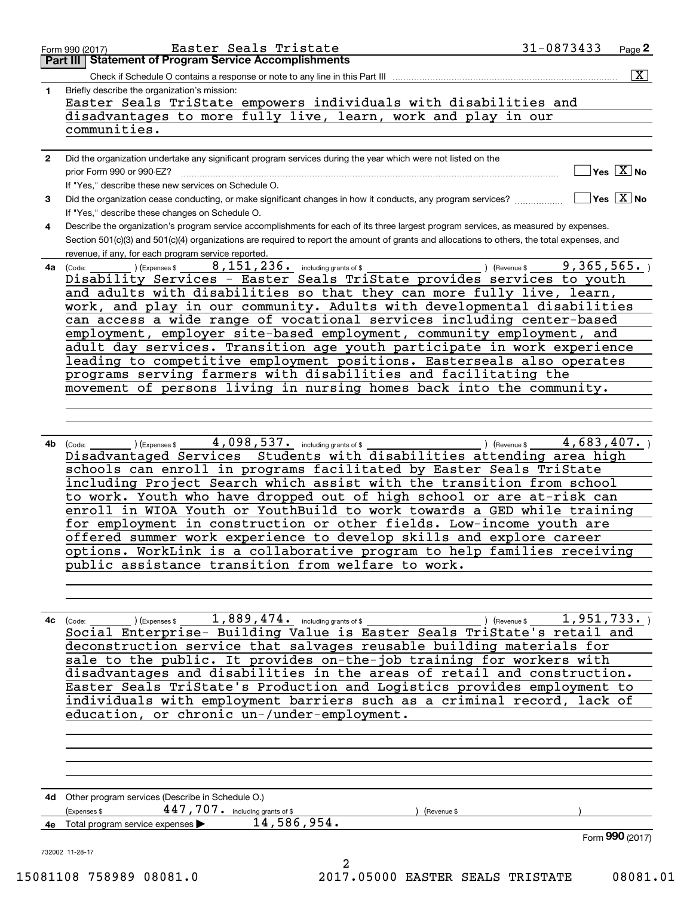|              | Easter Seals TriState empowers individuals with disabilities and<br>disadvantages to more fully live, learn, work and play in our<br>communities.                                                                                                                                                                                                                                                                                                                                                                                                                                                                                                                                                                                                                            |
|--------------|------------------------------------------------------------------------------------------------------------------------------------------------------------------------------------------------------------------------------------------------------------------------------------------------------------------------------------------------------------------------------------------------------------------------------------------------------------------------------------------------------------------------------------------------------------------------------------------------------------------------------------------------------------------------------------------------------------------------------------------------------------------------------|
| $\mathbf{2}$ | Did the organization undertake any significant program services during the year which were not listed on the<br>$]$ Yes $[\overline{\mathrm{X}}]$ No<br>prior Form 990 or 990-EZ?                                                                                                                                                                                                                                                                                                                                                                                                                                                                                                                                                                                            |
| 3            | If "Yes," describe these new services on Schedule O.<br>$\sqrt{Y}$ Yes $\boxed{X}$ No<br>Did the organization cease conducting, or make significant changes in how it conducts, any program services?                                                                                                                                                                                                                                                                                                                                                                                                                                                                                                                                                                        |
| 4            | If "Yes," describe these changes on Schedule O.<br>Describe the organization's program service accomplishments for each of its three largest program services, as measured by expenses.                                                                                                                                                                                                                                                                                                                                                                                                                                                                                                                                                                                      |
|              | Section 501(c)(3) and 501(c)(4) organizations are required to report the amount of grants and allocations to others, the total expenses, and<br>revenue, if any, for each program service reported.                                                                                                                                                                                                                                                                                                                                                                                                                                                                                                                                                                          |
| 4a l         | 8, 151, 236. including grants of \$<br>9,365,565.<br>(Code:<br>(Expenses \$<br>) (Revenue \$<br>Disability Services - Easter Seals TriState provides services to youth<br>and adults with disabilities so that they can more fully live, learn,<br>work, and play in our community. Adults with developmental disabilities<br>can access a wide range of vocational services including center-based<br>employment, employer site-based employment, community employment, and<br>adult day services. Transition age youth participate in work experience<br>leading to competitive employment positions. Easterseals also operates<br>programs serving farmers with disabilities and facilitating the<br>movement of persons living in nursing homes back into the community. |
| 4b l         | ) (Expenses \$4,098,537. including grants of \$<br>4,683,407.<br>) (Revenue \$<br>(Code:<br>Disadvantaged Services Students with disabilities attending area high<br>schools can enroll in programs facilitated by Easter Seals TriState<br>including Project Search which assist with the transition from school<br>to work. Youth who have dropped out of high school or are at-risk can<br>enroll in WIOA Youth or YouthBuild to work towards a GED while training<br>for employment in construction or other fields. Low-income youth are<br>offered summer work experience to develop skills and explore career<br>options. WorkLink is a collaborative program to help families receiving                                                                              |
| 4c           | public assistance transition from welfare to work.<br>$1,889,474.$ including grants of \$<br>1,951,733.<br>) (Expenses \$<br>(Revenue \$<br>(Code:<br>Social Enterprise- Building Value is Easter Seals TriState's retail and<br>deconstruction service that salvages reusable building materials for<br>sale to the public. It provides on-the-job training for workers with<br>disadvantages and disabilities in the areas of retail and construction.<br>Easter Seals TriState's Production and Logistics provides employment to<br>individuals with employment barriers such as a criminal record, lack of<br>education, or chronic un-/under-employment.                                                                                                                |
|              | 4d Other program services (Describe in Schedule O.)<br>447, 707. including grants of \$<br>Expenses \$<br>(Revenue \$<br>14, 586, 954.<br>4e Total program service expenses >                                                                                                                                                                                                                                                                                                                                                                                                                                                                                                                                                                                                |
|              | Form 990 (2017)<br>732002 11-28-17<br>2<br>15081108 758989 08081.0<br>2017.05000 EASTER SEALS TRISTATE<br>08081.01                                                                                                                                                                                                                                                                                                                                                                                                                                                                                                                                                                                                                                                           |
|              |                                                                                                                                                                                                                                                                                                                                                                                                                                                                                                                                                                                                                                                                                                                                                                              |

Form 990 (2017) Page **2Part III Statement of Program Service Accomplishments** Easter Seals Tristate 31-0873433 Check if Schedule O contains a response or note to any line in this Part III

 $\boxed{\text{X}}$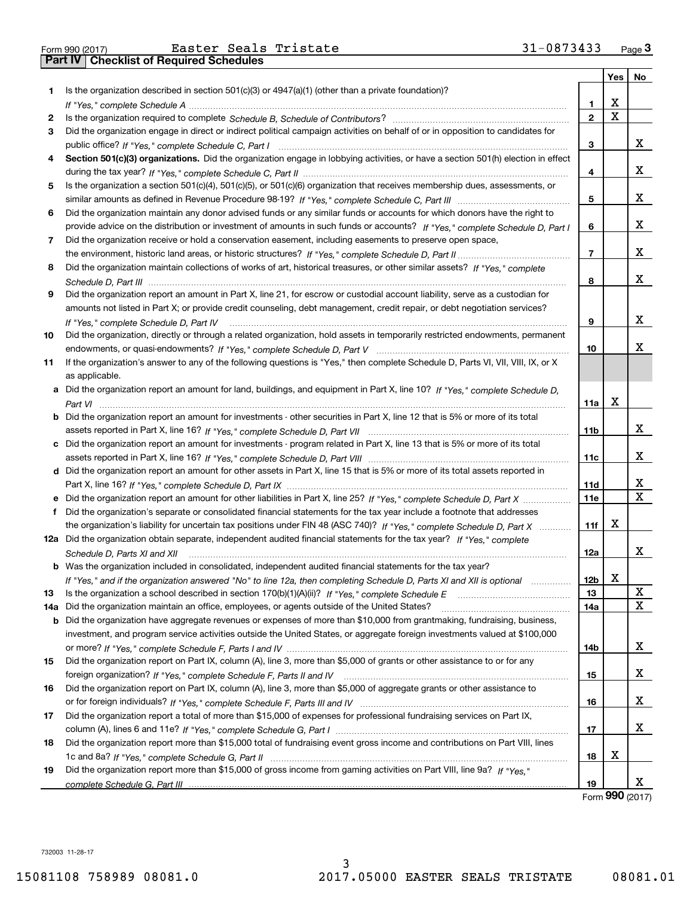|     |                                                                                                                                      |                | Yes         | No |
|-----|--------------------------------------------------------------------------------------------------------------------------------------|----------------|-------------|----|
| 1.  | Is the organization described in section $501(c)(3)$ or $4947(a)(1)$ (other than a private foundation)?                              |                |             |    |
|     |                                                                                                                                      | 1.             | X           |    |
| 2   |                                                                                                                                      | $\mathbf{2}$   | $\mathbf x$ |    |
| 3   | Did the organization engage in direct or indirect political campaign activities on behalf of or in opposition to candidates for      |                |             |    |
|     |                                                                                                                                      | 3              |             | x  |
| 4   | Section 501(c)(3) organizations. Did the organization engage in lobbying activities, or have a section 501(h) election in effect     |                |             |    |
|     |                                                                                                                                      | 4              |             | x  |
| 5   | Is the organization a section 501(c)(4), 501(c)(5), or 501(c)(6) organization that receives membership dues, assessments, or         |                |             |    |
|     |                                                                                                                                      | 5              |             | х  |
| 6   | Did the organization maintain any donor advised funds or any similar funds or accounts for which donors have the right to            |                |             |    |
|     | provide advice on the distribution or investment of amounts in such funds or accounts? If "Yes," complete Schedule D, Part I         | 6              |             | x  |
| 7   | Did the organization receive or hold a conservation easement, including easements to preserve open space,                            |                |             |    |
|     |                                                                                                                                      | $\overline{7}$ |             | x  |
| 8   | Did the organization maintain collections of works of art, historical treasures, or other similar assets? If "Yes," complete         |                |             |    |
|     |                                                                                                                                      | 8              |             | x  |
| 9   | Did the organization report an amount in Part X, line 21, for escrow or custodial account liability, serve as a custodian for        |                |             |    |
|     | amounts not listed in Part X; or provide credit counseling, debt management, credit repair, or debt negotiation services?            |                |             |    |
|     | If "Yes," complete Schedule D, Part IV                                                                                               | 9              |             | x  |
| 10  | Did the organization, directly or through a related organization, hold assets in temporarily restricted endowments, permanent        |                |             |    |
|     |                                                                                                                                      | 10             |             | x  |
| 11  | If the organization's answer to any of the following questions is "Yes," then complete Schedule D, Parts VI, VIII, VIII, IX, or X    |                |             |    |
|     | as applicable.                                                                                                                       |                |             |    |
|     | a Did the organization report an amount for land, buildings, and equipment in Part X, line 10? If "Yes," complete Schedule D,        |                |             |    |
|     |                                                                                                                                      | 11a            | Χ           |    |
|     | <b>b</b> Did the organization report an amount for investments - other securities in Part X, line 12 that is 5% or more of its total |                |             |    |
|     |                                                                                                                                      | 11b            |             | x  |
|     | c Did the organization report an amount for investments - program related in Part X, line 13 that is 5% or more of its total         |                |             |    |
|     |                                                                                                                                      | 11c            |             | x  |
|     | d Did the organization report an amount for other assets in Part X, line 15 that is 5% or more of its total assets reported in       |                |             |    |
|     |                                                                                                                                      | 11d            |             | x  |
|     | e Did the organization report an amount for other liabilities in Part X, line 25? If "Yes," complete Schedule D, Part X              | 11e            |             | X  |
| f   | Did the organization's separate or consolidated financial statements for the tax year include a footnote that addresses              |                |             |    |
|     | the organization's liability for uncertain tax positions under FIN 48 (ASC 740)? If "Yes," complete Schedule D, Part X               | 11f            | X           |    |
|     | 12a Did the organization obtain separate, independent audited financial statements for the tax year? If "Yes," complete              |                |             |    |
|     | Schedule D, Parts XI and XII                                                                                                         | 12a            |             | x  |
|     | <b>b</b> Was the organization included in consolidated, independent audited financial statements for the tax year?                   |                |             |    |
|     | If "Yes," and if the organization answered "No" to line 12a, then completing Schedule D, Parts XI and XII is optional manum          | 12b            | X           |    |
| 13  |                                                                                                                                      | 13             |             | х  |
| 14a | Did the organization maintain an office, employees, or agents outside of the United States?                                          | 14a            |             | x  |
|     | <b>b</b> Did the organization have aggregate revenues or expenses of more than \$10,000 from grantmaking, fundraising, business,     |                |             |    |
|     | investment, and program service activities outside the United States, or aggregate foreign investments valued at \$100,000           |                |             |    |
|     |                                                                                                                                      | 14b            |             | x  |
| 15  | Did the organization report on Part IX, column (A), line 3, more than \$5,000 of grants or other assistance to or for any            |                |             |    |
|     |                                                                                                                                      | 15             |             | x  |
| 16  | Did the organization report on Part IX, column (A), line 3, more than \$5,000 of aggregate grants or other assistance to             |                |             |    |
|     |                                                                                                                                      | 16             |             | x  |
| 17  | Did the organization report a total of more than \$15,000 of expenses for professional fundraising services on Part IX,              |                |             |    |
|     |                                                                                                                                      | 17             |             | x  |
| 18  | Did the organization report more than \$15,000 total of fundraising event gross income and contributions on Part VIII, lines         |                |             |    |
|     |                                                                                                                                      | 18             | х           |    |
| 19  | Did the organization report more than \$15,000 of gross income from gaming activities on Part VIII, line 9a? If "Yes."               |                |             |    |
|     |                                                                                                                                      | 19             |             | x  |

Form (2017) **990**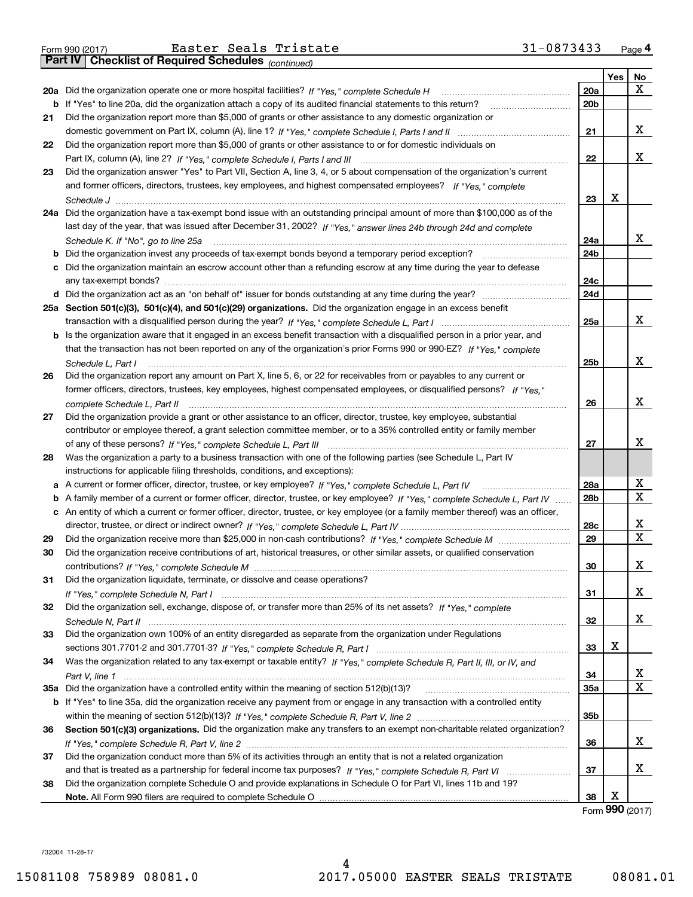*(continued)*

|    |                                                                                                                                               |            | Yes | No                |
|----|-----------------------------------------------------------------------------------------------------------------------------------------------|------------|-----|-------------------|
|    | 20a Did the organization operate one or more hospital facilities? If "Yes," complete Schedule H                                               | 20a        |     | X                 |
|    | b If "Yes" to line 20a, did the organization attach a copy of its audited financial statements to this return?                                | 20b        |     |                   |
| 21 | Did the organization report more than \$5,000 of grants or other assistance to any domestic organization or                                   |            |     |                   |
|    |                                                                                                                                               | 21         |     | х                 |
| 22 | Did the organization report more than \$5,000 of grants or other assistance to or for domestic individuals on                                 |            |     |                   |
|    |                                                                                                                                               | 22         |     | x                 |
| 23 | Did the organization answer "Yes" to Part VII, Section A, line 3, 4, or 5 about compensation of the organization's current                    |            |     |                   |
|    | and former officers, directors, trustees, key employees, and highest compensated employees? If "Yes." complete                                |            |     |                   |
|    |                                                                                                                                               | 23         | X   |                   |
|    | 24a Did the organization have a tax-exempt bond issue with an outstanding principal amount of more than \$100,000 as of the                   |            |     |                   |
|    | last day of the year, that was issued after December 31, 2002? If "Yes," answer lines 24b through 24d and complete                            |            |     |                   |
|    | Schedule K. If "No", go to line 25a                                                                                                           | 24a        |     | x                 |
| b  | Did the organization invest any proceeds of tax-exempt bonds beyond a temporary period exception?                                             | 24b        |     |                   |
| с  | Did the organization maintain an escrow account other than a refunding escrow at any time during the year to defease<br>any tax-exempt bonds? | 24c        |     |                   |
|    |                                                                                                                                               | 24d        |     |                   |
|    | 25a Section 501(c)(3), 501(c)(4), and 501(c)(29) organizations. Did the organization engage in an excess benefit                              |            |     |                   |
|    |                                                                                                                                               | 25a        |     | x                 |
| b  | Is the organization aware that it engaged in an excess benefit transaction with a disqualified person in a prior year, and                    |            |     |                   |
|    | that the transaction has not been reported on any of the organization's prior Forms 990 or 990-EZ? If "Yes," complete                         |            |     |                   |
|    | Schedule L, Part I                                                                                                                            | 25b        |     | X                 |
| 26 | Did the organization report any amount on Part X, line 5, 6, or 22 for receivables from or payables to any current or                         |            |     |                   |
|    | former officers, directors, trustees, key employees, highest compensated employees, or disqualified persons? If "Yes."                        |            |     |                   |
|    | complete Schedule L, Part II                                                                                                                  | 26         |     | X                 |
| 27 | Did the organization provide a grant or other assistance to an officer, director, trustee, key employee, substantial                          |            |     |                   |
|    | contributor or employee thereof, a grant selection committee member, or to a 35% controlled entity or family member                           |            |     |                   |
|    |                                                                                                                                               | 27         |     | X                 |
| 28 | Was the organization a party to a business transaction with one of the following parties (see Schedule L, Part IV                             |            |     |                   |
|    | instructions for applicable filing thresholds, conditions, and exceptions):                                                                   |            |     |                   |
| а  | A current or former officer, director, trustee, or key employee? If "Yes," complete Schedule L, Part IV                                       | 28a        |     | X                 |
| b  | A family member of a current or former officer, director, trustee, or key employee? If "Yes," complete Schedule L, Part IV                    | 28b        |     | X                 |
|    | c An entity of which a current or former officer, director, trustee, or key employee (or a family member thereof) was an officer,             |            |     |                   |
|    |                                                                                                                                               | 28c        |     | x<br>$\mathbf{x}$ |
| 29 |                                                                                                                                               | 29         |     |                   |
| 30 | Did the organization receive contributions of art, historical treasures, or other similar assets, or qualified conservation                   |            |     | х                 |
|    |                                                                                                                                               | 30         |     |                   |
| 31 | Did the organization liquidate, terminate, or dissolve and cease operations?                                                                  | 31         |     | x                 |
| 32 | Did the organization sell, exchange, dispose of, or transfer more than 25% of its net assets? If "Yes," complete                              |            |     |                   |
|    |                                                                                                                                               | 32         |     | x                 |
| 33 | Did the organization own 100% of an entity disregarded as separate from the organization under Regulations                                    |            |     |                   |
|    |                                                                                                                                               | 33         | х   |                   |
| 34 | Was the organization related to any tax-exempt or taxable entity? If "Yes," complete Schedule R, Part II, III, or IV, and                     |            |     |                   |
|    |                                                                                                                                               | 34         |     | X                 |
|    |                                                                                                                                               | <b>35a</b> |     | $\mathbf X$       |
|    | b If "Yes" to line 35a, did the organization receive any payment from or engage in any transaction with a controlled entity                   |            |     |                   |
|    |                                                                                                                                               | 35b        |     |                   |
| 36 | Section 501(c)(3) organizations. Did the organization make any transfers to an exempt non-charitable related organization?                    |            |     |                   |
|    |                                                                                                                                               | 36         |     | х                 |
| 37 | Did the organization conduct more than 5% of its activities through an entity that is not a related organization                              |            |     |                   |
|    |                                                                                                                                               | 37         |     | х                 |
| 38 | Did the organization complete Schedule O and provide explanations in Schedule O for Part VI, lines 11b and 19?                                |            |     |                   |
|    |                                                                                                                                               | 38         | X   |                   |

Form (2017) **990**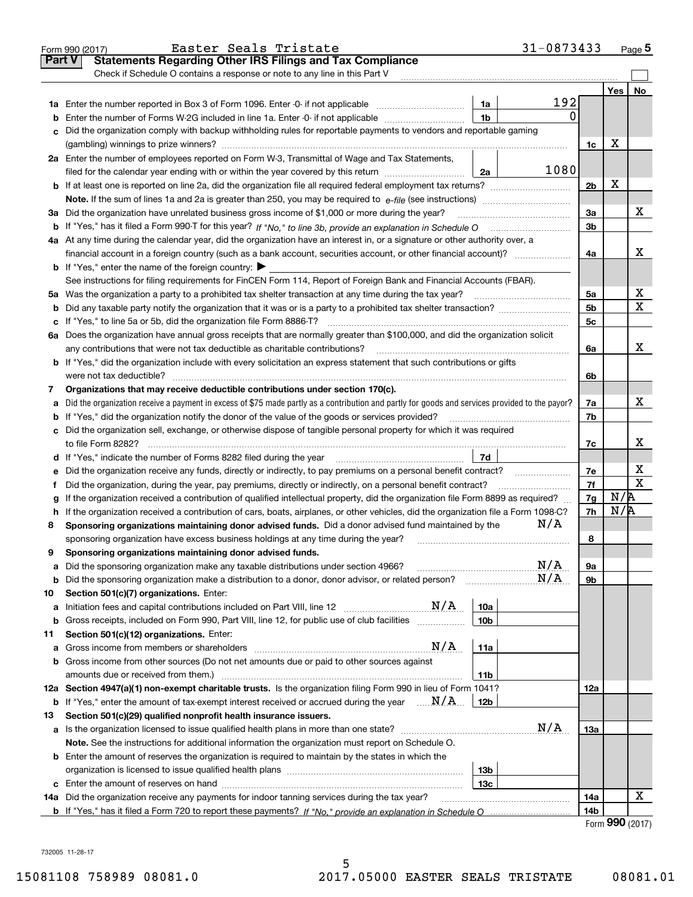|               | 31-0873433<br>Easter Seals Tristate<br>Form 990 (2017)                                                                                            |                 |                                     | $_{\text{Page}}$ 5 |
|---------------|---------------------------------------------------------------------------------------------------------------------------------------------------|-----------------|-------------------------------------|--------------------|
| <b>Part V</b> | <b>Statements Regarding Other IRS Filings and Tax Compliance</b>                                                                                  |                 |                                     |                    |
|               | Check if Schedule O contains a response or note to any line in this Part V                                                                        |                 |                                     |                    |
|               |                                                                                                                                                   |                 | Yes                                 | No                 |
|               | 192<br>1a                                                                                                                                         |                 |                                     |                    |
| b             | $\mathbf{0}$<br>1 <sub>b</sub><br>Enter the number of Forms W-2G included in line 1a. Enter -0- if not applicable                                 |                 |                                     |                    |
| c             | Did the organization comply with backup withholding rules for reportable payments to vendors and reportable gaming                                |                 |                                     |                    |
|               |                                                                                                                                                   | 1c              | х                                   |                    |
|               | 2a Enter the number of employees reported on Form W-3, Transmittal of Wage and Tax Statements,                                                    |                 |                                     |                    |
|               | 1080<br>2a<br>filed for the calendar year ending with or within the year covered by this return <i>manumumumum</i>                                |                 |                                     |                    |
|               | <b>b</b> If at least one is reported on line 2a, did the organization file all required federal employment tax returns?                           | 2 <sub>b</sub>  | X                                   |                    |
|               |                                                                                                                                                   |                 |                                     |                    |
|               | 3a Did the organization have unrelated business gross income of \$1,000 or more during the year?                                                  | 3a              |                                     | х                  |
|               |                                                                                                                                                   | 3b              |                                     |                    |
|               | 4a At any time during the calendar year, did the organization have an interest in, or a signature or other authority over, a                      |                 |                                     |                    |
|               | financial account in a foreign country (such as a bank account, securities account, or other financial account)?                                  | 4a              |                                     | x                  |
|               | <b>b</b> If "Yes," enter the name of the foreign country: $\blacktriangleright$                                                                   |                 |                                     |                    |
|               | See instructions for filing requirements for FinCEN Form 114, Report of Foreign Bank and Financial Accounts (FBAR).                               |                 |                                     |                    |
|               |                                                                                                                                                   | 5a              |                                     | х                  |
|               | Did any taxable party notify the organization that it was or is a party to a prohibited tax shelter transaction?                                  | 5 <sub>b</sub>  |                                     | х                  |
| b             |                                                                                                                                                   | 5c              |                                     |                    |
| c             |                                                                                                                                                   |                 |                                     |                    |
|               | 6a Does the organization have annual gross receipts that are normally greater than \$100,000, and did the organization solicit                    |                 |                                     | x                  |
|               |                                                                                                                                                   | 6a              |                                     |                    |
|               | <b>b</b> If "Yes," did the organization include with every solicitation an express statement that such contributions or gifts                     |                 |                                     |                    |
|               |                                                                                                                                                   | 6b              |                                     |                    |
| 7             | Organizations that may receive deductible contributions under section 170(c).                                                                     |                 |                                     | x                  |
|               | a Did the organization receive a payment in excess of \$75 made partly as a contribution and partly for goods and services provided to the payor? | 7a              |                                     |                    |
| b             | If "Yes," did the organization notify the donor of the value of the goods or services provided?                                                   | 7b              |                                     |                    |
|               | c Did the organization sell, exchange, or otherwise dispose of tangible personal property for which it was required                               |                 |                                     | х                  |
|               |                                                                                                                                                   | 7c              |                                     |                    |
|               | 7d                                                                                                                                                |                 |                                     |                    |
| е             | Did the organization receive any funds, directly or indirectly, to pay premiums on a personal benefit contract?                                   | 7e              |                                     | х<br>X             |
| f             | Did the organization, during the year, pay premiums, directly or indirectly, on a personal benefit contract?                                      | 7f              |                                     |                    |
| g             | If the organization received a contribution of qualified intellectual property, did the organization file Form 8899 as required?                  | 7g              | N/R                                 |                    |
| h.            | If the organization received a contribution of cars, boats, airplanes, or other vehicles, did the organization file a Form 1098-C?                | 7h              | N/R                                 |                    |
| 8             | N/A<br>Sponsoring organizations maintaining donor advised funds. Did a donor advised fund maintained by the                                       |                 |                                     |                    |
|               | sponsoring organization have excess business holdings at any time during the year?                                                                | 8               |                                     |                    |
|               | Sponsoring organizations maintaining donor advised funds.                                                                                         |                 |                                     |                    |
| а             | N/A<br>Did the sponsoring organization make any taxable distributions under section 4966?                                                         | 9a              |                                     |                    |
| b             | N/A<br>Did the sponsoring organization make a distribution to a donor, donor advisor, or related person?                                          | 9b              |                                     |                    |
| 10            | Section 501(c)(7) organizations. Enter:                                                                                                           |                 |                                     |                    |
| а             | N/A<br>10a<br>Initiation fees and capital contributions included on Part VIII, line 12                                                            |                 |                                     |                    |
| b             | 10 <sub>b</sub><br>Gross receipts, included on Form 990, Part VIII, line 12, for public use of club facilities                                    |                 |                                     |                    |
| 11            | Section 501(c)(12) organizations. Enter:                                                                                                          |                 |                                     |                    |
| а             | N/A<br>11a                                                                                                                                        |                 |                                     |                    |
| b             | Gross income from other sources (Do not net amounts due or paid to other sources against                                                          |                 |                                     |                    |
|               | amounts due or received from them.)<br>11b                                                                                                        |                 |                                     |                    |
|               | 12a Section 4947(a)(1) non-exempt charitable trusts. Is the organization filing Form 990 in lieu of Form 1041?                                    | 12a             |                                     |                    |
| b             | If "Yes," enter the amount of tax-exempt interest received or accrued during the year $\ldots \mathbf{N}/\mathbf{A}$ .<br>12b                     |                 |                                     |                    |
| 13            | Section 501(c)(29) qualified nonprofit health insurance issuers.                                                                                  |                 |                                     |                    |
|               | N/A<br>a Is the organization licensed to issue qualified health plans in more than one state?                                                     | 13а             |                                     |                    |
|               | Note. See the instructions for additional information the organization must report on Schedule O.                                                 |                 |                                     |                    |
|               | <b>b</b> Enter the amount of reserves the organization is required to maintain by the states in which the                                         |                 |                                     |                    |
|               | 13b                                                                                                                                               |                 |                                     |                    |
|               | 13с                                                                                                                                               |                 |                                     |                    |
|               | 14a Did the organization receive any payments for indoor tanning services during the tax year?                                                    | 14a             |                                     | x                  |
|               |                                                                                                                                                   | 14 <sub>b</sub> |                                     |                    |
|               |                                                                                                                                                   |                 | $F_{\text{arm}}$ QQ $\Omega$ (2017) |                    |

| Form 990 (2017) |  |
|-----------------|--|
|-----------------|--|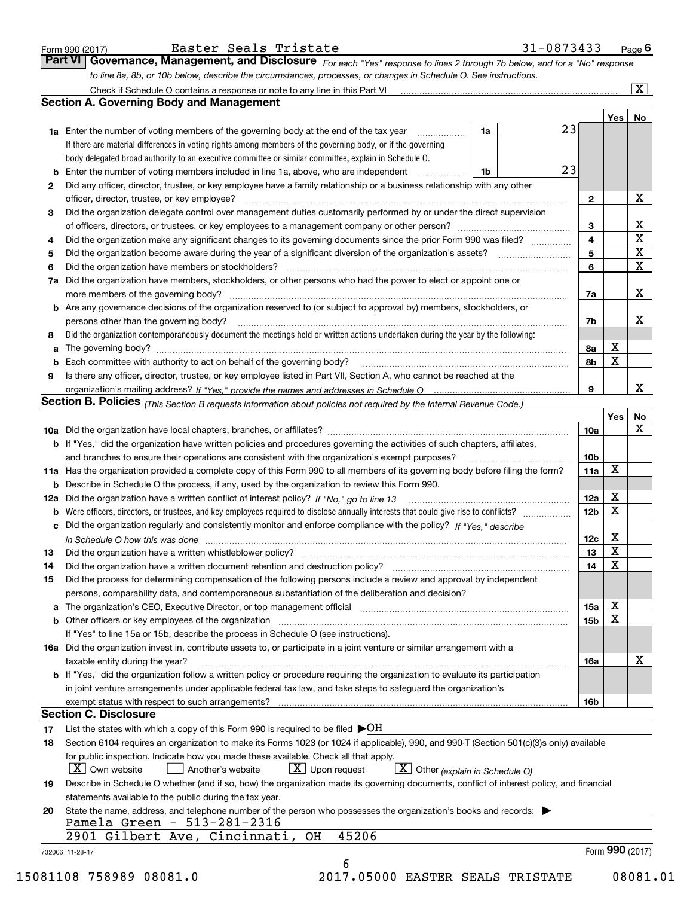| Form 990 (2017 |  |  |
|----------------|--|--|
|                |  |  |

| Easter Seals Tristate |  |
|-----------------------|--|
|-----------------------|--|

*For each "Yes" response to lines 2 through 7b below, and for a "No" response to line 8a, 8b, or 10b below, describe the circumstances, processes, or changes in Schedule O. See instructions.* Form 990 (2017) **Easter Seals Tristate** 31–0873433 Page **6**<br>**Part VI Governance, Management, and Disclosure** For each "Yes" response to lines 2 through 7b below, and for a "No" response Check if Schedule O contains a response or note to any line in this Part VI

|    |                                                                                                                                                                               |    |                 | Yes   No |             |
|----|-------------------------------------------------------------------------------------------------------------------------------------------------------------------------------|----|-----------------|----------|-------------|
|    | <b>1a</b> Enter the number of voting members of the governing body at the end of the tax year                                                                                 | 1a | 23              |          |             |
|    | If there are material differences in voting rights among members of the governing body, or if the governing                                                                   |    |                 |          |             |
|    | body delegated broad authority to an executive committee or similar committee, explain in Schedule O.                                                                         |    |                 |          |             |
|    | <b>b</b> Enter the number of voting members included in line 1a, above, who are independent <i>manumum</i>                                                                    | 1b | 23              |          |             |
| 2  | Did any officer, director, trustee, or key employee have a family relationship or a business relationship with any other                                                      |    |                 |          |             |
|    | officer, director, trustee, or key employee?                                                                                                                                  |    | $\mathbf{2}$    |          | X           |
| 3  | Did the organization delegate control over management duties customarily performed by or under the direct supervision                                                         |    |                 |          |             |
|    |                                                                                                                                                                               |    | 3               |          | X           |
| 4  | Did the organization make any significant changes to its governing documents since the prior Form 990 was filed?                                                              |    | $\overline{4}$  |          | $\mathbf X$ |
| 5  |                                                                                                                                                                               |    | 5               |          | $\mathbf X$ |
| 6  |                                                                                                                                                                               |    | 6               |          | $\mathbf X$ |
| 7a | Did the organization have members, stockholders, or other persons who had the power to elect or appoint one or                                                                |    |                 |          |             |
|    |                                                                                                                                                                               |    | 7a              |          | х           |
|    | <b>b</b> Are any governance decisions of the organization reserved to (or subject to approval by) members, stockholders, or                                                   |    |                 |          |             |
|    | persons other than the governing body?                                                                                                                                        |    | 7b              |          | х           |
| 8  | Did the organization contemporaneously document the meetings held or written actions undertaken during the year by the following:                                             |    |                 |          |             |
| a  |                                                                                                                                                                               |    | 8a              | X        |             |
|    |                                                                                                                                                                               |    | 8b              | X        |             |
| 9  | Is there any officer, director, trustee, or key employee listed in Part VII, Section A, who cannot be reached at the                                                          |    |                 |          |             |
|    |                                                                                                                                                                               |    | 9               |          | x           |
|    | Section B. Policies (This Section B requests information about policies not required by the Internal Revenue Code.)                                                           |    |                 |          |             |
|    |                                                                                                                                                                               |    |                 | Yes      | No          |
|    |                                                                                                                                                                               |    | 10a             |          | X           |
|    | <b>b</b> If "Yes," did the organization have written policies and procedures governing the activities of such chapters, affiliates,                                           |    |                 |          |             |
|    |                                                                                                                                                                               |    | 10 <sub>b</sub> |          |             |
|    | 11a Has the organization provided a complete copy of this Form 990 to all members of its governing body before filing the form?                                               |    | 11a             | X        |             |
|    | <b>b</b> Describe in Schedule O the process, if any, used by the organization to review this Form 990.                                                                        |    |                 |          |             |
|    |                                                                                                                                                                               |    | 12a             | X        |             |
| b  |                                                                                                                                                                               |    | 12 <sub>b</sub> | X        |             |
|    | c Did the organization regularly and consistently monitor and enforce compliance with the policy? If "Yes." describe                                                          |    |                 |          |             |
|    | in Schedule O how this was done manufactured and continuum control of the Schedule O how this was done manufactured and continuum control of the Schedule O how this was done |    | 12c             | X        |             |
| 13 |                                                                                                                                                                               |    | 13              | X        |             |
| 14 | Did the organization have a written document retention and destruction policy? manufactured and the organization have a written document retention and destruction policy?    |    | 14              | X        |             |
| 15 | Did the process for determining compensation of the following persons include a review and approval by independent                                                            |    |                 |          |             |
|    | persons, comparability data, and contemporaneous substantiation of the deliberation and decision?                                                                             |    |                 |          |             |
|    |                                                                                                                                                                               |    | 15a             | X        |             |
|    |                                                                                                                                                                               |    | 15 <sub>b</sub> | X        |             |
|    | If "Yes" to line 15a or 15b, describe the process in Schedule O (see instructions).                                                                                           |    |                 |          |             |
|    | 16a Did the organization invest in, contribute assets to, or participate in a joint venture or similar arrangement with a                                                     |    |                 |          |             |
|    |                                                                                                                                                                               |    |                 |          | X           |
|    | taxable entity during the year?<br>b If "Yes," did the organization follow a written policy or procedure requiring the organization to evaluate its participation             |    | 16a             |          |             |
|    |                                                                                                                                                                               |    |                 |          |             |
|    | in joint venture arrangements under applicable federal tax law, and take steps to safeguard the organization's                                                                |    |                 |          |             |
|    | exempt status with respect to such arrangements?<br><b>Section C. Disclosure</b>                                                                                              |    | 16 <sub>b</sub> |          |             |
|    | List the states with which a copy of this Form 990 is required to be filed $\blacktriangleright$ OH                                                                           |    |                 |          |             |
| 17 |                                                                                                                                                                               |    |                 |          |             |
| 18 | Section 6104 requires an organization to make its Forms 1023 (or 1024 if applicable), 990, and 990-T (Section 501(c)(3)s only) available                                      |    |                 |          |             |
|    | for public inspection. Indicate how you made these available. Check all that apply.                                                                                           |    |                 |          |             |
|    | $\boxed{\mathbf{X}}$ Other (explain in Schedule O)<br>$\lfloor x \rfloor$ Own website<br>$X$ Upon request<br>Another's website                                                |    |                 |          |             |
| 19 | Describe in Schedule O whether (and if so, how) the organization made its governing documents, conflict of interest policy, and financial                                     |    |                 |          |             |
|    | statements available to the public during the tax year.                                                                                                                       |    |                 |          |             |
| 20 | State the name, address, and telephone number of the person who possesses the organization's books and records:<br>Pamela Green - 513-281-2316                                |    |                 |          |             |
|    | 45206<br>2901 Gilbert Ave, Cincinnati,<br>OH                                                                                                                                  |    |                 |          |             |
|    |                                                                                                                                                                               |    |                 |          |             |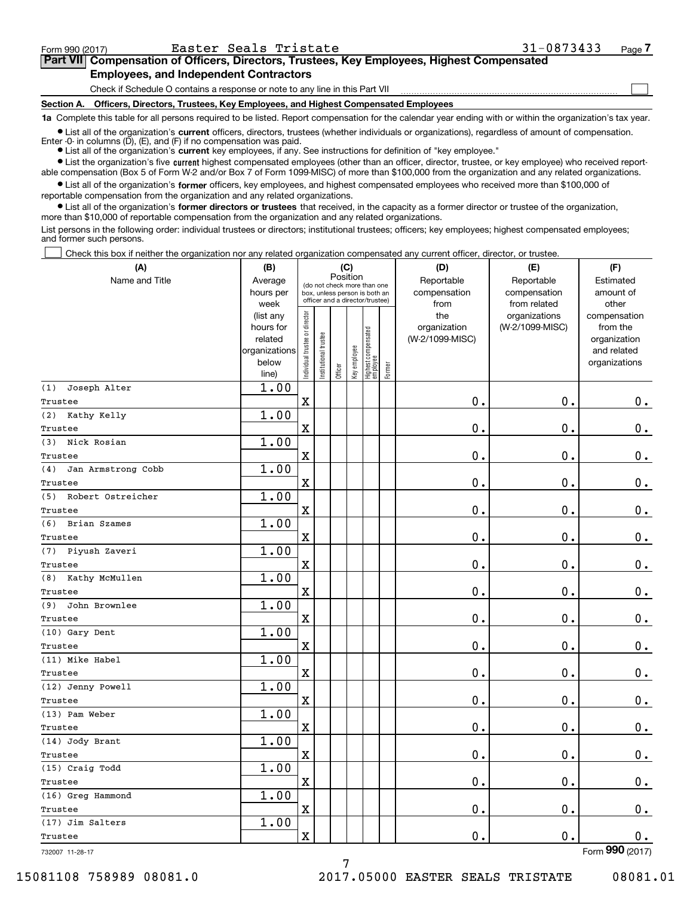$\mathcal{L}^{\text{max}}$ 

| Form 990 (2017) |                                               | Easter Seals Tristate | 31-0873433                                                                                 | Page 7 |
|-----------------|-----------------------------------------------|-----------------------|--------------------------------------------------------------------------------------------|--------|
|                 |                                               |                       | Part VII Compensation of Officers, Directors, Trustees, Key Employees, Highest Compensated |        |
|                 | <b>Employees, and Independent Contractors</b> |                       |                                                                                            |        |

Check if Schedule O contains a response or note to any line in this Part VII

**Section A. Officers, Directors, Trustees, Key Employees, and Highest Compensated Employees**

**1a**  Complete this table for all persons required to be listed. Report compensation for the calendar year ending with or within the organization's tax year.

**•** List all of the organization's current officers, directors, trustees (whether individuals or organizations), regardless of amount of compensation. Enter -0- in columns  $(D)$ ,  $(E)$ , and  $(F)$  if no compensation was paid.

● List all of the organization's **current** key employees, if any. See instructions for definition of "key employee."

**•** List the organization's five current highest compensated employees (other than an officer, director, trustee, or key employee) who received reportable compensation (Box 5 of Form W-2 and/or Box 7 of Form 1099-MISC) of more than \$100,000 from the organization and any related organizations.

 $\bullet$  List all of the organization's **former** officers, key employees, and highest compensated employees who received more than \$100,000 of reportable compensation from the organization and any related organizations.

**•** List all of the organization's former directors or trustees that received, in the capacity as a former director or trustee of the organization, more than \$10,000 of reportable compensation from the organization and any related organizations.

List persons in the following order: individual trustees or directors; institutional trustees; officers; key employees; highest compensated employees; and former such persons.

Check this box if neither the organization nor any related organization compensated any current officer, director, or trustee.  $\mathcal{L}^{\text{max}}$ 

| (A)                       | (B)            | (C)                            |                                 |          |              |                                  | (D)    | (E)             | (F)             |               |
|---------------------------|----------------|--------------------------------|---------------------------------|----------|--------------|----------------------------------|--------|-----------------|-----------------|---------------|
| Name and Title            | Average        |                                | (do not check more than one     | Position |              |                                  |        | Reportable      | Reportable      | Estimated     |
|                           | hours per      |                                | box, unless person is both an   |          |              |                                  |        | compensation    | compensation    | amount of     |
|                           | week           |                                | officer and a director/trustee) |          |              |                                  |        | from            | from related    | other         |
|                           | (list any      |                                |                                 |          |              |                                  |        | the             | organizations   | compensation  |
|                           | hours for      |                                |                                 |          |              |                                  |        | organization    | (W-2/1099-MISC) | from the      |
|                           | related        |                                |                                 |          |              |                                  |        | (W-2/1099-MISC) |                 | organization  |
|                           | organizations  |                                |                                 |          |              |                                  |        |                 |                 | and related   |
|                           | below<br>line) | Individual trustee or director | nstitutional trustee            | Officer  | Key employee | Highest compensated<br> employee | Former |                 |                 | organizations |
| Joseph Alter<br>(1)       | 1.00           |                                |                                 |          |              |                                  |        |                 |                 |               |
| Trustee                   |                | $\overline{\textbf{X}}$        |                                 |          |              |                                  |        | 0.              | $\mathbf 0$ .   | $\mathbf 0$ . |
| (2) Kathy Kelly           | 1.00           |                                |                                 |          |              |                                  |        |                 |                 |               |
| Trustee                   |                | $\overline{\mathbf{X}}$        |                                 |          |              |                                  |        | 0.              | $\mathbf 0$ .   | 0.            |
| Nick Rosian<br>(3)        | 1.00           |                                |                                 |          |              |                                  |        |                 |                 |               |
| Trustee                   |                | $\rm X$                        |                                 |          |              |                                  |        | $\mathbf 0$ .   | $\mathbf 0$ .   | 0.            |
| (4)<br>Jan Armstrong Cobb | 1.00           |                                |                                 |          |              |                                  |        |                 |                 |               |
| Trustee                   |                | X                              |                                 |          |              |                                  |        | 0.              | $\mathbf 0$ .   | 0.            |
| (5)<br>Robert Ostreicher  | 1.00           |                                |                                 |          |              |                                  |        |                 |                 |               |
| Trustee                   |                | $\overline{\mathbf{X}}$        |                                 |          |              |                                  |        | 0.              | $\mathbf 0$ .   | $\mathbf 0$ . |
| (6)<br>Brian Szames       | 1.00           |                                |                                 |          |              |                                  |        |                 |                 |               |
| Trustee                   |                | $\overline{\mathbf{X}}$        |                                 |          |              |                                  |        | 0.              | $\mathbf 0$ .   | $\mathbf 0$ . |
| (7) Piyush Zaveri         | 1.00           |                                |                                 |          |              |                                  |        |                 |                 |               |
| Trustee                   |                | X                              |                                 |          |              |                                  |        | $\mathbf 0$ .   | $\mathbf 0$ .   | $0_{.}$       |
| Kathy McMullen<br>(8)     | 1.00           |                                |                                 |          |              |                                  |        |                 |                 |               |
| Trustee                   |                | $\overline{\mathbf{X}}$        |                                 |          |              |                                  |        | 0.              | $\mathbf 0$ .   | $\mathbf 0$ . |
| John Brownlee<br>(9)      | 1.00           |                                |                                 |          |              |                                  |        |                 |                 |               |
| Trustee                   |                | $\mathbf X$                    |                                 |          |              |                                  |        | 0.              | $\mathbf 0$ .   | $\mathbf 0$ . |
| (10) Gary Dent            | 1.00           |                                |                                 |          |              |                                  |        |                 |                 |               |
| Trustee                   |                | $\overline{\mathbf{X}}$        |                                 |          |              |                                  |        | 0.              | $\mathbf 0$ .   | $\mathbf 0$ . |
| (11) Mike Habel           | 1.00           |                                |                                 |          |              |                                  |        |                 |                 |               |
| Trustee                   |                | $\rm X$                        |                                 |          |              |                                  |        | 0.              | $\mathbf 0$ .   | 0.            |
| (12) Jenny Powell         | 1.00           |                                |                                 |          |              |                                  |        |                 |                 |               |
| Trustee                   |                | $\overline{\mathbf{X}}$        |                                 |          |              |                                  |        | 0.              | $\mathbf{0}$ .  | 0.            |
| (13) Pam Weber            | 1.00           |                                |                                 |          |              |                                  |        |                 |                 |               |
| Trustee                   |                | $\mathbf X$                    |                                 |          |              |                                  |        | 0.              | 0.              | $\mathbf 0$ . |
| (14) Jody Brant           | 1.00           |                                |                                 |          |              |                                  |        |                 |                 |               |
| Trustee                   |                | $\overline{\mathbf{X}}$        |                                 |          |              |                                  |        | 0.              | 0.              | $\mathbf 0$ . |
| (15) Craig Todd           | 1.00           |                                |                                 |          |              |                                  |        |                 |                 |               |
| Trustee                   |                | $\overline{\mathbf{X}}$        |                                 |          |              |                                  |        | $\mathbf 0$ .   | $\mathbf 0$ .   | $\mathbf 0$ . |
| (16) Greg Hammond         | 1.00           |                                |                                 |          |              |                                  |        |                 |                 |               |
| Trustee                   |                | $\mathbf X$                    |                                 |          |              |                                  |        | 0.              | 0.              | 0.            |
| (17) Jim Salters          | 1.00           | $\overline{\textbf{X}}$        |                                 |          |              |                                  |        | 0.              | $\mathbf 0$ .   |               |
| Trustee                   |                |                                |                                 |          |              |                                  |        |                 |                 | 0.            |

7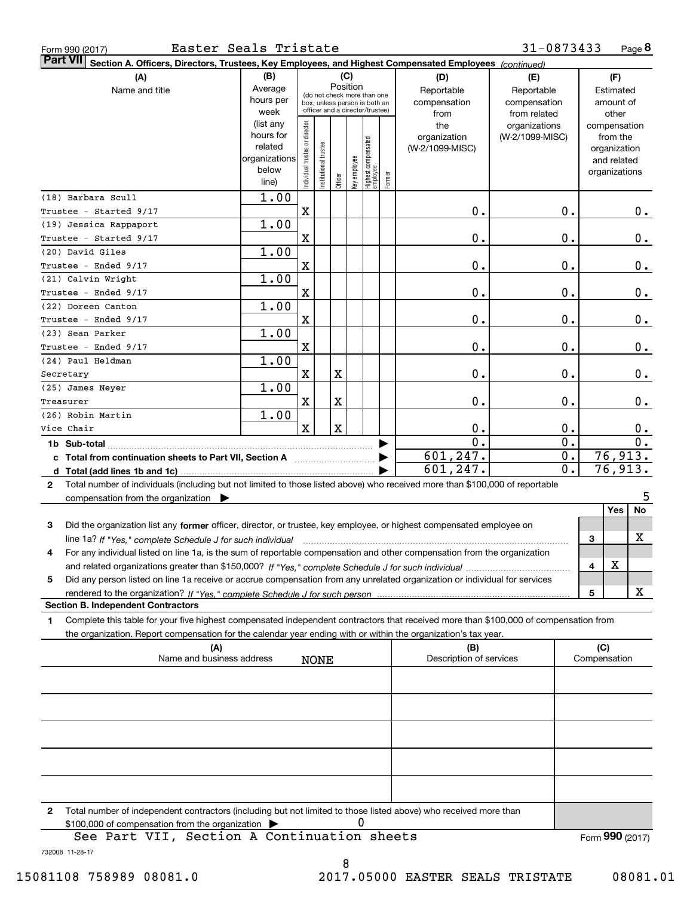| Form 990 (2017) |  |  |
|-----------------|--|--|
|                 |  |  |

| <b>Part VII</b><br>Section A. Officers, Directors, Trustees, Key Employees, and Highest Compensated Employees (continued)                    |                        |                                |                                                              |         |              |                                   |              |                         |                 |                              |              |                  |  |
|----------------------------------------------------------------------------------------------------------------------------------------------|------------------------|--------------------------------|--------------------------------------------------------------|---------|--------------|-----------------------------------|--------------|-------------------------|-----------------|------------------------------|--------------|------------------|--|
| (A)                                                                                                                                          | (B)                    |                                |                                                              |         | (C)          |                                   |              | (D)                     | (E)             |                              | (F)          |                  |  |
| Name and title                                                                                                                               | Average                |                                | Position                                                     |         |              | Reportable                        | Reportable   | Estimated               |                 |                              |              |                  |  |
|                                                                                                                                              | hours per              |                                | (do not check more than one<br>box, unless person is both an |         |              | compensation                      | compensation |                         | amount of       |                              |              |                  |  |
|                                                                                                                                              | week                   |                                | officer and a director/trustee)                              |         |              |                                   |              | from<br>from related    |                 |                              | other        |                  |  |
|                                                                                                                                              | (list any              |                                |                                                              |         |              |                                   |              | the                     | organizations   |                              | compensation |                  |  |
|                                                                                                                                              | hours for              |                                |                                                              |         |              |                                   |              | organization            | (W-2/1099-MISC) |                              | from the     |                  |  |
|                                                                                                                                              | related                |                                |                                                              |         |              |                                   |              | (W-2/1099-MISC)         |                 |                              | organization |                  |  |
|                                                                                                                                              | organizations<br>below |                                |                                                              |         |              |                                   |              |                         |                 | and related<br>organizations |              |                  |  |
|                                                                                                                                              | line)                  | Individual trustee or director | Institutional trustee                                        | Officer | Key employee | Highest compensated<br>  employee | Former       |                         |                 |                              |              |                  |  |
| (18) Barbara Scull                                                                                                                           | 1.00                   |                                |                                                              |         |              |                                   |              |                         |                 |                              |              |                  |  |
| Trustee - Started 9/17                                                                                                                       |                        | $\mathbf X$                    |                                                              |         |              |                                   |              | 0.                      |                 | 0.                           |              | $0_{.}$          |  |
| (19) Jessica Rappaport                                                                                                                       | 1.00                   |                                |                                                              |         |              |                                   |              |                         |                 |                              |              |                  |  |
| Trustee - Started 9/17                                                                                                                       |                        | $\mathbf X$                    |                                                              |         |              |                                   |              | 0.                      |                 | 0.                           |              | 0.               |  |
| (20) David Giles                                                                                                                             | 1.00                   |                                |                                                              |         |              |                                   |              |                         |                 |                              |              |                  |  |
| Trustee - Ended 9/17                                                                                                                         |                        | $\mathbf X$                    |                                                              |         |              |                                   |              | $\mathbf 0$ .           |                 | 0.                           |              | $\pmb{0}$ .      |  |
| (21) Calvin Wright                                                                                                                           |                        |                                |                                                              |         |              |                                   |              |                         |                 |                              |              |                  |  |
|                                                                                                                                              | 1.00                   |                                |                                                              |         |              |                                   |              |                         |                 |                              |              |                  |  |
| Trustee - Ended 9/17                                                                                                                         |                        | $\mathbf X$                    |                                                              |         |              |                                   |              | 0.                      |                 | 0.                           |              | $\pmb{0}$ .      |  |
| (22) Doreen Canton                                                                                                                           | 1.00                   |                                |                                                              |         |              |                                   |              |                         |                 |                              |              |                  |  |
| Trustee - Ended 9/17                                                                                                                         |                        | $\mathbf X$                    |                                                              |         |              |                                   |              | 0.                      |                 | 0.                           |              | $0_{.}$          |  |
| (23) Sean Parker                                                                                                                             | 1.00                   |                                |                                                              |         |              |                                   |              |                         |                 |                              |              |                  |  |
| Trustee - Ended 9/17                                                                                                                         |                        | $\mathbf X$                    |                                                              |         |              |                                   |              | 0.                      |                 | 0.                           |              | 0.               |  |
| (24) Paul Heldman                                                                                                                            | 1.00                   |                                |                                                              |         |              |                                   |              |                         |                 |                              |              |                  |  |
| Secretary                                                                                                                                    |                        | $\mathbf X$                    |                                                              | X       |              |                                   |              | 0.                      |                 | 0.                           |              | $0_{.}$          |  |
| (25) James Neyer                                                                                                                             | 1.00                   |                                |                                                              |         |              |                                   |              |                         |                 |                              |              |                  |  |
| Treasurer                                                                                                                                    |                        | X                              |                                                              | X       |              |                                   |              | 0.                      |                 | $0$ .                        |              | 0.               |  |
| (26) Robin Martin                                                                                                                            | 1.00                   |                                |                                                              |         |              |                                   |              |                         |                 |                              |              |                  |  |
| Vice Chair                                                                                                                                   |                        | $\mathbf x$                    |                                                              | X       |              |                                   |              | 0.                      |                 | 0.                           |              | $\mathbf 0$ .    |  |
| 1b Sub-total                                                                                                                                 |                        |                                |                                                              |         |              |                                   |              | 0.                      |                 | $\overline{0}$ .             |              | $\overline{0}$ . |  |
|                                                                                                                                              |                        |                                |                                                              |         |              |                                   |              | 601,247.                |                 | $\overline{0}$ .             |              | 76,913.          |  |
|                                                                                                                                              |                        |                                |                                                              |         |              |                                   |              | 601, 247.               |                 | $\overline{0}$ .             |              | 76,913.          |  |
| Total number of individuals (including but not limited to those listed above) who received more than \$100,000 of reportable<br>$\mathbf{2}$ |                        |                                |                                                              |         |              |                                   |              |                         |                 |                              |              |                  |  |
| compensation from the organization $\blacktriangleright$                                                                                     |                        |                                |                                                              |         |              |                                   |              |                         |                 |                              |              | 5                |  |
|                                                                                                                                              |                        |                                |                                                              |         |              |                                   |              |                         |                 |                              | Yes          | No               |  |
| Did the organization list any former officer, director, or trustee, key employee, or highest compensated employee on<br>3                    |                        |                                |                                                              |         |              |                                   |              |                         |                 |                              |              |                  |  |
| line 1a? If "Yes," complete Schedule J for such individual                                                                                   |                        |                                |                                                              |         |              |                                   |              |                         |                 |                              | 3            | х                |  |
| For any individual listed on line 1a, is the sum of reportable compensation and other compensation from the organization<br>4                |                        |                                |                                                              |         |              |                                   |              |                         |                 |                              |              |                  |  |
|                                                                                                                                              |                        |                                |                                                              |         |              |                                   |              |                         |                 |                              | X<br>4       |                  |  |
| Did any person listed on line 1a receive or accrue compensation from any unrelated organization or individual for services<br>5              |                        |                                |                                                              |         |              |                                   |              |                         |                 |                              |              |                  |  |
|                                                                                                                                              |                        |                                |                                                              |         |              |                                   |              |                         |                 |                              | 5            | x                |  |
| <b>Section B. Independent Contractors</b>                                                                                                    |                        |                                |                                                              |         |              |                                   |              |                         |                 |                              |              |                  |  |
| Complete this table for your five highest compensated independent contractors that received more than \$100,000 of compensation from<br>1    |                        |                                |                                                              |         |              |                                   |              |                         |                 |                              |              |                  |  |
| the organization. Report compensation for the calendar year ending with or within the organization's tax year.                               |                        |                                |                                                              |         |              |                                   |              |                         |                 |                              |              |                  |  |
| (A)                                                                                                                                          |                        |                                |                                                              |         |              |                                   |              | (B)                     |                 |                              | (C)          |                  |  |
| Name and business address                                                                                                                    |                        |                                | <b>NONE</b>                                                  |         |              |                                   |              | Description of services |                 |                              | Compensation |                  |  |
|                                                                                                                                              |                        |                                |                                                              |         |              |                                   |              |                         |                 |                              |              |                  |  |
|                                                                                                                                              |                        |                                |                                                              |         |              |                                   |              |                         |                 |                              |              |                  |  |
|                                                                                                                                              |                        |                                |                                                              |         |              |                                   |              |                         |                 |                              |              |                  |  |
|                                                                                                                                              |                        |                                |                                                              |         |              |                                   |              |                         |                 |                              |              |                  |  |
|                                                                                                                                              |                        |                                |                                                              |         |              |                                   |              |                         |                 |                              |              |                  |  |
|                                                                                                                                              |                        |                                |                                                              |         |              |                                   |              |                         |                 |                              |              |                  |  |
|                                                                                                                                              |                        |                                |                                                              |         |              |                                   |              |                         |                 |                              |              |                  |  |
|                                                                                                                                              |                        |                                |                                                              |         |              |                                   |              |                         |                 |                              |              |                  |  |
|                                                                                                                                              |                        |                                |                                                              |         |              |                                   |              |                         |                 |                              |              |                  |  |
|                                                                                                                                              |                        |                                |                                                              |         |              |                                   |              |                         |                 |                              |              |                  |  |
| 2<br>Total number of independent contractors (including but not limited to those listed above) who received more than                        |                        |                                |                                                              |         |              |                                   |              |                         |                 |                              |              |                  |  |
| \$100,000 of compensation from the organization                                                                                              |                        |                                |                                                              |         | 0            |                                   |              |                         |                 |                              |              |                  |  |

See Part VII, Section A Continuation sheets

Form (2017) **990**

732008 11-28-17

8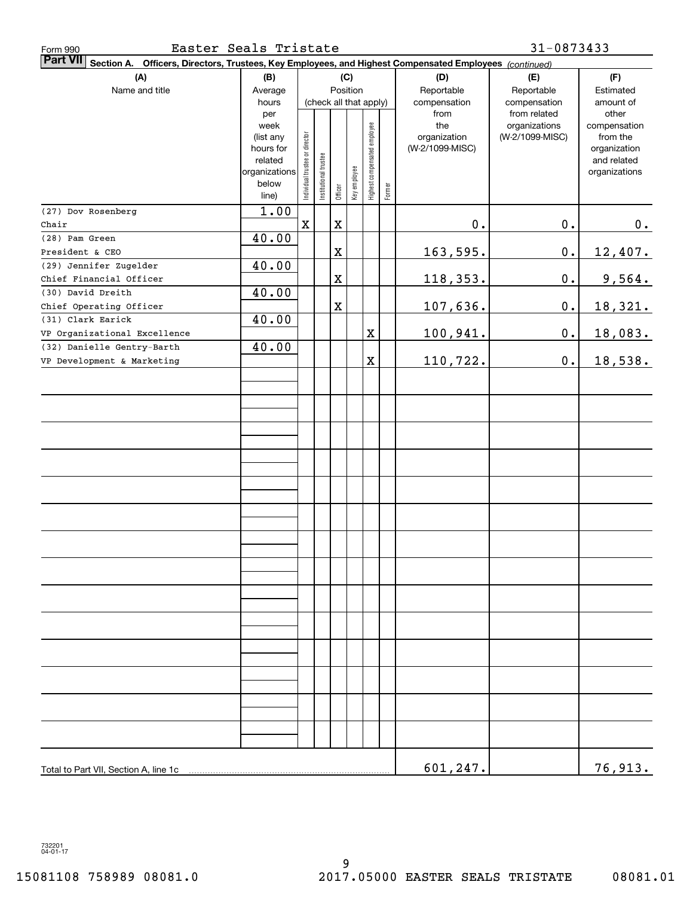| Easter Seals Tristate<br>Form 990                                                                                     |               |                                |                        |             |              |                              |        |                 | 31-0873433                    |                       |
|-----------------------------------------------------------------------------------------------------------------------|---------------|--------------------------------|------------------------|-------------|--------------|------------------------------|--------|-----------------|-------------------------------|-----------------------|
| Part VII<br>Officers, Directors, Trustees, Key Employees, and Highest Compensated Employees (continued)<br>Section A. |               |                                |                        |             |              |                              |        |                 |                               |                       |
| (A)                                                                                                                   | (B)           | (C)                            |                        |             |              |                              |        | (D)             | (E)                           | (F)                   |
| Name and title                                                                                                        | Average       |                                | Position               |             |              |                              |        | Reportable      | Reportable<br>compensation    | Estimated             |
|                                                                                                                       | hours         |                                | (check all that apply) |             |              |                              |        | compensation    |                               | amount of             |
|                                                                                                                       | per<br>week   |                                |                        |             |              |                              |        | from<br>the     | from related<br>organizations | other<br>compensation |
|                                                                                                                       | (list any     |                                |                        |             |              |                              |        | organization    | (W-2/1099-MISC)               | from the              |
|                                                                                                                       | hours for     |                                |                        |             |              |                              |        | (W-2/1099-MISC) |                               | organization          |
|                                                                                                                       | related       |                                |                        |             |              |                              |        |                 |                               | and related           |
|                                                                                                                       | organizations |                                |                        |             |              |                              |        |                 |                               | organizations         |
|                                                                                                                       | below         | Individual trustee or director | nstitutional trustee   | Officer     | Key employee | Highest compensated employee | Former |                 |                               |                       |
| (27) Dov Rosenberg                                                                                                    | line)<br>1.00 |                                |                        |             |              |                              |        |                 |                               |                       |
| Chair                                                                                                                 |               | $\mathbf X$                    |                        | $\mathbf X$ |              |                              |        | 0.              | $0$ .                         | 0.                    |
| (28) Pam Green                                                                                                        | 40.00         |                                |                        |             |              |                              |        |                 |                               |                       |
| President & CEO                                                                                                       |               |                                |                        | $\mathbf X$ |              |                              |        | 163,595.        | $\mathbf 0$ .                 | 12,407.               |
| (29) Jennifer Zugelder                                                                                                | 40.00         |                                |                        |             |              |                              |        |                 |                               |                       |
| Chief Financial Officer                                                                                               |               |                                |                        | $\mathbf X$ |              |                              |        | 118,353.        | $\mathbf 0$ .                 | 9,564.                |
| (30) David Dreith                                                                                                     | 40.00         |                                |                        |             |              |                              |        |                 |                               |                       |
| Chief Operating Officer                                                                                               |               |                                |                        | $\mathbf X$ |              |                              |        | 107,636.        | 0.                            | 18,321.               |
| (31) Clark Earick                                                                                                     | 40.00         |                                |                        |             |              |                              |        |                 |                               |                       |
| VP Organizational Excellence                                                                                          |               |                                |                        |             |              | $\mathbf X$                  |        | 100,941.        | 0.                            | 18,083.               |
| (32) Danielle Gentry-Barth                                                                                            | 40.00         |                                |                        |             |              |                              |        |                 |                               |                       |
| VP Development & Marketing                                                                                            |               |                                |                        |             |              | X                            |        | 110,722.        | 0.                            | 18,538.               |
|                                                                                                                       |               |                                |                        |             |              |                              |        |                 |                               |                       |
|                                                                                                                       |               |                                |                        |             |              |                              |        |                 |                               |                       |
|                                                                                                                       |               |                                |                        |             |              |                              |        |                 |                               |                       |
|                                                                                                                       |               |                                |                        |             |              |                              |        |                 |                               |                       |
|                                                                                                                       |               |                                |                        |             |              |                              |        |                 |                               |                       |
|                                                                                                                       |               |                                |                        |             |              |                              |        |                 |                               |                       |
|                                                                                                                       |               |                                |                        |             |              |                              |        |                 |                               |                       |
|                                                                                                                       |               |                                |                        |             |              |                              |        |                 |                               |                       |
|                                                                                                                       |               |                                |                        |             |              |                              |        |                 |                               |                       |
|                                                                                                                       |               |                                |                        |             |              |                              |        |                 |                               |                       |
|                                                                                                                       |               |                                |                        |             |              |                              |        |                 |                               |                       |
|                                                                                                                       |               |                                |                        |             |              |                              |        |                 |                               |                       |
|                                                                                                                       |               |                                |                        |             |              |                              |        |                 |                               |                       |
|                                                                                                                       |               |                                |                        |             |              |                              |        |                 |                               |                       |
|                                                                                                                       |               |                                |                        |             |              |                              |        |                 |                               |                       |
|                                                                                                                       |               |                                |                        |             |              |                              |        |                 |                               |                       |
|                                                                                                                       |               |                                |                        |             |              |                              |        |                 |                               |                       |
|                                                                                                                       |               |                                |                        |             |              |                              |        |                 |                               |                       |
|                                                                                                                       |               |                                |                        |             |              |                              |        |                 |                               |                       |
|                                                                                                                       |               |                                |                        |             |              |                              |        |                 |                               |                       |
|                                                                                                                       |               |                                |                        |             |              |                              |        |                 |                               |                       |
|                                                                                                                       |               |                                |                        |             |              |                              |        |                 |                               |                       |
|                                                                                                                       |               |                                |                        |             |              |                              |        |                 |                               |                       |
|                                                                                                                       |               |                                |                        |             |              |                              |        |                 |                               |                       |
|                                                                                                                       |               |                                |                        |             |              |                              |        |                 |                               |                       |
|                                                                                                                       |               |                                |                        |             |              |                              |        |                 |                               |                       |
| Total to Part VII, Section A, line 1c                                                                                 |               |                                |                        |             |              |                              |        | 601,247.        |                               | 76,913.               |

732201 04-01-17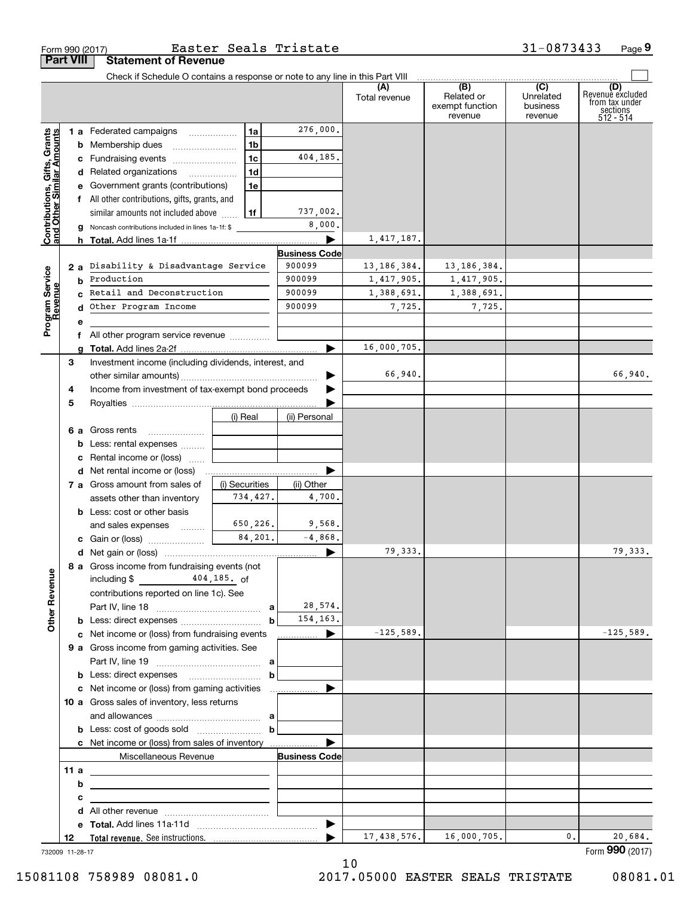|                                                           |                  | Form 990 (2017)                                                                 |                | Easter Seals Tristate    |                      |                                                                                                             | 31-0873433                       | Page 9                                                             |
|-----------------------------------------------------------|------------------|---------------------------------------------------------------------------------|----------------|--------------------------|----------------------|-------------------------------------------------------------------------------------------------------------|----------------------------------|--------------------------------------------------------------------|
|                                                           | <b>Part VIII</b> | <b>Statement of Revenue</b>                                                     |                |                          |                      |                                                                                                             |                                  |                                                                    |
|                                                           |                  | Check if Schedule O contains a response or note to any line in this Part VIII   |                |                          | (A)<br>Total revenue | $\overline{ \qquad \qquad (B)}$ $\overline{ \qquad \qquad (C)}$<br>Related or<br>exempt function<br>revenue | Unrelated<br>business<br>revenue | (D)<br>Revenuè excluded<br>from tax under<br>sections<br>512 - 514 |
|                                                           |                  | 1 a Federated campaigns                                                         | 1a             | 276,000.                 |                      |                                                                                                             |                                  |                                                                    |
| Contributions, Gifts, Grants<br>and Other Similar Amounts |                  | <b>b</b> Membership dues                                                        | 1 <sub>b</sub> |                          |                      |                                                                                                             |                                  |                                                                    |
|                                                           |                  | c Fundraising events                                                            | 1 <sub>c</sub> | 404,185.                 |                      |                                                                                                             |                                  |                                                                    |
|                                                           |                  | d Related organizations                                                         | 1d             |                          |                      |                                                                                                             |                                  |                                                                    |
|                                                           |                  | e Government grants (contributions)                                             | 1e             |                          |                      |                                                                                                             |                                  |                                                                    |
|                                                           |                  | f All other contributions, gifts, grants, and                                   |                |                          |                      |                                                                                                             |                                  |                                                                    |
|                                                           |                  | similar amounts not included above                                              | 1f             | 737,002.                 |                      |                                                                                                             |                                  |                                                                    |
|                                                           |                  | g Noncash contributions included in lines 1a-1f: \$                             |                | 8,000.                   |                      |                                                                                                             |                                  |                                                                    |
|                                                           |                  |                                                                                 |                |                          | 1,417,187.           |                                                                                                             |                                  |                                                                    |
|                                                           |                  |                                                                                 |                | <b>Business Code</b>     |                      |                                                                                                             |                                  |                                                                    |
|                                                           |                  | 2 a Disability & Disadvantage Service                                           |                | 900099                   | 13,186,384.          | 13,186,384.                                                                                                 |                                  |                                                                    |
|                                                           |                  | <b>b</b> Production                                                             |                | 900099                   | 1,417,905.           | 1,417,905.                                                                                                  |                                  |                                                                    |
|                                                           |                  | c Retail and Deconstruction                                                     |                | 900099                   | 1,388,691.           | 1,388,691.                                                                                                  |                                  |                                                                    |
| Program Service<br>Revenue                                | d                | Other Program Income                                                            |                | 900099                   | 7,725.               | 7,725.                                                                                                      |                                  |                                                                    |
|                                                           | е                |                                                                                 |                |                          |                      |                                                                                                             |                                  |                                                                    |
|                                                           |                  | f All other program service revenue                                             |                |                          | 16,000,705.          |                                                                                                             |                                  |                                                                    |
|                                                           | a                |                                                                                 |                |                          |                      |                                                                                                             |                                  |                                                                    |
|                                                           | З                | Investment income (including dividends, interest, and                           |                |                          | 66,940.              |                                                                                                             |                                  | 66,940.                                                            |
|                                                           | 4                | Income from investment of tax-exempt bond proceeds                              |                |                          |                      |                                                                                                             |                                  |                                                                    |
|                                                           | 5                |                                                                                 |                |                          |                      |                                                                                                             |                                  |                                                                    |
|                                                           |                  |                                                                                 | (i) Real       | (ii) Personal            |                      |                                                                                                             |                                  |                                                                    |
|                                                           |                  | 6 a Gross rents                                                                 |                |                          |                      |                                                                                                             |                                  |                                                                    |
|                                                           |                  | <b>b</b> Less: rental expenses                                                  |                |                          |                      |                                                                                                             |                                  |                                                                    |
|                                                           |                  | c Rental income or (loss)                                                       |                |                          |                      |                                                                                                             |                                  |                                                                    |
|                                                           |                  |                                                                                 |                |                          |                      |                                                                                                             |                                  |                                                                    |
|                                                           |                  | 7 a Gross amount from sales of                                                  | (i) Securities | (ii) Other               |                      |                                                                                                             |                                  |                                                                    |
|                                                           |                  | assets other than inventory                                                     | 734,427.       | 4,700.                   |                      |                                                                                                             |                                  |                                                                    |
|                                                           |                  | <b>b</b> Less: cost or other basis                                              |                |                          |                      |                                                                                                             |                                  |                                                                    |
|                                                           |                  | and sales expenses                                                              | 650,226.       | 9,568.                   |                      |                                                                                                             |                                  |                                                                    |
|                                                           |                  | c Gain or (loss)                                                                | 84.201.        | $-4,868$ .               |                      |                                                                                                             |                                  |                                                                    |
|                                                           |                  |                                                                                 |                |                          | 79,333.              |                                                                                                             |                                  | 79,333.                                                            |
| <b>Other Revenue</b>                                      |                  | 8 a Gross income from fundraising events (not<br>including $$$ 404, 185. of     |                |                          |                      |                                                                                                             |                                  |                                                                    |
|                                                           |                  | contributions reported on line 1c). See                                         |                |                          |                      |                                                                                                             |                                  |                                                                    |
|                                                           |                  |                                                                                 |                | 28,574.                  |                      |                                                                                                             |                                  |                                                                    |
|                                                           |                  |                                                                                 |                | 154, 163.<br>$\mathbf b$ |                      |                                                                                                             |                                  |                                                                    |
|                                                           |                  | c Net income or (loss) from fundraising events                                  |                |                          | $-125,589.$          |                                                                                                             |                                  | $-125,589.$                                                        |
|                                                           |                  | 9 a Gross income from gaming activities. See                                    |                |                          |                      |                                                                                                             |                                  |                                                                    |
|                                                           |                  |                                                                                 |                |                          |                      |                                                                                                             |                                  |                                                                    |
|                                                           |                  | <b>b</b> Less: direct expenses <b>b</b>                                         |                |                          |                      |                                                                                                             |                                  |                                                                    |
|                                                           |                  |                                                                                 |                |                          |                      |                                                                                                             |                                  |                                                                    |
|                                                           |                  | 10 a Gross sales of inventory, less returns                                     |                |                          |                      |                                                                                                             |                                  |                                                                    |
|                                                           |                  |                                                                                 |                |                          |                      |                                                                                                             |                                  |                                                                    |
|                                                           |                  | <b>b</b> Less: cost of goods sold $\begin{bmatrix} b & b \end{bmatrix}$         |                |                          |                      |                                                                                                             |                                  |                                                                    |
|                                                           |                  | c Net income or (loss) from sales of inventory                                  |                |                          |                      |                                                                                                             |                                  |                                                                    |
|                                                           |                  | Miscellaneous Revenue                                                           |                | <b>Business Code</b>     |                      |                                                                                                             |                                  |                                                                    |
|                                                           | 11 a             | <u> 1989 - Johann Barn, fransk politik (d. 1989)</u>                            |                |                          |                      |                                                                                                             |                                  |                                                                    |
|                                                           | b                | <u> 1989 - Johann Barbara, martxa eta idazlea (h. 1989).</u>                    |                |                          |                      |                                                                                                             |                                  |                                                                    |
|                                                           | c                | the contract of the contract of the contract of the contract of the contract of |                |                          |                      |                                                                                                             |                                  |                                                                    |
|                                                           |                  |                                                                                 |                |                          |                      |                                                                                                             |                                  |                                                                    |
|                                                           |                  |                                                                                 |                |                          | 17, 438, 576.        | 16,000,705.                                                                                                 | 0.                               | 20,684.                                                            |
|                                                           | 12               |                                                                                 |                | ▶                        |                      |                                                                                                             |                                  |                                                                    |

732009 11-28-17

10

15081108 758989 08081.0 2017.05000 EASTER SEALS TRISTATE 08081.01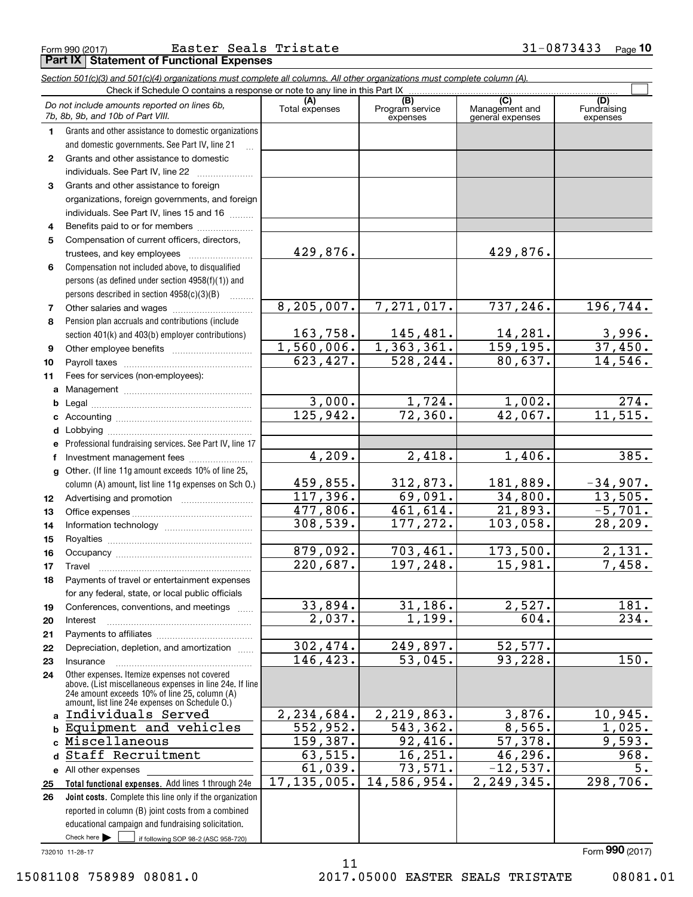| Form 990 (2017) | Easter Seals Tristate                                                                                                      | 31-0873433 | $P_{\text{aqe}}$ 10 |
|-----------------|----------------------------------------------------------------------------------------------------------------------------|------------|---------------------|
|                 | <b>Part IX Statement of Functional Expenses</b>                                                                            |            |                     |
|                 | Section 501(c)(3) and 501(c)(4) organizations must complete all columns. All other organizations must complete column (A). |            |                     |

|              | Do not include amounts reported on lines 6b,<br>7b, 8b, 9b, and 10b of Part VIII.                                                                                                                           | (A)<br>Total expenses | $\overline{(B)}$<br>Program service<br>expenses | (C)<br>Management and<br>general expenses | (D)<br>Fundraising<br>expenses |
|--------------|-------------------------------------------------------------------------------------------------------------------------------------------------------------------------------------------------------------|-----------------------|-------------------------------------------------|-------------------------------------------|--------------------------------|
| 1.           | Grants and other assistance to domestic organizations                                                                                                                                                       |                       |                                                 |                                           |                                |
|              | and domestic governments. See Part IV, line 21                                                                                                                                                              |                       |                                                 |                                           |                                |
| $\mathbf{2}$ | Grants and other assistance to domestic                                                                                                                                                                     |                       |                                                 |                                           |                                |
|              | individuals. See Part IV, line 22                                                                                                                                                                           |                       |                                                 |                                           |                                |
| 3            | Grants and other assistance to foreign                                                                                                                                                                      |                       |                                                 |                                           |                                |
|              | organizations, foreign governments, and foreign                                                                                                                                                             |                       |                                                 |                                           |                                |
|              | individuals. See Part IV, lines 15 and 16                                                                                                                                                                   |                       |                                                 |                                           |                                |
| 4            | Benefits paid to or for members                                                                                                                                                                             |                       |                                                 |                                           |                                |
| 5            | Compensation of current officers, directors,                                                                                                                                                                |                       |                                                 |                                           |                                |
|              | trustees, and key employees                                                                                                                                                                                 | 429,876.              |                                                 | 429,876.                                  |                                |
| 6            | Compensation not included above, to disqualified                                                                                                                                                            |                       |                                                 |                                           |                                |
|              | persons (as defined under section 4958(f)(1)) and                                                                                                                                                           |                       |                                                 |                                           |                                |
|              | persons described in section $4958(c)(3)(B)$                                                                                                                                                                |                       |                                                 |                                           |                                |
| 7            |                                                                                                                                                                                                             | 8, 205, 007.          | 7,271,017.                                      | 737,246.                                  | 196,744.                       |
| 8            | Pension plan accruals and contributions (include                                                                                                                                                            |                       |                                                 |                                           |                                |
|              | section 401(k) and 403(b) employer contributions)                                                                                                                                                           | 163,758.              | 145,481.                                        | 14,281.                                   | 3,996.                         |
| 9            |                                                                                                                                                                                                             | 1,560,006.            | 1, 363, 361.                                    | 159, 195.                                 | 37,450.                        |
| 10           |                                                                                                                                                                                                             | 623,427.              | 528,244.                                        | 80,637.                                   | 14,546.                        |
| 11           | Fees for services (non-employees):                                                                                                                                                                          |                       |                                                 |                                           |                                |
| a            |                                                                                                                                                                                                             |                       |                                                 |                                           |                                |
| b            |                                                                                                                                                                                                             | 3,000.                | 1,724.                                          | 1,002.                                    | 274.                           |
| c            |                                                                                                                                                                                                             | 125,942.              | 72,360.                                         | 42,067.                                   | 11, 515.                       |
| d            |                                                                                                                                                                                                             |                       |                                                 |                                           |                                |
| e            | Professional fundraising services. See Part IV, line 17                                                                                                                                                     |                       |                                                 |                                           |                                |
| f            | Investment management fees                                                                                                                                                                                  | 4,209.                | $\overline{2,418}$ .                            | 1,406.                                    | 385.                           |
| g            | Other. (If line 11g amount exceeds 10% of line 25,                                                                                                                                                          |                       |                                                 |                                           |                                |
|              | column (A) amount, list line 11g expenses on Sch 0.)                                                                                                                                                        | 459,855.              | 312,873.                                        | 181,889.                                  | $-34,907.$                     |
| 12           |                                                                                                                                                                                                             | 117,396.              | 69,091.                                         | 34,800.                                   | 13,505.                        |
| 13           |                                                                                                                                                                                                             | 477,806.              | 461,614.                                        | 21,893.                                   | $-5,701.$                      |
| 14           |                                                                                                                                                                                                             | 308,539.              | 177,272.                                        | 103,058.                                  | 28, 209.                       |
| 15           |                                                                                                                                                                                                             |                       |                                                 |                                           |                                |
| 16           |                                                                                                                                                                                                             | 879,092.              | 703,461.                                        | 173,500.                                  | 2,131.                         |
| 17           | Travel                                                                                                                                                                                                      | 220,687.              | 197,248.                                        | 15,981.                                   | 7,458.                         |
| 18           | Payments of travel or entertainment expenses                                                                                                                                                                |                       |                                                 |                                           |                                |
|              | for any federal, state, or local public officials                                                                                                                                                           |                       |                                                 |                                           |                                |
| 19           | Conferences, conventions, and meetings                                                                                                                                                                      | 33,894.               | 31, 186.                                        | 2,527.                                    | 181.                           |
| 20           | Interest                                                                                                                                                                                                    | $\overline{2,037}$ .  | 1,199.                                          | 604.                                      | 234.                           |
| 21           |                                                                                                                                                                                                             |                       |                                                 |                                           |                                |
| 22           | Depreciation, depletion, and amortization                                                                                                                                                                   | 302,474.              | 249,897.                                        | 52,577.                                   |                                |
| 23           | Insurance                                                                                                                                                                                                   | 146,423.              | 53,045.                                         | 93,228.                                   | $\overline{150}$ .             |
| 24           | Other expenses. Itemize expenses not covered<br>above. (List miscellaneous expenses in line 24e. If line<br>24e amount exceeds 10% of line 25, column (A)<br>amount, list line 24e expenses on Schedule 0.) |                       |                                                 |                                           |                                |
| a            | Individuals Served                                                                                                                                                                                          | 2,234,684.            | 2,219,863.                                      | 3,876.                                    | 10,945.                        |
|              | b Equipment and vehicles                                                                                                                                                                                    | 552,952.              | 543,362.                                        | 8,565.                                    | 1,025.                         |
|              | c Miscellaneous                                                                                                                                                                                             | 159,387.              | 92,416.                                         | 57,378.                                   | 9,593.                         |
| $\mathbf d$  | Staff Recruitment                                                                                                                                                                                           | 63,515.               | 16, 251.                                        | 46,296.                                   | 968.                           |
|              | e All other expenses                                                                                                                                                                                        | 61,039.               | 73,571.                                         | $-12,537.$                                | 5.                             |
| 25           | Total functional expenses. Add lines 1 through 24e                                                                                                                                                          | 17, 135, 005.         | 14,586,954.                                     | 2, 249, 345.                              | 298,706.                       |
| 26           | Joint costs. Complete this line only if the organization                                                                                                                                                    |                       |                                                 |                                           |                                |
|              | reported in column (B) joint costs from a combined                                                                                                                                                          |                       |                                                 |                                           |                                |
|              | educational campaign and fundraising solicitation.                                                                                                                                                          |                       |                                                 |                                           |                                |
|              | Check here $\blacktriangleright$<br>if following SOP 98-2 (ASC 958-720)                                                                                                                                     |                       |                                                 |                                           |                                |

11

732010 11-28-17

15081108 758989 08081.0 2017.05000 EASTER SEALS TRISTATE 08081.01

Form (2017) **990**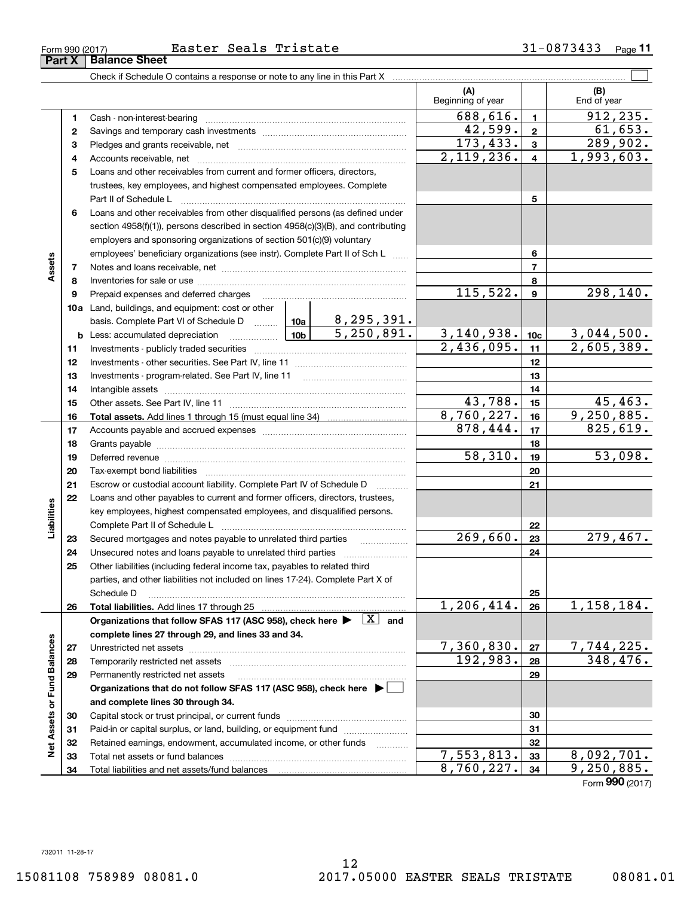|                             |          | Check if Schedule O contains a response or note to any line in this Part X                                                                                                                                                     |                          |                         |                         |
|-----------------------------|----------|--------------------------------------------------------------------------------------------------------------------------------------------------------------------------------------------------------------------------------|--------------------------|-------------------------|-------------------------|
|                             |          |                                                                                                                                                                                                                                | (A)<br>Beginning of year |                         | (B)<br>End of year      |
|                             | 1        |                                                                                                                                                                                                                                | 688,616.                 | $\mathbf{1}$            | 912, 235.               |
|                             | 2        |                                                                                                                                                                                                                                | 42,599.                  | $\mathbf 2$             | 61,653.                 |
|                             | 3        |                                                                                                                                                                                                                                | 173,433.                 | $\mathbf{3}$            | 289,902.                |
|                             | 4        |                                                                                                                                                                                                                                | $\overline{2,119,236}$ . | $\overline{\mathbf{4}}$ | 1,993,603.              |
|                             | 5        | Loans and other receivables from current and former officers, directors,                                                                                                                                                       |                          |                         |                         |
|                             |          | trustees, key employees, and highest compensated employees. Complete                                                                                                                                                           |                          |                         |                         |
|                             |          | Part II of Schedule Latin million and Contact March 2014                                                                                                                                                                       |                          | 5                       |                         |
|                             | 6        | Loans and other receivables from other disqualified persons (as defined under                                                                                                                                                  |                          |                         |                         |
|                             |          | section 4958(f)(1)), persons described in section 4958(c)(3)(B), and contributing                                                                                                                                              |                          |                         |                         |
|                             |          | employers and sponsoring organizations of section 501(c)(9) voluntary                                                                                                                                                          |                          |                         |                         |
|                             |          | employees' beneficiary organizations (see instr). Complete Part II of Sch L                                                                                                                                                    |                          | 6                       |                         |
| Assets                      | 7        |                                                                                                                                                                                                                                |                          | $\overline{7}$          |                         |
|                             | 8        |                                                                                                                                                                                                                                |                          | 8                       |                         |
|                             | 9        | Prepaid expenses and deferred charges                                                                                                                                                                                          | 115,522.                 | 9                       | 298,140.                |
|                             |          | <b>10a</b> Land, buildings, and equipment: cost or other                                                                                                                                                                       |                          |                         |                         |
|                             |          | basis. Complete Part VI of Schedule D $\frac{10a}{10a}$ 8, 295, 391.                                                                                                                                                           |                          |                         |                         |
|                             |          | $\overline{5,250,891.}$<br><u>  1</u> 0b  <br><b>b</b> Less: accumulated depreciation                                                                                                                                          | 3,140,938.               | 10 <sub>c</sub>         | 3,044,500.              |
|                             | 11       |                                                                                                                                                                                                                                | 2,436,095.               | 11                      | 2,605,389.              |
|                             | 12       |                                                                                                                                                                                                                                |                          | 12                      |                         |
|                             | 13       |                                                                                                                                                                                                                                |                          | 13                      |                         |
|                             | 14       |                                                                                                                                                                                                                                |                          | 14                      |                         |
|                             | 15       |                                                                                                                                                                                                                                | 43,788.                  | 15                      | 45,463.<br>9,250,885.   |
|                             | 16       |                                                                                                                                                                                                                                | 8,760,227.<br>878,444.   | 16                      | 825,619.                |
|                             | 17       |                                                                                                                                                                                                                                |                          | 17                      |                         |
|                             | 18       |                                                                                                                                                                                                                                | 58,310.                  | 18<br>19                | 53,098.                 |
|                             | 19<br>20 | Deferred revenue manual contracts and contracts are contracted and contract and contract are contracted and contract are contracted and contract are contracted and contract are contracted and contract are contracted and co |                          | 20                      |                         |
|                             | 21       | Escrow or custodial account liability. Complete Part IV of Schedule D                                                                                                                                                          |                          | 21                      |                         |
|                             | 22       | $\overline{\phantom{a}}$<br>Loans and other payables to current and former officers, directors, trustees,                                                                                                                      |                          |                         |                         |
| Liabilities                 |          | key employees, highest compensated employees, and disqualified persons.                                                                                                                                                        |                          |                         |                         |
|                             |          |                                                                                                                                                                                                                                |                          | 22                      |                         |
|                             | 23       | Secured mortgages and notes payable to unrelated third parties                                                                                                                                                                 | 269,660.                 | 23                      | 279,467.                |
|                             | 24       |                                                                                                                                                                                                                                |                          | 24                      |                         |
|                             | 25       | Other liabilities (including federal income tax, payables to related third                                                                                                                                                     |                          |                         |                         |
|                             |          | parties, and other liabilities not included on lines 17-24). Complete Part X of                                                                                                                                                |                          |                         |                         |
|                             |          | Schedule D                                                                                                                                                                                                                     |                          | 25                      |                         |
|                             | 26       |                                                                                                                                                                                                                                | 1,206,414.               | 26                      | 1,158,184.              |
|                             |          | Organizations that follow SFAS 117 (ASC 958), check here $\blacktriangleright \begin{array}{ c } \hline X & \text{and} \end{array}$                                                                                            |                          |                         |                         |
|                             |          | complete lines 27 through 29, and lines 33 and 34.                                                                                                                                                                             |                          |                         |                         |
|                             | 27       |                                                                                                                                                                                                                                | 7,360,830.               | 27                      | 7,744,225.              |
|                             | 28       |                                                                                                                                                                                                                                | 192,983.                 | 28                      | 348,476.                |
|                             | 29       | Permanently restricted net assets                                                                                                                                                                                              |                          | 29                      |                         |
|                             |          | Organizations that do not follow SFAS 117 (ASC 958), check here ▶ □                                                                                                                                                            |                          |                         |                         |
|                             |          | and complete lines 30 through 34.                                                                                                                                                                                              |                          |                         |                         |
|                             | 30       |                                                                                                                                                                                                                                |                          | 30                      |                         |
|                             | 31       | Paid-in or capital surplus, or land, building, or equipment fund                                                                                                                                                               |                          | 31                      |                         |
| Net Assets or Fund Balances | 32       | Retained earnings, endowment, accumulated income, or other funds                                                                                                                                                               | 7,553,813.               | 32                      | $\overline{8,092},701.$ |
|                             | 33       |                                                                                                                                                                                                                                | 8,760,227.               | 33                      | 9,250,885.              |
|                             | 34       |                                                                                                                                                                                                                                |                          | 34                      | $000$ ( $0.47$ )        |

Form (2017) **990**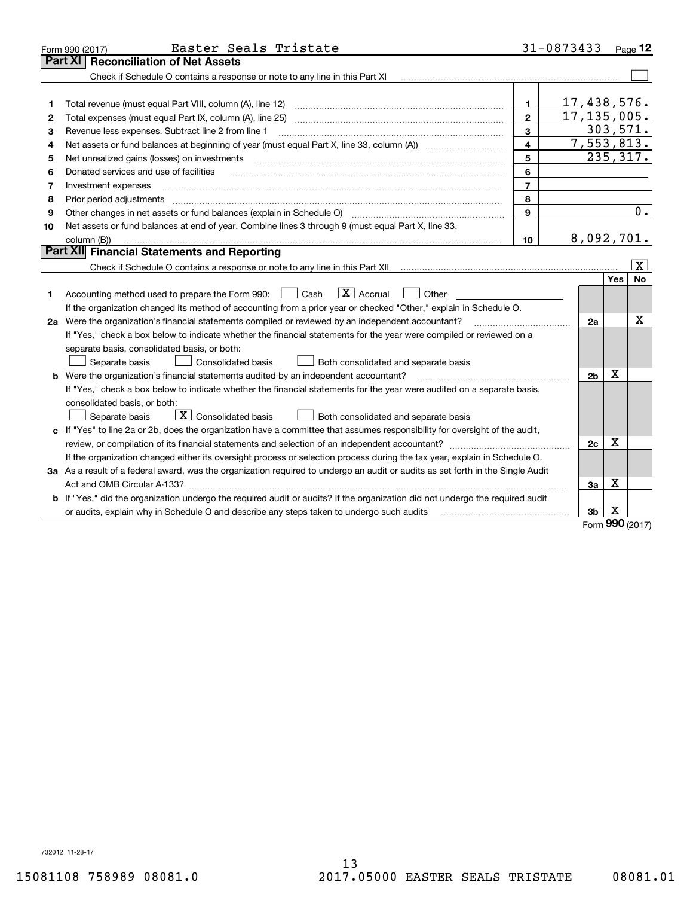| Part XI<br>Check if Schedule O contains a response or note to any line in this Part XI<br>17,438,576.<br>1<br>1<br>17, 135, 005.<br>Total expenses (must equal Part IX, column (A), line 25)<br>$\mathbf{2}$<br>2<br>303,571.<br>3<br>Revenue less expenses. Subtract line 2 from line 1<br>З<br>7,553,813.<br>4<br>4<br>235, 317.<br>5<br>Net unrealized gains (losses) on investments<br>5<br>6<br>Donated services and use of facilities<br>6<br>$\overline{7}$<br>Investment expenses<br>7<br>8<br>Prior period adjustments<br>8<br>0.<br>9<br>Other changes in net assets or fund balances (explain in Schedule O)<br>9<br>Net assets or fund balances at end of year. Combine lines 3 through 9 (must equal Part X, line 33,<br>10<br>8,092,701.<br>10<br>column (B))<br>Part XII Financial Statements and Reporting<br>$\overline{\mathbf{x}}$<br>Yes<br><b>No</b><br>$\boxed{\mathbf{X}}$ Accrual<br>Accounting method used to prepare the Form 990: <u>June</u> Cash<br>Other<br>1.<br>If the organization changed its method of accounting from a prior year or checked "Other," explain in Schedule O.<br>х<br>2a Were the organization's financial statements compiled or reviewed by an independent accountant?<br>2a<br>If "Yes," check a box below to indicate whether the financial statements for the year were compiled or reviewed on a<br>separate basis, consolidated basis, or both:<br>Separate basis<br>Consolidated basis<br>Both consolidated and separate basis<br>х<br><b>b</b> Were the organization's financial statements audited by an independent accountant?<br>2b<br>If "Yes," check a box below to indicate whether the financial statements for the year were audited on a separate basis,<br>consolidated basis, or both:<br>$\boxed{\textbf{X}}$ Consolidated basis<br>Separate basis<br>Both consolidated and separate basis<br>c If "Yes" to line 2a or 2b, does the organization have a committee that assumes responsibility for oversight of the audit,<br>$\mathbf X$<br>2c<br>If the organization changed either its oversight process or selection process during the tax year, explain in Schedule O.<br>3a As a result of a federal award, was the organization required to undergo an audit or audits as set forth in the Single Audit<br>x<br>3a<br><b>b</b> If "Yes," did the organization undergo the required audit or audits? If the organization did not undergo the required audit<br>X<br>3b<br>nnn. | Easter Seals Tristate<br>Form 990 (2017) | 31-0873433 | Page $12$ |
|----------------------------------------------------------------------------------------------------------------------------------------------------------------------------------------------------------------------------------------------------------------------------------------------------------------------------------------------------------------------------------------------------------------------------------------------------------------------------------------------------------------------------------------------------------------------------------------------------------------------------------------------------------------------------------------------------------------------------------------------------------------------------------------------------------------------------------------------------------------------------------------------------------------------------------------------------------------------------------------------------------------------------------------------------------------------------------------------------------------------------------------------------------------------------------------------------------------------------------------------------------------------------------------------------------------------------------------------------------------------------------------------------------------------------------------------------------------------------------------------------------------------------------------------------------------------------------------------------------------------------------------------------------------------------------------------------------------------------------------------------------------------------------------------------------------------------------------------------------------------------------------------------------------------------------------------------------------------------------------------------------------------------------------------------------------------------------------------------------------------------------------------------------------------------------------------------------------------------------------------------------------------------------------------------------------------------------------------------------------------------------------------------------------------------------------------------------------|------------------------------------------|------------|-----------|
|                                                                                                                                                                                                                                                                                                                                                                                                                                                                                                                                                                                                                                                                                                                                                                                                                                                                                                                                                                                                                                                                                                                                                                                                                                                                                                                                                                                                                                                                                                                                                                                                                                                                                                                                                                                                                                                                                                                                                                                                                                                                                                                                                                                                                                                                                                                                                                                                                                                                | <b>Reconciliation of Net Assets</b>      |            |           |
|                                                                                                                                                                                                                                                                                                                                                                                                                                                                                                                                                                                                                                                                                                                                                                                                                                                                                                                                                                                                                                                                                                                                                                                                                                                                                                                                                                                                                                                                                                                                                                                                                                                                                                                                                                                                                                                                                                                                                                                                                                                                                                                                                                                                                                                                                                                                                                                                                                                                |                                          |            |           |
|                                                                                                                                                                                                                                                                                                                                                                                                                                                                                                                                                                                                                                                                                                                                                                                                                                                                                                                                                                                                                                                                                                                                                                                                                                                                                                                                                                                                                                                                                                                                                                                                                                                                                                                                                                                                                                                                                                                                                                                                                                                                                                                                                                                                                                                                                                                                                                                                                                                                |                                          |            |           |
|                                                                                                                                                                                                                                                                                                                                                                                                                                                                                                                                                                                                                                                                                                                                                                                                                                                                                                                                                                                                                                                                                                                                                                                                                                                                                                                                                                                                                                                                                                                                                                                                                                                                                                                                                                                                                                                                                                                                                                                                                                                                                                                                                                                                                                                                                                                                                                                                                                                                |                                          |            |           |
|                                                                                                                                                                                                                                                                                                                                                                                                                                                                                                                                                                                                                                                                                                                                                                                                                                                                                                                                                                                                                                                                                                                                                                                                                                                                                                                                                                                                                                                                                                                                                                                                                                                                                                                                                                                                                                                                                                                                                                                                                                                                                                                                                                                                                                                                                                                                                                                                                                                                |                                          |            |           |
|                                                                                                                                                                                                                                                                                                                                                                                                                                                                                                                                                                                                                                                                                                                                                                                                                                                                                                                                                                                                                                                                                                                                                                                                                                                                                                                                                                                                                                                                                                                                                                                                                                                                                                                                                                                                                                                                                                                                                                                                                                                                                                                                                                                                                                                                                                                                                                                                                                                                |                                          |            |           |
|                                                                                                                                                                                                                                                                                                                                                                                                                                                                                                                                                                                                                                                                                                                                                                                                                                                                                                                                                                                                                                                                                                                                                                                                                                                                                                                                                                                                                                                                                                                                                                                                                                                                                                                                                                                                                                                                                                                                                                                                                                                                                                                                                                                                                                                                                                                                                                                                                                                                |                                          |            |           |
|                                                                                                                                                                                                                                                                                                                                                                                                                                                                                                                                                                                                                                                                                                                                                                                                                                                                                                                                                                                                                                                                                                                                                                                                                                                                                                                                                                                                                                                                                                                                                                                                                                                                                                                                                                                                                                                                                                                                                                                                                                                                                                                                                                                                                                                                                                                                                                                                                                                                |                                          |            |           |
|                                                                                                                                                                                                                                                                                                                                                                                                                                                                                                                                                                                                                                                                                                                                                                                                                                                                                                                                                                                                                                                                                                                                                                                                                                                                                                                                                                                                                                                                                                                                                                                                                                                                                                                                                                                                                                                                                                                                                                                                                                                                                                                                                                                                                                                                                                                                                                                                                                                                |                                          |            |           |
|                                                                                                                                                                                                                                                                                                                                                                                                                                                                                                                                                                                                                                                                                                                                                                                                                                                                                                                                                                                                                                                                                                                                                                                                                                                                                                                                                                                                                                                                                                                                                                                                                                                                                                                                                                                                                                                                                                                                                                                                                                                                                                                                                                                                                                                                                                                                                                                                                                                                |                                          |            |           |
|                                                                                                                                                                                                                                                                                                                                                                                                                                                                                                                                                                                                                                                                                                                                                                                                                                                                                                                                                                                                                                                                                                                                                                                                                                                                                                                                                                                                                                                                                                                                                                                                                                                                                                                                                                                                                                                                                                                                                                                                                                                                                                                                                                                                                                                                                                                                                                                                                                                                |                                          |            |           |
|                                                                                                                                                                                                                                                                                                                                                                                                                                                                                                                                                                                                                                                                                                                                                                                                                                                                                                                                                                                                                                                                                                                                                                                                                                                                                                                                                                                                                                                                                                                                                                                                                                                                                                                                                                                                                                                                                                                                                                                                                                                                                                                                                                                                                                                                                                                                                                                                                                                                |                                          |            |           |
|                                                                                                                                                                                                                                                                                                                                                                                                                                                                                                                                                                                                                                                                                                                                                                                                                                                                                                                                                                                                                                                                                                                                                                                                                                                                                                                                                                                                                                                                                                                                                                                                                                                                                                                                                                                                                                                                                                                                                                                                                                                                                                                                                                                                                                                                                                                                                                                                                                                                |                                          |            |           |
|                                                                                                                                                                                                                                                                                                                                                                                                                                                                                                                                                                                                                                                                                                                                                                                                                                                                                                                                                                                                                                                                                                                                                                                                                                                                                                                                                                                                                                                                                                                                                                                                                                                                                                                                                                                                                                                                                                                                                                                                                                                                                                                                                                                                                                                                                                                                                                                                                                                                |                                          |            |           |
|                                                                                                                                                                                                                                                                                                                                                                                                                                                                                                                                                                                                                                                                                                                                                                                                                                                                                                                                                                                                                                                                                                                                                                                                                                                                                                                                                                                                                                                                                                                                                                                                                                                                                                                                                                                                                                                                                                                                                                                                                                                                                                                                                                                                                                                                                                                                                                                                                                                                |                                          |            |           |
|                                                                                                                                                                                                                                                                                                                                                                                                                                                                                                                                                                                                                                                                                                                                                                                                                                                                                                                                                                                                                                                                                                                                                                                                                                                                                                                                                                                                                                                                                                                                                                                                                                                                                                                                                                                                                                                                                                                                                                                                                                                                                                                                                                                                                                                                                                                                                                                                                                                                |                                          |            |           |
|                                                                                                                                                                                                                                                                                                                                                                                                                                                                                                                                                                                                                                                                                                                                                                                                                                                                                                                                                                                                                                                                                                                                                                                                                                                                                                                                                                                                                                                                                                                                                                                                                                                                                                                                                                                                                                                                                                                                                                                                                                                                                                                                                                                                                                                                                                                                                                                                                                                                |                                          |            |           |
|                                                                                                                                                                                                                                                                                                                                                                                                                                                                                                                                                                                                                                                                                                                                                                                                                                                                                                                                                                                                                                                                                                                                                                                                                                                                                                                                                                                                                                                                                                                                                                                                                                                                                                                                                                                                                                                                                                                                                                                                                                                                                                                                                                                                                                                                                                                                                                                                                                                                |                                          |            |           |
|                                                                                                                                                                                                                                                                                                                                                                                                                                                                                                                                                                                                                                                                                                                                                                                                                                                                                                                                                                                                                                                                                                                                                                                                                                                                                                                                                                                                                                                                                                                                                                                                                                                                                                                                                                                                                                                                                                                                                                                                                                                                                                                                                                                                                                                                                                                                                                                                                                                                |                                          |            |           |
|                                                                                                                                                                                                                                                                                                                                                                                                                                                                                                                                                                                                                                                                                                                                                                                                                                                                                                                                                                                                                                                                                                                                                                                                                                                                                                                                                                                                                                                                                                                                                                                                                                                                                                                                                                                                                                                                                                                                                                                                                                                                                                                                                                                                                                                                                                                                                                                                                                                                |                                          |            |           |
|                                                                                                                                                                                                                                                                                                                                                                                                                                                                                                                                                                                                                                                                                                                                                                                                                                                                                                                                                                                                                                                                                                                                                                                                                                                                                                                                                                                                                                                                                                                                                                                                                                                                                                                                                                                                                                                                                                                                                                                                                                                                                                                                                                                                                                                                                                                                                                                                                                                                |                                          |            |           |
|                                                                                                                                                                                                                                                                                                                                                                                                                                                                                                                                                                                                                                                                                                                                                                                                                                                                                                                                                                                                                                                                                                                                                                                                                                                                                                                                                                                                                                                                                                                                                                                                                                                                                                                                                                                                                                                                                                                                                                                                                                                                                                                                                                                                                                                                                                                                                                                                                                                                |                                          |            |           |
|                                                                                                                                                                                                                                                                                                                                                                                                                                                                                                                                                                                                                                                                                                                                                                                                                                                                                                                                                                                                                                                                                                                                                                                                                                                                                                                                                                                                                                                                                                                                                                                                                                                                                                                                                                                                                                                                                                                                                                                                                                                                                                                                                                                                                                                                                                                                                                                                                                                                |                                          |            |           |
|                                                                                                                                                                                                                                                                                                                                                                                                                                                                                                                                                                                                                                                                                                                                                                                                                                                                                                                                                                                                                                                                                                                                                                                                                                                                                                                                                                                                                                                                                                                                                                                                                                                                                                                                                                                                                                                                                                                                                                                                                                                                                                                                                                                                                                                                                                                                                                                                                                                                |                                          |            |           |
|                                                                                                                                                                                                                                                                                                                                                                                                                                                                                                                                                                                                                                                                                                                                                                                                                                                                                                                                                                                                                                                                                                                                                                                                                                                                                                                                                                                                                                                                                                                                                                                                                                                                                                                                                                                                                                                                                                                                                                                                                                                                                                                                                                                                                                                                                                                                                                                                                                                                |                                          |            |           |
|                                                                                                                                                                                                                                                                                                                                                                                                                                                                                                                                                                                                                                                                                                                                                                                                                                                                                                                                                                                                                                                                                                                                                                                                                                                                                                                                                                                                                                                                                                                                                                                                                                                                                                                                                                                                                                                                                                                                                                                                                                                                                                                                                                                                                                                                                                                                                                                                                                                                |                                          |            |           |
|                                                                                                                                                                                                                                                                                                                                                                                                                                                                                                                                                                                                                                                                                                                                                                                                                                                                                                                                                                                                                                                                                                                                                                                                                                                                                                                                                                                                                                                                                                                                                                                                                                                                                                                                                                                                                                                                                                                                                                                                                                                                                                                                                                                                                                                                                                                                                                                                                                                                |                                          |            |           |
|                                                                                                                                                                                                                                                                                                                                                                                                                                                                                                                                                                                                                                                                                                                                                                                                                                                                                                                                                                                                                                                                                                                                                                                                                                                                                                                                                                                                                                                                                                                                                                                                                                                                                                                                                                                                                                                                                                                                                                                                                                                                                                                                                                                                                                                                                                                                                                                                                                                                |                                          |            |           |
|                                                                                                                                                                                                                                                                                                                                                                                                                                                                                                                                                                                                                                                                                                                                                                                                                                                                                                                                                                                                                                                                                                                                                                                                                                                                                                                                                                                                                                                                                                                                                                                                                                                                                                                                                                                                                                                                                                                                                                                                                                                                                                                                                                                                                                                                                                                                                                                                                                                                |                                          |            |           |
|                                                                                                                                                                                                                                                                                                                                                                                                                                                                                                                                                                                                                                                                                                                                                                                                                                                                                                                                                                                                                                                                                                                                                                                                                                                                                                                                                                                                                                                                                                                                                                                                                                                                                                                                                                                                                                                                                                                                                                                                                                                                                                                                                                                                                                                                                                                                                                                                                                                                |                                          |            |           |
|                                                                                                                                                                                                                                                                                                                                                                                                                                                                                                                                                                                                                                                                                                                                                                                                                                                                                                                                                                                                                                                                                                                                                                                                                                                                                                                                                                                                                                                                                                                                                                                                                                                                                                                                                                                                                                                                                                                                                                                                                                                                                                                                                                                                                                                                                                                                                                                                                                                                |                                          |            |           |
|                                                                                                                                                                                                                                                                                                                                                                                                                                                                                                                                                                                                                                                                                                                                                                                                                                                                                                                                                                                                                                                                                                                                                                                                                                                                                                                                                                                                                                                                                                                                                                                                                                                                                                                                                                                                                                                                                                                                                                                                                                                                                                                                                                                                                                                                                                                                                                                                                                                                |                                          |            |           |
|                                                                                                                                                                                                                                                                                                                                                                                                                                                                                                                                                                                                                                                                                                                                                                                                                                                                                                                                                                                                                                                                                                                                                                                                                                                                                                                                                                                                                                                                                                                                                                                                                                                                                                                                                                                                                                                                                                                                                                                                                                                                                                                                                                                                                                                                                                                                                                                                                                                                |                                          |            |           |
|                                                                                                                                                                                                                                                                                                                                                                                                                                                                                                                                                                                                                                                                                                                                                                                                                                                                                                                                                                                                                                                                                                                                                                                                                                                                                                                                                                                                                                                                                                                                                                                                                                                                                                                                                                                                                                                                                                                                                                                                                                                                                                                                                                                                                                                                                                                                                                                                                                                                |                                          |            |           |

Form (2017) **990**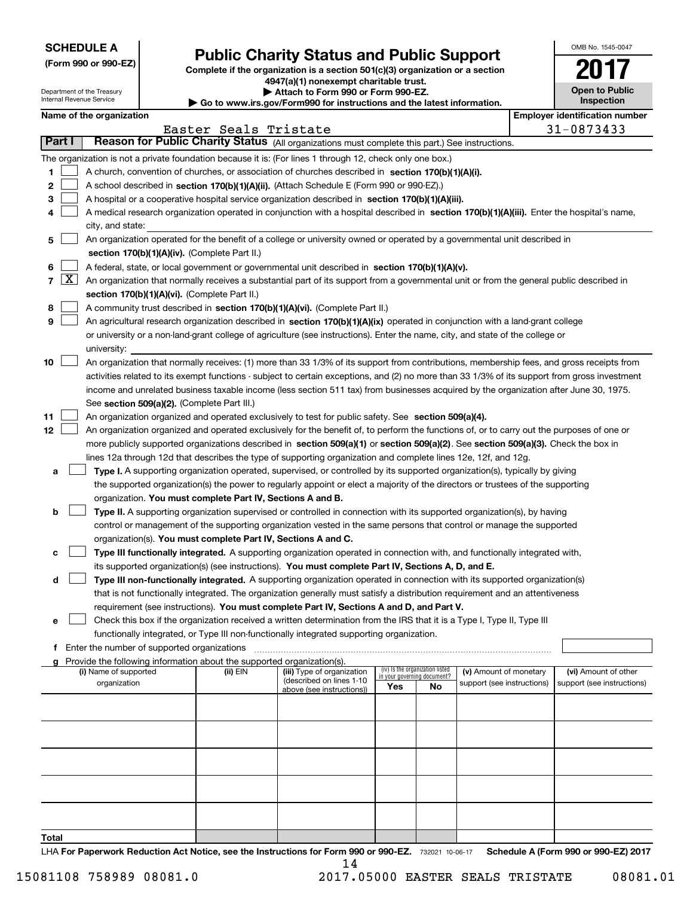| <b>SCHEDULE A</b> |
|-------------------|
|-------------------|

Department of the Treasury Internal Revenue Service

**(Form 990 or 990-EZ)**

### **Public Charity Status and Public Support**

**Complete if the organization is a section 501(c)(3) organization or a section 4947(a)(1) nonexempt charitable trust. | Attach to Form 990 or Form 990-EZ.**   $\triangleright$  Go to ww

|  | ww.irs.gov/Form990 for instructions and the latest information. |  |
|--|-----------------------------------------------------------------|--|

| OMB No 1545-0047                    |
|-------------------------------------|
| 'N                                  |
| <b>Open to Public</b><br>Inspection |

|  |  |  | Name of the organization |
|--|--|--|--------------------------|
|--|--|--|--------------------------|

|                                       | Name of the organization                                                                                                                                                                                                                                                               |                       |                            |                                 |    |                            |  | <b>Employer identification number</b> |  |  |  |
|---------------------------------------|----------------------------------------------------------------------------------------------------------------------------------------------------------------------------------------------------------------------------------------------------------------------------------------|-----------------------|----------------------------|---------------------------------|----|----------------------------|--|---------------------------------------|--|--|--|
|                                       |                                                                                                                                                                                                                                                                                        | Easter Seals Tristate |                            |                                 |    |                            |  | 31-0873433                            |  |  |  |
| Part I                                | Reason for Public Charity Status (All organizations must complete this part.) See instructions.                                                                                                                                                                                        |                       |                            |                                 |    |                            |  |                                       |  |  |  |
|                                       | The organization is not a private foundation because it is: (For lines 1 through 12, check only one box.)                                                                                                                                                                              |                       |                            |                                 |    |                            |  |                                       |  |  |  |
| 1                                     | A church, convention of churches, or association of churches described in section 170(b)(1)(A)(i).                                                                                                                                                                                     |                       |                            |                                 |    |                            |  |                                       |  |  |  |
| 2                                     | A school described in section 170(b)(1)(A)(ii). (Attach Schedule E (Form 990 or 990-EZ).)                                                                                                                                                                                              |                       |                            |                                 |    |                            |  |                                       |  |  |  |
| з                                     | A hospital or a cooperative hospital service organization described in section 170(b)(1)(A)(iii).                                                                                                                                                                                      |                       |                            |                                 |    |                            |  |                                       |  |  |  |
|                                       | A medical research organization operated in conjunction with a hospital described in section 170(b)(1)(A)(iii). Enter the hospital's name,                                                                                                                                             |                       |                            |                                 |    |                            |  |                                       |  |  |  |
|                                       | city, and state:                                                                                                                                                                                                                                                                       |                       |                            |                                 |    |                            |  |                                       |  |  |  |
| 5                                     | An organization operated for the benefit of a college or university owned or operated by a governmental unit described in                                                                                                                                                              |                       |                            |                                 |    |                            |  |                                       |  |  |  |
|                                       | section 170(b)(1)(A)(iv). (Complete Part II.)                                                                                                                                                                                                                                          |                       |                            |                                 |    |                            |  |                                       |  |  |  |
| 6                                     | A federal, state, or local government or governmental unit described in section 170(b)(1)(A)(v).                                                                                                                                                                                       |                       |                            |                                 |    |                            |  |                                       |  |  |  |
| $\lfloor x \rfloor$<br>$\overline{7}$ | An organization that normally receives a substantial part of its support from a governmental unit or from the general public described in                                                                                                                                              |                       |                            |                                 |    |                            |  |                                       |  |  |  |
|                                       | section 170(b)(1)(A)(vi). (Complete Part II.)                                                                                                                                                                                                                                          |                       |                            |                                 |    |                            |  |                                       |  |  |  |
| 8                                     | A community trust described in section 170(b)(1)(A)(vi). (Complete Part II.)                                                                                                                                                                                                           |                       |                            |                                 |    |                            |  |                                       |  |  |  |
| 9                                     | An agricultural research organization described in section 170(b)(1)(A)(ix) operated in conjunction with a land-grant college                                                                                                                                                          |                       |                            |                                 |    |                            |  |                                       |  |  |  |
|                                       | or university or a non-land-grant college of agriculture (see instructions). Enter the name, city, and state of the college or                                                                                                                                                         |                       |                            |                                 |    |                            |  |                                       |  |  |  |
|                                       | university:<br>An organization that normally receives: (1) more than 33 1/3% of its support from contributions, membership fees, and gross receipts from                                                                                                                               |                       |                            |                                 |    |                            |  |                                       |  |  |  |
| 10                                    |                                                                                                                                                                                                                                                                                        |                       |                            |                                 |    |                            |  |                                       |  |  |  |
|                                       | activities related to its exempt functions - subject to certain exceptions, and (2) no more than 33 1/3% of its support from gross investment<br>income and unrelated business taxable income (less section 511 tax) from businesses acquired by the organization after June 30, 1975. |                       |                            |                                 |    |                            |  |                                       |  |  |  |
|                                       | See section 509(a)(2). (Complete Part III.)                                                                                                                                                                                                                                            |                       |                            |                                 |    |                            |  |                                       |  |  |  |
| 11                                    | An organization organized and operated exclusively to test for public safety. See section 509(a)(4).                                                                                                                                                                                   |                       |                            |                                 |    |                            |  |                                       |  |  |  |
| 12                                    | An organization organized and operated exclusively for the benefit of, to perform the functions of, or to carry out the purposes of one or                                                                                                                                             |                       |                            |                                 |    |                            |  |                                       |  |  |  |
|                                       | more publicly supported organizations described in section 509(a)(1) or section 509(a)(2). See section 509(a)(3). Check the box in                                                                                                                                                     |                       |                            |                                 |    |                            |  |                                       |  |  |  |
|                                       | lines 12a through 12d that describes the type of supporting organization and complete lines 12e, 12f, and 12g.                                                                                                                                                                         |                       |                            |                                 |    |                            |  |                                       |  |  |  |
| а                                     | Type I. A supporting organization operated, supervised, or controlled by its supported organization(s), typically by giving                                                                                                                                                            |                       |                            |                                 |    |                            |  |                                       |  |  |  |
|                                       | the supported organization(s) the power to regularly appoint or elect a majority of the directors or trustees of the supporting                                                                                                                                                        |                       |                            |                                 |    |                            |  |                                       |  |  |  |
|                                       | organization. You must complete Part IV, Sections A and B.                                                                                                                                                                                                                             |                       |                            |                                 |    |                            |  |                                       |  |  |  |
| b                                     | Type II. A supporting organization supervised or controlled in connection with its supported organization(s), by having                                                                                                                                                                |                       |                            |                                 |    |                            |  |                                       |  |  |  |
|                                       | control or management of the supporting organization vested in the same persons that control or manage the supported                                                                                                                                                                   |                       |                            |                                 |    |                            |  |                                       |  |  |  |
|                                       | organization(s). You must complete Part IV, Sections A and C.                                                                                                                                                                                                                          |                       |                            |                                 |    |                            |  |                                       |  |  |  |
| с                                     | Type III functionally integrated. A supporting organization operated in connection with, and functionally integrated with,                                                                                                                                                             |                       |                            |                                 |    |                            |  |                                       |  |  |  |
|                                       | its supported organization(s) (see instructions). You must complete Part IV, Sections A, D, and E.                                                                                                                                                                                     |                       |                            |                                 |    |                            |  |                                       |  |  |  |
| d                                     | Type III non-functionally integrated. A supporting organization operated in connection with its supported organization(s)                                                                                                                                                              |                       |                            |                                 |    |                            |  |                                       |  |  |  |
|                                       | that is not functionally integrated. The organization generally must satisfy a distribution requirement and an attentiveness                                                                                                                                                           |                       |                            |                                 |    |                            |  |                                       |  |  |  |
|                                       | requirement (see instructions). You must complete Part IV, Sections A and D, and Part V.                                                                                                                                                                                               |                       |                            |                                 |    |                            |  |                                       |  |  |  |
| е                                     | Check this box if the organization received a written determination from the IRS that it is a Type I, Type II, Type III                                                                                                                                                                |                       |                            |                                 |    |                            |  |                                       |  |  |  |
|                                       | functionally integrated, or Type III non-functionally integrated supporting organization.                                                                                                                                                                                              |                       |                            |                                 |    |                            |  |                                       |  |  |  |
|                                       | f Enter the number of supported organizations                                                                                                                                                                                                                                          |                       |                            |                                 |    |                            |  |                                       |  |  |  |
|                                       | g Provide the following information about the supported organization(s).<br>(i) Name of supported                                                                                                                                                                                      | (ii) EIN              | (iii) Type of organization | (iv) Is the organization listed |    | (v) Amount of monetary     |  | (vi) Amount of other                  |  |  |  |
|                                       | organization                                                                                                                                                                                                                                                                           |                       | (described on lines 1-10   | in your governing document?     |    | support (see instructions) |  | support (see instructions)            |  |  |  |
|                                       |                                                                                                                                                                                                                                                                                        |                       | above (see instructions))  | Yes                             | No |                            |  |                                       |  |  |  |
|                                       |                                                                                                                                                                                                                                                                                        |                       |                            |                                 |    |                            |  |                                       |  |  |  |
|                                       |                                                                                                                                                                                                                                                                                        |                       |                            |                                 |    |                            |  |                                       |  |  |  |
|                                       |                                                                                                                                                                                                                                                                                        |                       |                            |                                 |    |                            |  |                                       |  |  |  |
|                                       |                                                                                                                                                                                                                                                                                        |                       |                            |                                 |    |                            |  |                                       |  |  |  |
|                                       |                                                                                                                                                                                                                                                                                        |                       |                            |                                 |    |                            |  |                                       |  |  |  |
|                                       |                                                                                                                                                                                                                                                                                        |                       |                            |                                 |    |                            |  |                                       |  |  |  |
|                                       |                                                                                                                                                                                                                                                                                        |                       |                            |                                 |    |                            |  |                                       |  |  |  |
|                                       |                                                                                                                                                                                                                                                                                        |                       |                            |                                 |    |                            |  |                                       |  |  |  |
|                                       |                                                                                                                                                                                                                                                                                        |                       |                            |                                 |    |                            |  |                                       |  |  |  |
|                                       |                                                                                                                                                                                                                                                                                        |                       |                            |                                 |    |                            |  |                                       |  |  |  |

**Total**

LHA For Paperwork Reduction Act Notice, see the Instructions for Form 990 or 990-EZ. 732021 10-06-17 Schedule A (Form 990 or 990-EZ) 2017 14

 $\overline{\phantom{a}}$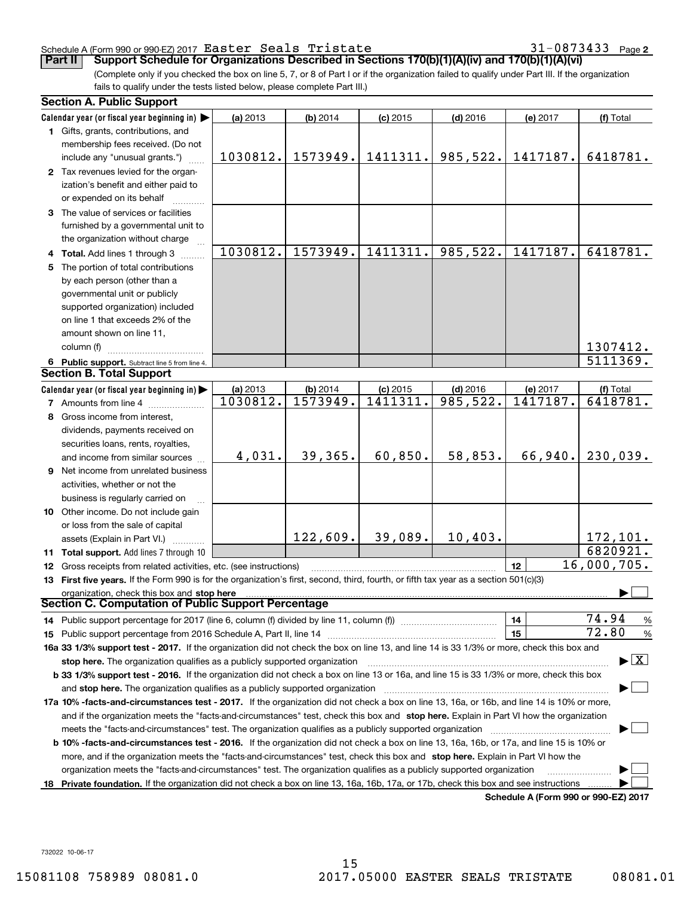### Schedule A (Form 990 or 990-EZ) 2017  ${\tt Easter\ Seals\ Tristate} \hspace{1.5cm} 31-0873433$  Page

**2**

(Complete only if you checked the box on line 5, 7, or 8 of Part I or if the organization failed to qualify under Part III. If the organization fails to qualify under the tests listed below, please complete Part III.) **Part II Support Schedule for Organizations Described in Sections 170(b)(1)(A)(iv) and 170(b)(1)(A)(vi)** 

|    | <b>Section A. Public Support</b>                                                                                                                                                                                             |          |            |            |            |                                      |                                 |
|----|------------------------------------------------------------------------------------------------------------------------------------------------------------------------------------------------------------------------------|----------|------------|------------|------------|--------------------------------------|---------------------------------|
|    | Calendar year (or fiscal year beginning in)                                                                                                                                                                                  | (a) 2013 | $(b)$ 2014 | $(c)$ 2015 | $(d)$ 2016 | (e) 2017                             | (f) Total                       |
|    | 1 Gifts, grants, contributions, and                                                                                                                                                                                          |          |            |            |            |                                      |                                 |
|    | membership fees received. (Do not                                                                                                                                                                                            |          |            |            |            |                                      |                                 |
|    | include any "unusual grants.")                                                                                                                                                                                               | 1030812. | 1573949.   | 1411311.   | 985,522.   | 1417187.                             | 6418781.                        |
|    | 2 Tax revenues levied for the organ-                                                                                                                                                                                         |          |            |            |            |                                      |                                 |
|    | ization's benefit and either paid to                                                                                                                                                                                         |          |            |            |            |                                      |                                 |
|    | or expended on its behalf                                                                                                                                                                                                    |          |            |            |            |                                      |                                 |
|    | 3 The value of services or facilities                                                                                                                                                                                        |          |            |            |            |                                      |                                 |
|    | furnished by a governmental unit to                                                                                                                                                                                          |          |            |            |            |                                      |                                 |
|    | the organization without charge                                                                                                                                                                                              |          |            |            |            |                                      |                                 |
|    | 4 Total. Add lines 1 through 3                                                                                                                                                                                               | 1030812. | 1573949.   | 1411311.   | 985,522.   | 1417187.                             | 6418781.                        |
|    | 5 The portion of total contributions                                                                                                                                                                                         |          |            |            |            |                                      |                                 |
|    | by each person (other than a                                                                                                                                                                                                 |          |            |            |            |                                      |                                 |
|    | governmental unit or publicly                                                                                                                                                                                                |          |            |            |            |                                      |                                 |
|    | supported organization) included                                                                                                                                                                                             |          |            |            |            |                                      |                                 |
|    | on line 1 that exceeds 2% of the                                                                                                                                                                                             |          |            |            |            |                                      |                                 |
|    | amount shown on line 11,                                                                                                                                                                                                     |          |            |            |            |                                      |                                 |
|    | column (f)                                                                                                                                                                                                                   |          |            |            |            |                                      | 1307412.                        |
|    | 6 Public support. Subtract line 5 from line 4.                                                                                                                                                                               |          |            |            |            |                                      | $\overline{5111369}$ .          |
|    | <b>Section B. Total Support</b>                                                                                                                                                                                              |          |            |            |            |                                      |                                 |
|    | Calendar year (or fiscal year beginning in)                                                                                                                                                                                  | (a) 2013 | (b) 2014   | $(c)$ 2015 | $(d)$ 2016 | (e) 2017                             | (f) Total                       |
|    | <b>7</b> Amounts from line 4                                                                                                                                                                                                 | 1030812. | 1573949.   | 1411311.   | 985, 522.  | 1417187.                             | 6418781.                        |
|    | 8 Gross income from interest,                                                                                                                                                                                                |          |            |            |            |                                      |                                 |
|    | dividends, payments received on                                                                                                                                                                                              |          |            |            |            |                                      |                                 |
|    | securities loans, rents, royalties,                                                                                                                                                                                          |          |            |            |            |                                      |                                 |
|    | and income from similar sources                                                                                                                                                                                              | 4,031.   | 39,365.    | 60,850.    | 58,853.    | 66,940.                              | 230,039.                        |
|    | 9 Net income from unrelated business                                                                                                                                                                                         |          |            |            |            |                                      |                                 |
|    | activities, whether or not the                                                                                                                                                                                               |          |            |            |            |                                      |                                 |
|    | business is regularly carried on                                                                                                                                                                                             |          |            |            |            |                                      |                                 |
|    | 10 Other income. Do not include gain                                                                                                                                                                                         |          |            |            |            |                                      |                                 |
|    | or loss from the sale of capital                                                                                                                                                                                             |          |            |            |            |                                      |                                 |
|    | assets (Explain in Part VI.)                                                                                                                                                                                                 |          | 122,609.   | 39,089.    | 10,403.    |                                      | 172,101.                        |
|    | 11 Total support. Add lines 7 through 10                                                                                                                                                                                     |          |            |            |            |                                      | 6820921.                        |
|    | 12 Gross receipts from related activities, etc. (see instructions)                                                                                                                                                           |          |            |            |            | 12                                   | 16,000,705.                     |
|    | 13 First five years. If the Form 990 is for the organization's first, second, third, fourth, or fifth tax year as a section 501(c)(3)                                                                                        |          |            |            |            |                                      |                                 |
|    | organization, check this box and stop here<br>Section C. Computation of Public Support Percentage                                                                                                                            |          |            |            |            |                                      |                                 |
|    |                                                                                                                                                                                                                              |          |            |            |            |                                      | 74.94                           |
|    | 14 Public support percentage for 2017 (line 6, column (f) divided by line 11, column (f) <i>manumanomeron</i> enter-                                                                                                         |          |            |            |            | 14                                   | $\frac{9}{6}$<br>72.80          |
|    |                                                                                                                                                                                                                              |          |            |            |            | 15                                   | %                               |
|    | 16a 33 1/3% support test - 2017. If the organization did not check the box on line 13, and line 14 is 33 1/3% or more, check this box and                                                                                    |          |            |            |            |                                      | $\blacktriangleright$ $\vert$ X |
|    | stop here. The organization qualifies as a publicly supported organization<br>b 33 1/3% support test - 2016. If the organization did not check a box on line 13 or 16a, and line 15 is 33 1/3% or more, check this box       |          |            |            |            |                                      |                                 |
|    |                                                                                                                                                                                                                              |          |            |            |            |                                      |                                 |
|    | and stop here. The organization qualifies as a publicly supported organization<br>17a 10% -facts-and-circumstances test - 2017. If the organization did not check a box on line 13, 16a, or 16b, and line 14 is 10% or more, |          |            |            |            |                                      |                                 |
|    | and if the organization meets the "facts-and-circumstances" test, check this box and stop here. Explain in Part VI how the organization                                                                                      |          |            |            |            |                                      |                                 |
|    |                                                                                                                                                                                                                              |          |            |            |            |                                      |                                 |
|    | <b>b 10% -facts-and-circumstances test - 2016.</b> If the organization did not check a box on line 13, 16a, 16b, or 17a, and line 15 is 10% or                                                                               |          |            |            |            |                                      |                                 |
|    | more, and if the organization meets the "facts-and-circumstances" test, check this box and stop here. Explain in Part VI how the                                                                                             |          |            |            |            |                                      |                                 |
|    | organization meets the "facts-and-circumstances" test. The organization qualifies as a publicly supported organization                                                                                                       |          |            |            |            |                                      |                                 |
| 18 | Private foundation. If the organization did not check a box on line 13, 16a, 16b, 17a, or 17b, check this box and see instructions                                                                                           |          |            |            |            |                                      |                                 |
|    |                                                                                                                                                                                                                              |          |            |            |            | Schedule A (Form 990 or 990-EZ) 2017 |                                 |

**Schedule A (Form 990 or 990-EZ) 2017**

732022 10-06-17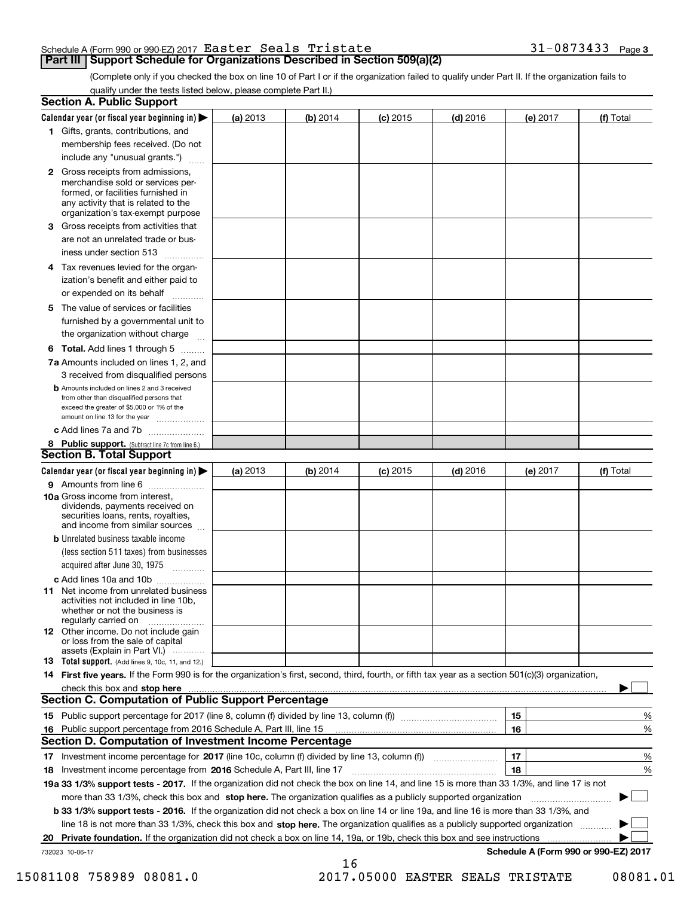|  |  | $31 - 0873433$ Page 3 |  |
|--|--|-----------------------|--|
|  |  |                       |  |

(Complete only if you checked the box on line 10 of Part I or if the organization failed to qualify under Part II. If the organization fails to qualify under the tests listed below, please complete Part II.)

|    | <b>Section A. Public Support</b>                                                                                                                                                                                                    |          |          |            |            |          |                                      |
|----|-------------------------------------------------------------------------------------------------------------------------------------------------------------------------------------------------------------------------------------|----------|----------|------------|------------|----------|--------------------------------------|
|    | Calendar year (or fiscal year beginning in) $\blacktriangleright$                                                                                                                                                                   | (a) 2013 | (b) 2014 | $(c)$ 2015 | $(d)$ 2016 | (e) 2017 | (f) Total                            |
|    | 1 Gifts, grants, contributions, and                                                                                                                                                                                                 |          |          |            |            |          |                                      |
|    | membership fees received. (Do not                                                                                                                                                                                                   |          |          |            |            |          |                                      |
|    | include any "unusual grants.")                                                                                                                                                                                                      |          |          |            |            |          |                                      |
|    | <b>2</b> Gross receipts from admissions,<br>merchandise sold or services per-<br>formed, or facilities furnished in<br>any activity that is related to the<br>organization's tax-exempt purpose                                     |          |          |            |            |          |                                      |
|    | 3 Gross receipts from activities that                                                                                                                                                                                               |          |          |            |            |          |                                      |
|    | are not an unrelated trade or bus-<br>iness under section 513                                                                                                                                                                       |          |          |            |            |          |                                      |
|    | 4 Tax revenues levied for the organ-<br>ization's benefit and either paid to                                                                                                                                                        |          |          |            |            |          |                                      |
|    | or expended on its behalf<br>.                                                                                                                                                                                                      |          |          |            |            |          |                                      |
|    | 5 The value of services or facilities<br>furnished by a governmental unit to                                                                                                                                                        |          |          |            |            |          |                                      |
|    | the organization without charge                                                                                                                                                                                                     |          |          |            |            |          |                                      |
|    | <b>6 Total.</b> Add lines 1 through 5                                                                                                                                                                                               |          |          |            |            |          |                                      |
|    | 7a Amounts included on lines 1, 2, and<br>3 received from disqualified persons                                                                                                                                                      |          |          |            |            |          |                                      |
|    | <b>b</b> Amounts included on lines 2 and 3 received<br>from other than disqualified persons that<br>exceed the greater of \$5,000 or 1% of the<br>amount on line 13 for the year                                                    |          |          |            |            |          |                                      |
|    | c Add lines 7a and 7b                                                                                                                                                                                                               |          |          |            |            |          |                                      |
|    | 8 Public support. (Subtract line 7c from line 6.)                                                                                                                                                                                   |          |          |            |            |          |                                      |
|    | Section B. Total Support                                                                                                                                                                                                            |          |          |            |            |          |                                      |
|    | Calendar year (or fiscal year beginning in)                                                                                                                                                                                         | (a) 2013 | (b) 2014 | $(c)$ 2015 | $(d)$ 2016 | (e) 2017 | (f) Total                            |
|    | 9 Amounts from line 6                                                                                                                                                                                                               |          |          |            |            |          |                                      |
|    | <b>10a</b> Gross income from interest,<br>dividends, payments received on<br>securities loans, rents, royalties,<br>and income from similar sources                                                                                 |          |          |            |            |          |                                      |
|    | <b>b</b> Unrelated business taxable income<br>(less section 511 taxes) from businesses<br>acquired after June 30, 1975                                                                                                              |          |          |            |            |          |                                      |
|    |                                                                                                                                                                                                                                     |          |          |            |            |          |                                      |
|    | c Add lines 10a and 10b<br>11 Net income from unrelated business<br>activities not included in line 10b,<br>whether or not the business is<br>regularly carried on                                                                  |          |          |            |            |          |                                      |
|    | <b>12</b> Other income. Do not include gain<br>or loss from the sale of capital<br>assets (Explain in Part VI.)                                                                                                                     |          |          |            |            |          |                                      |
|    | <b>13</b> Total support. (Add lines 9, 10c, 11, and 12.)                                                                                                                                                                            |          |          |            |            |          |                                      |
|    | 14 First five years. If the Form 990 is for the organization's first, second, third, fourth, or fifth tax year as a section 501(c)(3) organization,                                                                                 |          |          |            |            |          |                                      |
|    | check this box and <b>stop here</b> with the construction of the construction of the construction of the construction of the construction of the construction of the construction of the construction of the construction of the co |          |          |            |            |          |                                      |
|    | Section C. Computation of Public Support Percentage                                                                                                                                                                                 |          |          |            |            |          |                                      |
|    |                                                                                                                                                                                                                                     |          |          |            |            | 15       | %                                    |
|    | 16 Public support percentage from 2016 Schedule A, Part III, line 15                                                                                                                                                                |          |          |            |            | 16       | %                                    |
|    | Section D. Computation of Investment Income Percentage                                                                                                                                                                              |          |          |            |            |          |                                      |
|    | 17 Investment income percentage for 2017 (line 10c, column (f) divided by line 13, column (f))                                                                                                                                      |          |          |            |            | 17       | %                                    |
|    | 18 Investment income percentage from 2016 Schedule A, Part III, line 17                                                                                                                                                             |          |          |            |            | 18       | %                                    |
|    | 19a 33 1/3% support tests - 2017. If the organization did not check the box on line 14, and line 15 is more than 33 1/3%, and line 17 is not                                                                                        |          |          |            |            |          |                                      |
|    | more than 33 1/3%, check this box and stop here. The organization qualifies as a publicly supported organization                                                                                                                    |          |          |            |            |          |                                      |
|    | b 33 1/3% support tests - 2016. If the organization did not check a box on line 14 or line 19a, and line 16 is more than 33 1/3%, and                                                                                               |          |          |            |            |          |                                      |
|    | line 18 is not more than 33 1/3%, check this box and stop here. The organization qualifies as a publicly supported organization                                                                                                     |          |          |            |            |          |                                      |
| 20 | Private foundation. If the organization did not check a box on line 14, 19a, or 19b, check this box and see instructions                                                                                                            |          |          |            |            |          |                                      |
|    | 732023 10-06-17                                                                                                                                                                                                                     |          | 16       |            |            |          | Schedule A (Form 990 or 990-EZ) 2017 |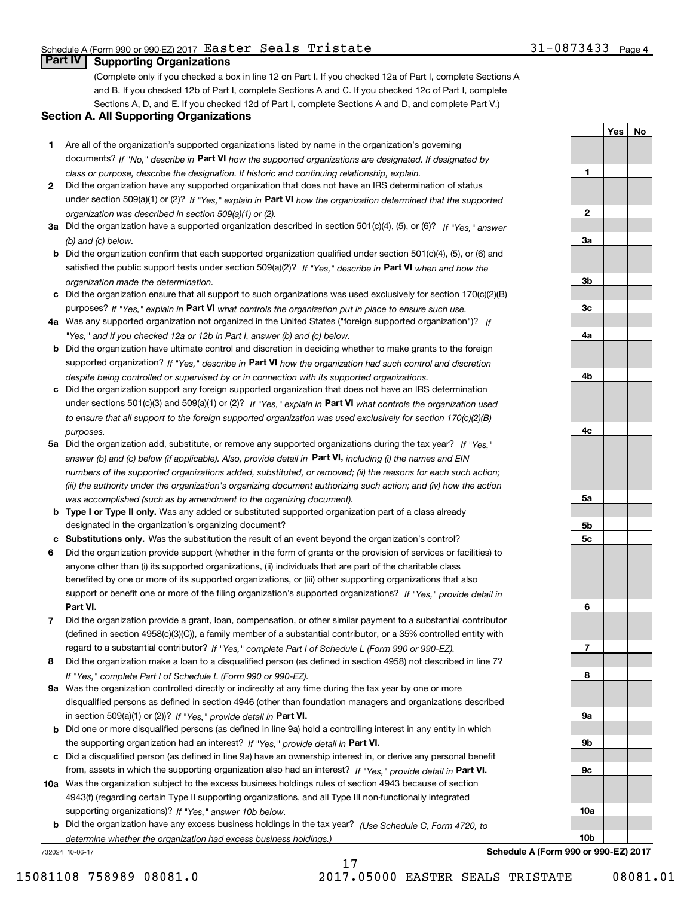### Schedule A (Form 990 or 990-EZ) 2017  ${\tt Easter\ Seals\ Tristate} \hspace{1.5cm} 31-0873433$  Page

### 31-0873433 Page 4

**1**

**2**

**3a**

**3b**

**3c**

**4a**

**4b**

**4c**

**5a**

**5b5c**

**6**

**7**

**8**

**9a**

**9b**

**9c**

**10a**

**10b**

**YesNo**

### **Part IV Supporting Organizations**

(Complete only if you checked a box in line 12 on Part I. If you checked 12a of Part I, complete Sections A and B. If you checked 12b of Part I, complete Sections A and C. If you checked 12c of Part I, complete Sections A, D, and E. If you checked 12d of Part I, complete Sections A and D, and complete Part V.)

### **Section A. All Supporting Organizations**

- **1** Are all of the organization's supported organizations listed by name in the organization's governing documents? If "No," describe in **Part VI** how the supported organizations are designated. If designated by *class or purpose, describe the designation. If historic and continuing relationship, explain.*
- **2** Did the organization have any supported organization that does not have an IRS determination of status under section 509(a)(1) or (2)? If "Yes," explain in Part VI how the organization determined that the supported *organization was described in section 509(a)(1) or (2).*
- **3a** Did the organization have a supported organization described in section 501(c)(4), (5), or (6)? If "Yes," answer *(b) and (c) below.*
- **b** Did the organization confirm that each supported organization qualified under section 501(c)(4), (5), or (6) and satisfied the public support tests under section 509(a)(2)? If "Yes," describe in **Part VI** when and how the *organization made the determination.*
- **c**Did the organization ensure that all support to such organizations was used exclusively for section 170(c)(2)(B) purposes? If "Yes," explain in **Part VI** what controls the organization put in place to ensure such use.
- **4a***If* Was any supported organization not organized in the United States ("foreign supported organization")? *"Yes," and if you checked 12a or 12b in Part I, answer (b) and (c) below.*
- **b** Did the organization have ultimate control and discretion in deciding whether to make grants to the foreign supported organization? If "Yes," describe in **Part VI** how the organization had such control and discretion *despite being controlled or supervised by or in connection with its supported organizations.*
- **c** Did the organization support any foreign supported organization that does not have an IRS determination under sections 501(c)(3) and 509(a)(1) or (2)? If "Yes," explain in **Part VI** what controls the organization used *to ensure that all support to the foreign supported organization was used exclusively for section 170(c)(2)(B) purposes.*
- **5a** Did the organization add, substitute, or remove any supported organizations during the tax year? If "Yes," answer (b) and (c) below (if applicable). Also, provide detail in **Part VI,** including (i) the names and EIN *numbers of the supported organizations added, substituted, or removed; (ii) the reasons for each such action; (iii) the authority under the organization's organizing document authorizing such action; and (iv) how the action was accomplished (such as by amendment to the organizing document).*
- **b** Type I or Type II only. Was any added or substituted supported organization part of a class already designated in the organization's organizing document?
- **cSubstitutions only.**  Was the substitution the result of an event beyond the organization's control?
- **6** Did the organization provide support (whether in the form of grants or the provision of services or facilities) to **Part VI.** *If "Yes," provide detail in* support or benefit one or more of the filing organization's supported organizations? anyone other than (i) its supported organizations, (ii) individuals that are part of the charitable class benefited by one or more of its supported organizations, or (iii) other supporting organizations that also
- **7**Did the organization provide a grant, loan, compensation, or other similar payment to a substantial contributor *If "Yes," complete Part I of Schedule L (Form 990 or 990-EZ).* regard to a substantial contributor? (defined in section 4958(c)(3)(C)), a family member of a substantial contributor, or a 35% controlled entity with
- **8** Did the organization make a loan to a disqualified person (as defined in section 4958) not described in line 7? *If "Yes," complete Part I of Schedule L (Form 990 or 990-EZ).*
- **9a** Was the organization controlled directly or indirectly at any time during the tax year by one or more in section 509(a)(1) or (2))? If "Yes," *provide detail in* <code>Part VI.</code> disqualified persons as defined in section 4946 (other than foundation managers and organizations described
- **b** Did one or more disqualified persons (as defined in line 9a) hold a controlling interest in any entity in which the supporting organization had an interest? If "Yes," provide detail in P**art VI**.
- **c**Did a disqualified person (as defined in line 9a) have an ownership interest in, or derive any personal benefit from, assets in which the supporting organization also had an interest? If "Yes," provide detail in P**art VI.**
- **10a** Was the organization subject to the excess business holdings rules of section 4943 because of section supporting organizations)? If "Yes," answer 10b below. 4943(f) (regarding certain Type II supporting organizations, and all Type III non-functionally integrated
- **b** Did the organization have any excess business holdings in the tax year? (Use Schedule C, Form 4720, to *determine whether the organization had excess business holdings.)*

17

732024 10-06-17

**Schedule A (Form 990 or 990-EZ) 2017**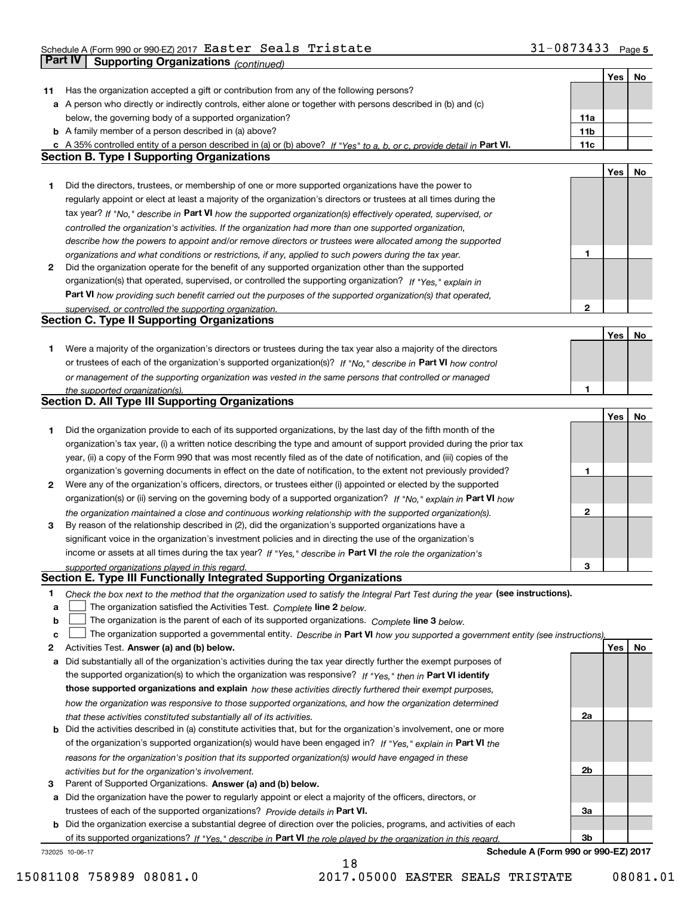### Schedule A (Form 990 or 990-EZ) 2017  ${\tt Easter\ Seals\ Tristate} \hspace{1.5cm} 31-0873433$  Page

|        | <b>Part IV</b><br><b>Supporting Organizations (continued)</b>                                                                                                                                               |                 |     |    |
|--------|-------------------------------------------------------------------------------------------------------------------------------------------------------------------------------------------------------------|-----------------|-----|----|
|        |                                                                                                                                                                                                             |                 | Yes | No |
| 11     | Has the organization accepted a gift or contribution from any of the following persons?                                                                                                                     |                 |     |    |
|        | a A person who directly or indirectly controls, either alone or together with persons described in (b) and (c)                                                                                              |                 |     |    |
|        | below, the governing body of a supported organization?                                                                                                                                                      | 11a             |     |    |
|        | <b>b</b> A family member of a person described in (a) above?                                                                                                                                                | 11 <sub>b</sub> |     |    |
|        | c A 35% controlled entity of a person described in (a) or (b) above? If "Yes" to a, b, or c, provide detail in Part VI.                                                                                     | 11c             |     |    |
|        | <b>Section B. Type I Supporting Organizations</b>                                                                                                                                                           |                 |     |    |
|        |                                                                                                                                                                                                             |                 | Yes | No |
| 1      | Did the directors, trustees, or membership of one or more supported organizations have the power to                                                                                                         |                 |     |    |
|        | regularly appoint or elect at least a majority of the organization's directors or trustees at all times during the                                                                                          |                 |     |    |
|        | tax year? If "No," describe in Part VI how the supported organization(s) effectively operated, supervised, or                                                                                               |                 |     |    |
|        | controlled the organization's activities. If the organization had more than one supported organization,                                                                                                     |                 |     |    |
|        | describe how the powers to appoint and/or remove directors or trustees were allocated among the supported                                                                                                   |                 |     |    |
|        | organizations and what conditions or restrictions, if any, applied to such powers during the tax year.                                                                                                      | 1               |     |    |
| 2      | Did the organization operate for the benefit of any supported organization other than the supported                                                                                                         |                 |     |    |
|        | organization(s) that operated, supervised, or controlled the supporting organization? If "Yes," explain in                                                                                                  |                 |     |    |
|        | Part VI how providing such benefit carried out the purposes of the supported organization(s) that operated,                                                                                                 |                 |     |    |
|        | supervised, or controlled the supporting organization.                                                                                                                                                      | $\mathbf{2}$    |     |    |
|        | <b>Section C. Type II Supporting Organizations</b>                                                                                                                                                          |                 |     |    |
|        |                                                                                                                                                                                                             |                 | Yes | No |
| 1      | Were a majority of the organization's directors or trustees during the tax year also a majority of the directors                                                                                            |                 |     |    |
|        | or trustees of each of the organization's supported organization(s)? If "No," describe in Part VI how control                                                                                               |                 |     |    |
|        | or management of the supporting organization was vested in the same persons that controlled or managed                                                                                                      |                 |     |    |
|        | the supported organization(s).                                                                                                                                                                              | 1               |     |    |
|        | <b>Section D. All Type III Supporting Organizations</b>                                                                                                                                                     |                 |     |    |
|        |                                                                                                                                                                                                             |                 | Yes | No |
| 1      | Did the organization provide to each of its supported organizations, by the last day of the fifth month of the                                                                                              |                 |     |    |
|        | organization's tax year, (i) a written notice describing the type and amount of support provided during the prior tax                                                                                       |                 |     |    |
|        | year, (ii) a copy of the Form 990 that was most recently filed as of the date of notification, and (iii) copies of the                                                                                      |                 |     |    |
|        | organization's governing documents in effect on the date of notification, to the extent not previously provided?                                                                                            | 1               |     |    |
| 2      | Were any of the organization's officers, directors, or trustees either (i) appointed or elected by the supported                                                                                            |                 |     |    |
|        | organization(s) or (ii) serving on the governing body of a supported organization? If "No," explain in Part VI how                                                                                          |                 |     |    |
|        | the organization maintained a close and continuous working relationship with the supported organization(s).                                                                                                 | $\mathbf{2}$    |     |    |
| 3      | By reason of the relationship described in (2), did the organization's supported organizations have a                                                                                                       |                 |     |    |
|        | significant voice in the organization's investment policies and in directing the use of the organization's                                                                                                  |                 |     |    |
|        | income or assets at all times during the tax year? If "Yes," describe in Part VI the role the organization's                                                                                                |                 |     |    |
|        | supported organizations played in this regard.<br>Section E. Type III Functionally Integrated Supporting Organizations                                                                                      | 3               |     |    |
|        |                                                                                                                                                                                                             |                 |     |    |
| 1      | Check the box next to the method that the organization used to satisfy the Integral Part Test during the year (see instructions).<br>The organization satisfied the Activities Test. Complete line 2 below. |                 |     |    |
| a<br>b | The organization is the parent of each of its supported organizations. Complete line 3 below.                                                                                                               |                 |     |    |
| c      | The organization supported a governmental entity. Describe in Part VI how you supported a government entity (see instructions),                                                                             |                 |     |    |
| 2      | Activities Test. Answer (a) and (b) below.                                                                                                                                                                  |                 | Yes | No |
| a      | Did substantially all of the organization's activities during the tax year directly further the exempt purposes of                                                                                          |                 |     |    |
|        | the supported organization(s) to which the organization was responsive? If "Yes," then in Part VI identify                                                                                                  |                 |     |    |
|        | those supported organizations and explain how these activities directly furthered their exempt purposes,                                                                                                    |                 |     |    |
|        | how the organization was responsive to those supported organizations, and how the organization determined                                                                                                   |                 |     |    |
|        | that these activities constituted substantially all of its activities.                                                                                                                                      | 2a              |     |    |
|        | <b>b</b> Did the activities described in (a) constitute activities that, but for the organization's involvement, one or more                                                                                |                 |     |    |
|        | of the organization's supported organization(s) would have been engaged in? If "Yes," explain in Part VI the                                                                                                |                 |     |    |
|        | reasons for the organization's position that its supported organization(s) would have engaged in these                                                                                                      |                 |     |    |
|        | activities but for the organization's involvement.                                                                                                                                                          | 2b              |     |    |
| 3      | Parent of Supported Organizations. Answer (a) and (b) below.                                                                                                                                                |                 |     |    |
|        | a Did the organization have the power to regularly appoint or elect a majority of the officers, directors, or                                                                                               |                 |     |    |
|        | trustees of each of the supported organizations? Provide details in Part VI.                                                                                                                                | За              |     |    |
|        | <b>b</b> Did the organization exercise a substantial degree of direction over the policies, programs, and activities of each                                                                                |                 |     |    |
|        | of its supported organizations? If "Yes." describe in Part VI the role played by the organization in this regard.                                                                                           | 3b              |     |    |
|        | Schedule A (Form 990 or 990-EZ) 2017<br>732025 10-06-17                                                                                                                                                     |                 |     |    |
|        |                                                                                                                                                                                                             |                 |     |    |

15081108 758989 08081.0 2017.05000 EASTER SEALS TRISTATE 08081.01

18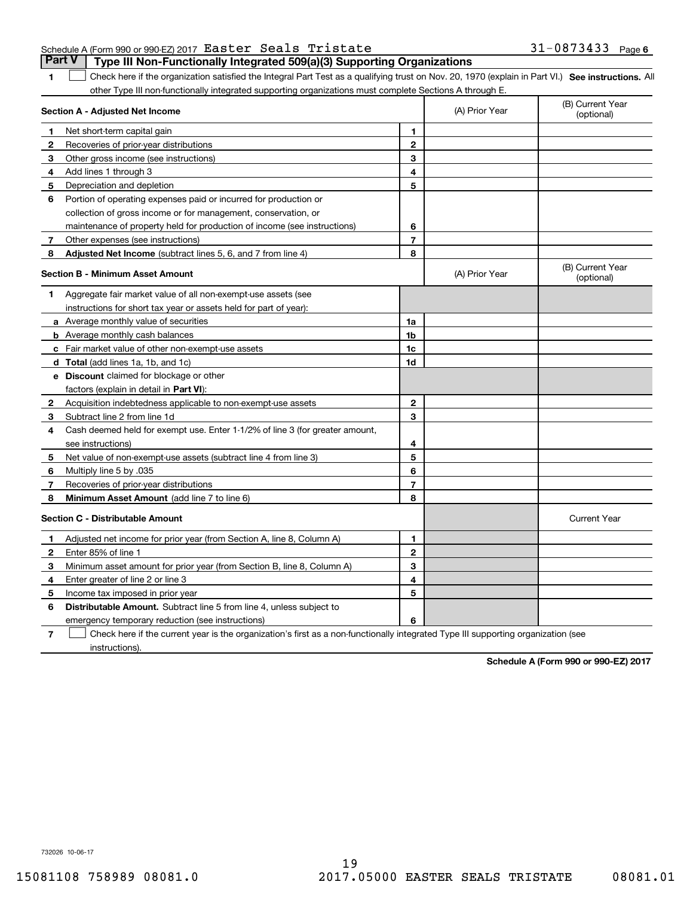|  | Schedule A (Form 990 or 990-EZ) 2017 Easter Seals Tristate |  |                                                                                       | $31 - 0873433$ Page 6 |  |
|--|------------------------------------------------------------|--|---------------------------------------------------------------------------------------|-----------------------|--|
|  |                                                            |  | <b>Part V</b> Type III Non-Functionally Integrated 509(a)(3) Supporting Organizations |                       |  |

1 Check here if the organization satisfied the Integral Part Test as a qualifying trust on Nov. 20, 1970 (explain in Part VI.) See instructions. All other Type III non-functionally integrated supporting organizations must complete Sections A through E.

|              | Section A - Adjusted Net Income                                                                                                   |                | (A) Prior Year | (B) Current Year<br>(optional) |
|--------------|-----------------------------------------------------------------------------------------------------------------------------------|----------------|----------------|--------------------------------|
| 1.           | Net short-term capital gain                                                                                                       | 1              |                |                                |
| 2            | Recoveries of prior-year distributions                                                                                            | $\overline{2}$ |                |                                |
| з            | Other gross income (see instructions)                                                                                             | 3              |                |                                |
| 4            | Add lines 1 through 3                                                                                                             | 4              |                |                                |
| 5            | Depreciation and depletion                                                                                                        | 5              |                |                                |
| 6            | Portion of operating expenses paid or incurred for production or                                                                  |                |                |                                |
|              | collection of gross income or for management, conservation, or                                                                    |                |                |                                |
|              | maintenance of property held for production of income (see instructions)                                                          | 6              |                |                                |
| 7            | Other expenses (see instructions)                                                                                                 | $\overline{7}$ |                |                                |
| 8            | Adjusted Net Income (subtract lines 5, 6, and 7 from line 4)                                                                      | 8              |                |                                |
|              | <b>Section B - Minimum Asset Amount</b>                                                                                           |                | (A) Prior Year | (B) Current Year<br>(optional) |
| 1.           | Aggregate fair market value of all non-exempt-use assets (see                                                                     |                |                |                                |
|              | instructions for short tax year or assets held for part of year):                                                                 |                |                |                                |
|              | <b>a</b> Average monthly value of securities                                                                                      | 1a             |                |                                |
|              | <b>b</b> Average monthly cash balances                                                                                            | 1b             |                |                                |
|              | c Fair market value of other non-exempt-use assets                                                                                | 1 <sub>c</sub> |                |                                |
|              | d Total (add lines 1a, 1b, and 1c)                                                                                                | 1d             |                |                                |
|              | <b>e</b> Discount claimed for blockage or other                                                                                   |                |                |                                |
|              | factors (explain in detail in Part VI):                                                                                           |                |                |                                |
| $\mathbf{2}$ | Acquisition indebtedness applicable to non-exempt-use assets                                                                      | 2              |                |                                |
| 3            | Subtract line 2 from line 1d                                                                                                      | 3              |                |                                |
| 4            | Cash deemed held for exempt use. Enter 1-1/2% of line 3 (for greater amount,                                                      |                |                |                                |
|              | see instructions)                                                                                                                 | 4              |                |                                |
| 5            | Net value of non-exempt-use assets (subtract line 4 from line 3)                                                                  | 5              |                |                                |
| 6            | Multiply line 5 by .035                                                                                                           | 6              |                |                                |
| 7            | Recoveries of prior-year distributions                                                                                            | $\overline{7}$ |                |                                |
| 8            | Minimum Asset Amount (add line 7 to line 6)                                                                                       | 8              |                |                                |
|              | <b>Section C - Distributable Amount</b>                                                                                           |                |                | <b>Current Year</b>            |
| 1            | Adjusted net income for prior year (from Section A, line 8, Column A)                                                             | 1              |                |                                |
| 2            | Enter 85% of line 1                                                                                                               | $\overline{2}$ |                |                                |
| з            | Minimum asset amount for prior year (from Section B, line 8, Column A)                                                            | 3              |                |                                |
| 4            | Enter greater of line 2 or line 3                                                                                                 | 4              |                |                                |
| 5            | Income tax imposed in prior year                                                                                                  | 5              |                |                                |
| 6            | <b>Distributable Amount.</b> Subtract line 5 from line 4, unless subject to                                                       |                |                |                                |
|              | emergency temporary reduction (see instructions)                                                                                  | 6              |                |                                |
| 7            | Check here if the current year is the organization's first as a non-functionally integrated Type III supporting organization (see |                |                |                                |

instructions).

**1**

**Schedule A (Form 990 or 990-EZ) 2017**

732026 10-06-17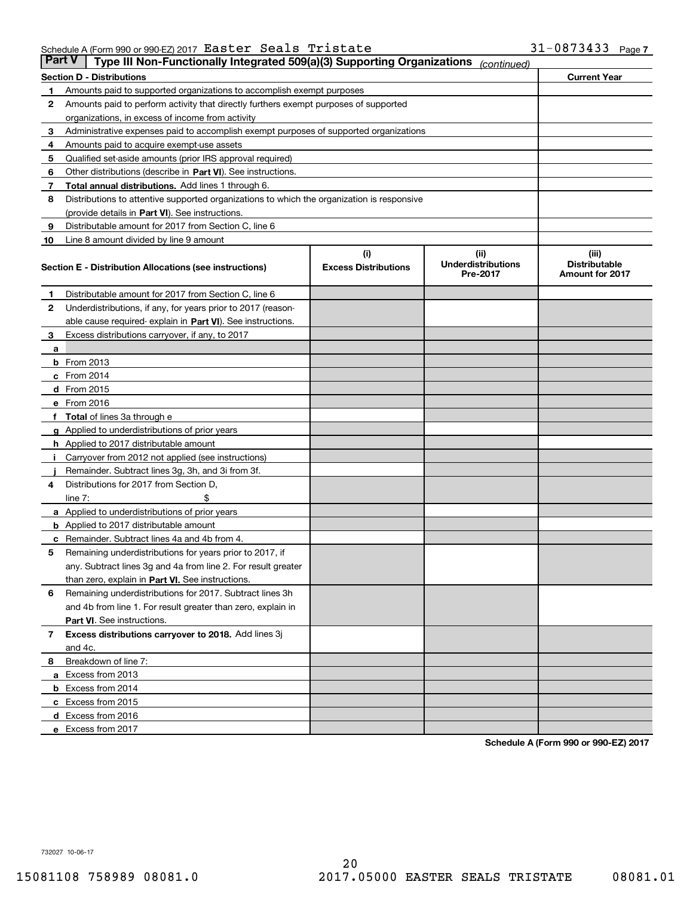|    | Part V<br>Type III Non-Functionally Integrated 509(a)(3) Supporting Organizations          |                             | (continued)                           |                                                |  |  |  |  |  |  |  |
|----|--------------------------------------------------------------------------------------------|-----------------------------|---------------------------------------|------------------------------------------------|--|--|--|--|--|--|--|
|    | <b>Section D - Distributions</b>                                                           |                             |                                       | <b>Current Year</b>                            |  |  |  |  |  |  |  |
|    | Amounts paid to supported organizations to accomplish exempt purposes                      |                             |                                       |                                                |  |  |  |  |  |  |  |
| 2  | Amounts paid to perform activity that directly furthers exempt purposes of supported       |                             |                                       |                                                |  |  |  |  |  |  |  |
|    | organizations, in excess of income from activity                                           |                             |                                       |                                                |  |  |  |  |  |  |  |
| 3  | Administrative expenses paid to accomplish exempt purposes of supported organizations      |                             |                                       |                                                |  |  |  |  |  |  |  |
| 4  | Amounts paid to acquire exempt-use assets                                                  |                             |                                       |                                                |  |  |  |  |  |  |  |
| 5  | Qualified set-aside amounts (prior IRS approval required)                                  |                             |                                       |                                                |  |  |  |  |  |  |  |
| 6  | Other distributions (describe in Part VI). See instructions.                               |                             |                                       |                                                |  |  |  |  |  |  |  |
| 7  | Total annual distributions. Add lines 1 through 6.                                         |                             |                                       |                                                |  |  |  |  |  |  |  |
| 8  | Distributions to attentive supported organizations to which the organization is responsive |                             |                                       |                                                |  |  |  |  |  |  |  |
|    | (provide details in Part VI). See instructions.                                            |                             |                                       |                                                |  |  |  |  |  |  |  |
| 9  | Distributable amount for 2017 from Section C, line 6                                       |                             |                                       |                                                |  |  |  |  |  |  |  |
| 10 | Line 8 amount divided by line 9 amount                                                     |                             |                                       |                                                |  |  |  |  |  |  |  |
|    |                                                                                            | (i)                         | (iii)                                 | (iii)                                          |  |  |  |  |  |  |  |
|    | Section E - Distribution Allocations (see instructions)                                    | <b>Excess Distributions</b> | <b>Underdistributions</b><br>Pre-2017 | <b>Distributable</b><br><b>Amount for 2017</b> |  |  |  |  |  |  |  |
| 1  | Distributable amount for 2017 from Section C, line 6                                       |                             |                                       |                                                |  |  |  |  |  |  |  |
| 2  | Underdistributions, if any, for years prior to 2017 (reason-                               |                             |                                       |                                                |  |  |  |  |  |  |  |
|    | able cause required- explain in Part VI). See instructions.                                |                             |                                       |                                                |  |  |  |  |  |  |  |
| 3  | Excess distributions carryover, if any, to 2017                                            |                             |                                       |                                                |  |  |  |  |  |  |  |
| а  |                                                                                            |                             |                                       |                                                |  |  |  |  |  |  |  |
|    | <b>b</b> From 2013                                                                         |                             |                                       |                                                |  |  |  |  |  |  |  |
|    | $c$ From 2014                                                                              |                             |                                       |                                                |  |  |  |  |  |  |  |
|    | <b>d</b> From 2015                                                                         |                             |                                       |                                                |  |  |  |  |  |  |  |
|    | e From 2016                                                                                |                             |                                       |                                                |  |  |  |  |  |  |  |
|    | <b>Total</b> of lines 3a through e                                                         |                             |                                       |                                                |  |  |  |  |  |  |  |
|    | <b>g</b> Applied to underdistributions of prior years                                      |                             |                                       |                                                |  |  |  |  |  |  |  |
|    | <b>h</b> Applied to 2017 distributable amount                                              |                             |                                       |                                                |  |  |  |  |  |  |  |
|    | Carryover from 2012 not applied (see instructions)                                         |                             |                                       |                                                |  |  |  |  |  |  |  |
|    | Remainder. Subtract lines 3g, 3h, and 3i from 3f.                                          |                             |                                       |                                                |  |  |  |  |  |  |  |
| 4  | Distributions for 2017 from Section D,                                                     |                             |                                       |                                                |  |  |  |  |  |  |  |
|    | line $7:$                                                                                  |                             |                                       |                                                |  |  |  |  |  |  |  |
|    | <b>a</b> Applied to underdistributions of prior years                                      |                             |                                       |                                                |  |  |  |  |  |  |  |
|    | <b>b</b> Applied to 2017 distributable amount                                              |                             |                                       |                                                |  |  |  |  |  |  |  |
|    | Remainder. Subtract lines 4a and 4b from 4.                                                |                             |                                       |                                                |  |  |  |  |  |  |  |
| 5  | Remaining underdistributions for years prior to 2017, if                                   |                             |                                       |                                                |  |  |  |  |  |  |  |
|    | any. Subtract lines 3g and 4a from line 2. For result greater                              |                             |                                       |                                                |  |  |  |  |  |  |  |
|    | than zero, explain in Part VI. See instructions.                                           |                             |                                       |                                                |  |  |  |  |  |  |  |
| 6  | Remaining underdistributions for 2017. Subtract lines 3h                                   |                             |                                       |                                                |  |  |  |  |  |  |  |
|    | and 4b from line 1. For result greater than zero, explain in                               |                             |                                       |                                                |  |  |  |  |  |  |  |
|    | Part VI. See instructions.                                                                 |                             |                                       |                                                |  |  |  |  |  |  |  |
| 7  | Excess distributions carryover to 2018. Add lines 3j                                       |                             |                                       |                                                |  |  |  |  |  |  |  |
|    | and 4c.                                                                                    |                             |                                       |                                                |  |  |  |  |  |  |  |
| 8  | Breakdown of line 7:                                                                       |                             |                                       |                                                |  |  |  |  |  |  |  |
|    | a Excess from 2013                                                                         |                             |                                       |                                                |  |  |  |  |  |  |  |
|    | <b>b</b> Excess from 2014                                                                  |                             |                                       |                                                |  |  |  |  |  |  |  |
|    | c Excess from 2015                                                                         |                             |                                       |                                                |  |  |  |  |  |  |  |
|    | d Excess from 2016                                                                         |                             |                                       |                                                |  |  |  |  |  |  |  |
|    | e Excess from 2017                                                                         |                             |                                       |                                                |  |  |  |  |  |  |  |

**Schedule A (Form 990 or 990-EZ) 2017**

732027 10-06-17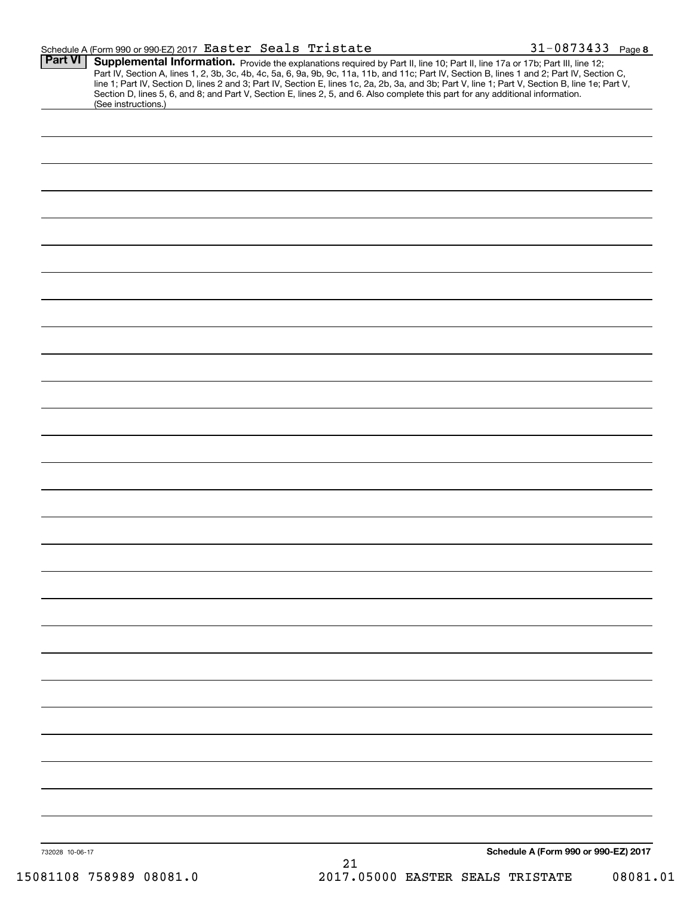|                                            |  |  |   | 1-0873433 | Page 8 |
|--------------------------------------------|--|--|---|-----------|--------|
| $Part M \sim$ Cupplemental Information $-$ |  |  | . |           |        |

| <b>Part VI</b>  | Supplemental Information. Provide the explanations required by Part II, line 10; Part II, line 17a or 17b; Part III, line 12;                    |
|-----------------|--------------------------------------------------------------------------------------------------------------------------------------------------|
|                 | Part IV, Section A, lines 1, 2, 3b, 3c, 4b, 4c, 5a, 6, 9a, 9b, 9c, 11a, 11b, and 11c; Part IV, Section B, lines 1 and 2; Part IV, Section C,     |
|                 | line 1; Part IV, Section D, lines 2 and 3; Part IV, Section E, lines 1c, 2a, 2b, 3a, and 3b; Part V, line 1; Part V, Section B, line 1e; Part V, |
|                 | Section D, lines 5, 6, and 8; and Part V, Section E, lines 2, 5, and 6. Also complete this part for any additional information.                  |
|                 | (See instructions.)                                                                                                                              |
|                 |                                                                                                                                                  |
|                 |                                                                                                                                                  |
|                 |                                                                                                                                                  |
|                 |                                                                                                                                                  |
|                 |                                                                                                                                                  |
|                 |                                                                                                                                                  |
|                 |                                                                                                                                                  |
|                 |                                                                                                                                                  |
|                 |                                                                                                                                                  |
|                 |                                                                                                                                                  |
|                 |                                                                                                                                                  |
|                 |                                                                                                                                                  |
|                 |                                                                                                                                                  |
|                 |                                                                                                                                                  |
|                 |                                                                                                                                                  |
|                 |                                                                                                                                                  |
|                 |                                                                                                                                                  |
|                 |                                                                                                                                                  |
|                 |                                                                                                                                                  |
|                 |                                                                                                                                                  |
|                 |                                                                                                                                                  |
|                 |                                                                                                                                                  |
|                 |                                                                                                                                                  |
|                 |                                                                                                                                                  |
|                 |                                                                                                                                                  |
|                 |                                                                                                                                                  |
|                 |                                                                                                                                                  |
|                 |                                                                                                                                                  |
|                 |                                                                                                                                                  |
|                 |                                                                                                                                                  |
|                 |                                                                                                                                                  |
|                 |                                                                                                                                                  |
|                 |                                                                                                                                                  |
|                 |                                                                                                                                                  |
|                 |                                                                                                                                                  |
|                 |                                                                                                                                                  |
|                 |                                                                                                                                                  |
|                 |                                                                                                                                                  |
|                 |                                                                                                                                                  |
|                 |                                                                                                                                                  |
|                 |                                                                                                                                                  |
|                 |                                                                                                                                                  |
|                 |                                                                                                                                                  |
|                 |                                                                                                                                                  |
|                 |                                                                                                                                                  |
|                 |                                                                                                                                                  |
|                 |                                                                                                                                                  |
|                 |                                                                                                                                                  |
|                 |                                                                                                                                                  |
|                 |                                                                                                                                                  |
|                 |                                                                                                                                                  |
|                 |                                                                                                                                                  |
|                 |                                                                                                                                                  |
|                 |                                                                                                                                                  |
|                 |                                                                                                                                                  |
|                 |                                                                                                                                                  |
|                 |                                                                                                                                                  |
|                 |                                                                                                                                                  |
|                 |                                                                                                                                                  |
|                 |                                                                                                                                                  |
|                 |                                                                                                                                                  |
|                 |                                                                                                                                                  |
|                 |                                                                                                                                                  |
|                 |                                                                                                                                                  |
| 732028 10-06-17 | Schedule A (Form 990 or 990-EZ) 2017                                                                                                             |
|                 | 21                                                                                                                                               |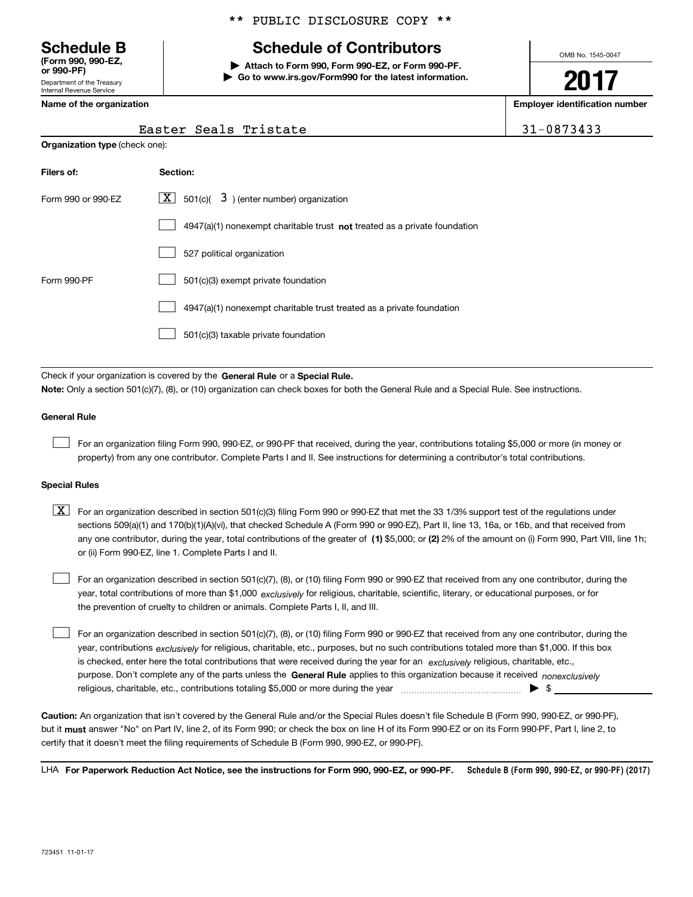Department of the Treasury Internal Revenue Service **(Form 990, 990-EZ, or 990-PF)**

**Organization type** (check one):

### \*\* PUBLIC DISCLOSURE COPY \*\*

### **Schedule B Schedule of Contributors**

**| Attach to Form 990, Form 990-EZ, or Form 990-PF. | Go to www.irs.gov/Form990 for the latest information.** OMB No. 1545-0047

**2017**

**Name of the organization Employer identification number**

| $-0873433$ |  |
|------------|--|
|------------|--|

| Easter Seals Tristate | $131 - 0873433$ |
|-----------------------|-----------------|

| Filers of:         | Section:                                                                    |
|--------------------|-----------------------------------------------------------------------------|
| Form 990 or 990-EZ | $X$ 501(c)( $3$ ) (enter number) organization                               |
|                    | $4947(a)(1)$ nonexempt charitable trust not treated as a private foundation |
|                    | 527 political organization                                                  |
| Form 990-PF        | 501(c)(3) exempt private foundation                                         |
|                    | 4947(a)(1) nonexempt charitable trust treated as a private foundation       |
|                    | 501(c)(3) taxable private foundation                                        |

Check if your organization is covered by the **General Rule** or a **Special Rule. Note:**  Only a section 501(c)(7), (8), or (10) organization can check boxes for both the General Rule and a Special Rule. See instructions.

#### **General Rule**

 $\mathcal{L}^{\text{max}}$ 

For an organization filing Form 990, 990-EZ, or 990-PF that received, during the year, contributions totaling \$5,000 or more (in money or property) from any one contributor. Complete Parts I and II. See instructions for determining a contributor's total contributions.

#### **Special Rules**

 $\mathcal{L}^{\text{max}}$ 

any one contributor, during the year, total contributions of the greater of  $\,$  (1) \$5,000; or **(2)** 2% of the amount on (i) Form 990, Part VIII, line 1h;  $\boxed{\textbf{X}}$  For an organization described in section 501(c)(3) filing Form 990 or 990-EZ that met the 33 1/3% support test of the regulations under sections 509(a)(1) and 170(b)(1)(A)(vi), that checked Schedule A (Form 990 or 990-EZ), Part II, line 13, 16a, or 16b, and that received from or (ii) Form 990-EZ, line 1. Complete Parts I and II.

year, total contributions of more than \$1,000 *exclusively* for religious, charitable, scientific, literary, or educational purposes, or for For an organization described in section 501(c)(7), (8), or (10) filing Form 990 or 990-EZ that received from any one contributor, during the the prevention of cruelty to children or animals. Complete Parts I, II, and III.  $\mathcal{L}^{\text{max}}$ 

purpose. Don't complete any of the parts unless the **General Rule** applies to this organization because it received *nonexclusively* year, contributions <sub>exclusively</sub> for religious, charitable, etc., purposes, but no such contributions totaled more than \$1,000. If this box is checked, enter here the total contributions that were received during the year for an  $\;$ exclusively religious, charitable, etc., For an organization described in section 501(c)(7), (8), or (10) filing Form 990 or 990-EZ that received from any one contributor, during the religious, charitable, etc., contributions totaling \$5,000 or more during the year  $\Box$ — $\Box$   $\Box$ 

**Caution:**  An organization that isn't covered by the General Rule and/or the Special Rules doesn't file Schedule B (Form 990, 990-EZ, or 990-PF),  **must** but it answer "No" on Part IV, line 2, of its Form 990; or check the box on line H of its Form 990-EZ or on its Form 990-PF, Part I, line 2, to certify that it doesn't meet the filing requirements of Schedule B (Form 990, 990-EZ, or 990-PF).

**Schedule B (Form 990, 990-EZ, or 990-PF) (2017) For Paperwork Reduction Act Notice, see the instructions for Form 990, 990-EZ, or 990-PF.** LHA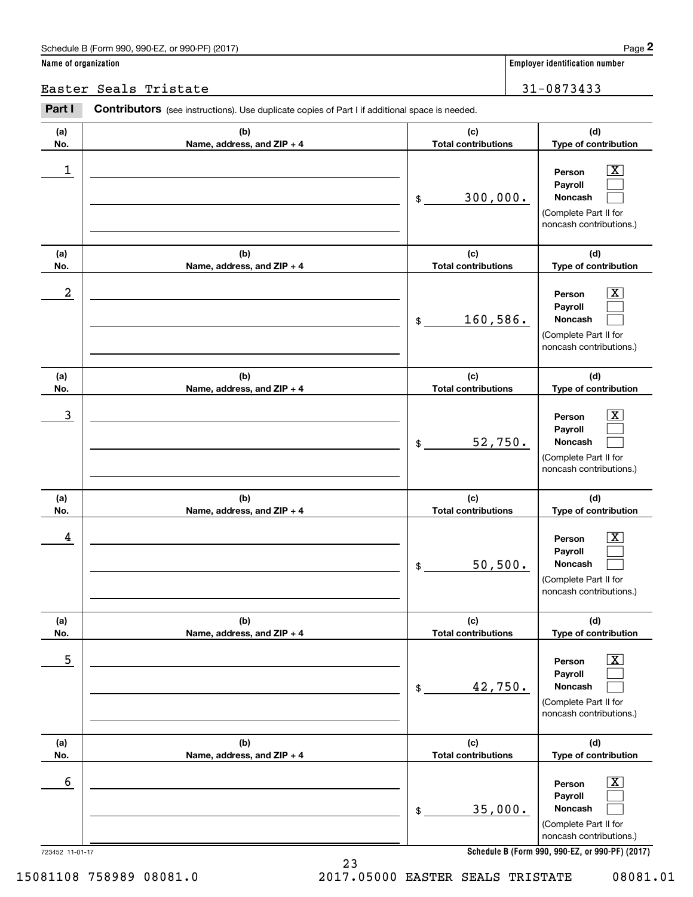### Schedule B (Form 990, 990-EZ, or 990-PF) (2017) **Page 2**

|                      | Schedule B (Form 990, 990-EZ, or 990-PF) (2017)                                                |                                   | Page 2                                                                                                      |
|----------------------|------------------------------------------------------------------------------------------------|-----------------------------------|-------------------------------------------------------------------------------------------------------------|
| Name of organization |                                                                                                |                                   | <b>Employer identification number</b>                                                                       |
|                      | Easter Seals Tristate                                                                          | 31-0873433                        |                                                                                                             |
| Part I               | Contributors (see instructions). Use duplicate copies of Part I if additional space is needed. |                                   |                                                                                                             |
| (a)<br>No.           | (b)<br>Name, address, and ZIP + 4                                                              | (c)<br><b>Total contributions</b> | (d)<br>Type of contribution                                                                                 |
| 1                    |                                                                                                | 300,000.<br>\$                    | $\overline{\mathbf{X}}$<br>Person<br>Payroll<br>Noncash<br>(Complete Part II for<br>noncash contributions.) |
| (a)<br>No.           | (b)<br>Name, address, and ZIP + 4                                                              | (c)<br><b>Total contributions</b> | (d)<br>Type of contribution                                                                                 |
| $\boldsymbol{2}$     |                                                                                                | 160,586.<br>\$                    | $\overline{\mathbf{X}}$<br>Person<br>Payroll<br>Noncash<br>(Complete Part II for<br>noncash contributions.) |
| (a)<br>No.           | (b)<br>Name, address, and ZIP + 4                                                              | (c)<br><b>Total contributions</b> | (d)<br>Type of contribution                                                                                 |
| 3                    |                                                                                                | 52,750.<br>\$                     | $\overline{\text{X}}$<br>Person<br>Payroll<br>Noncash<br>(Complete Part II for<br>noncash contributions.)   |
| (a)<br>No.           | (b)<br>Name, address, and ZIP + 4                                                              | (c)<br><b>Total contributions</b> | (d)<br>Type of contribution                                                                                 |
| 4                    |                                                                                                | 50, 500.<br>\$                    | $\mathbf{X}$<br>Person<br>Payroll<br>Noncash<br>(Complete Part II for<br>noncash contributions.)            |
| (a)<br>No.           | (b)<br>Name, address, and ZIP + 4                                                              | (c)<br><b>Total contributions</b> | (d)<br>Type of contribution                                                                                 |
| 5                    |                                                                                                | 42,750.<br>\$                     | $\boxed{\text{X}}$<br>Person<br>Payroll<br>Noncash<br>(Complete Part II for<br>noncash contributions.)      |
| (a)<br>No.           | (b)<br>Name, address, and ZIP + 4                                                              | (c)<br><b>Total contributions</b> | (d)<br>Type of contribution                                                                                 |
| 6                    |                                                                                                | 35,000.<br>\$                     | $\boxed{\text{X}}$<br>Person<br>Payroll<br>Noncash<br>(Complete Part II for<br>noncash contributions.)      |
| 723452 11-01-17      |                                                                                                |                                   | Schedule B (Form 990, 990-EZ, or 990-PF) (2017)                                                             |

23

15081108 758989 08081.0 2017.05000 EASTER SEALS TRISTATE 08081.01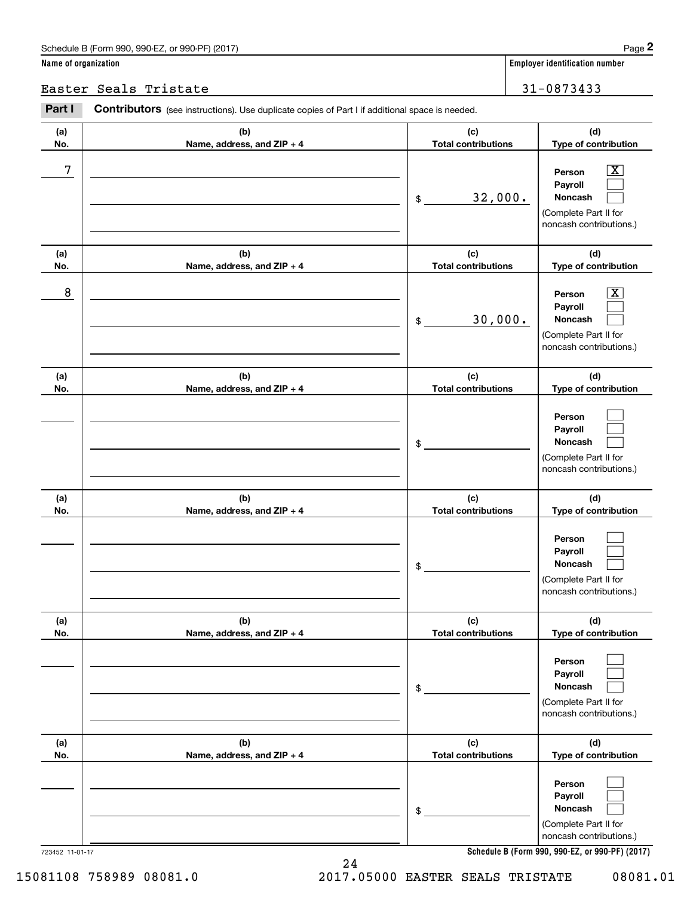### Schedule B (Form 990, 990-EZ, or 990-PF) (2017) Page 2

### **Name of organization Employer identification number**

### Easter Seals Tristate 31-0873433

|                      | Schedule B (Form 990, 990-EZ, or 990-PF) (2017)                                                |                                   | Page 2                                                                                                                              |
|----------------------|------------------------------------------------------------------------------------------------|-----------------------------------|-------------------------------------------------------------------------------------------------------------------------------------|
| Name of organization |                                                                                                |                                   | Employer identification number                                                                                                      |
|                      | Easter Seals Tristate                                                                          |                                   | 31-0873433                                                                                                                          |
| Part I               | Contributors (see instructions). Use duplicate copies of Part I if additional space is needed. |                                   |                                                                                                                                     |
| (a)<br>No.           | (b)<br>Name, address, and ZIP + 4                                                              | (c)<br><b>Total contributions</b> | (d)<br>Type of contribution                                                                                                         |
| 7                    |                                                                                                | 32,000.<br>\$                     | $\mathbf{X}$<br>Person<br>Payroll<br>Noncash<br>(Complete Part II for<br>noncash contributions.)                                    |
| (a)<br>No.           | (b)<br>Name, address, and ZIP + 4                                                              | (c)<br><b>Total contributions</b> | (d)<br>Type of contribution                                                                                                         |
| 8                    |                                                                                                | 30,000.<br>\$                     | $\overline{\mathbf{X}}$<br>Person<br>Payroll<br>Noncash<br>(Complete Part II for<br>noncash contributions.)                         |
| (a)<br>No.           | (b)<br>Name, address, and ZIP + 4                                                              | (c)<br><b>Total contributions</b> | (d)<br>Type of contribution                                                                                                         |
|                      |                                                                                                | \$                                | Person<br>Payroll<br>Noncash<br>(Complete Part II for<br>noncash contributions.)                                                    |
| (a)<br>No.           | (b)<br>Name, address, and ZIP + 4                                                              | (c)<br><b>Total contributions</b> | (d)<br>Type of contribution                                                                                                         |
|                      |                                                                                                | \$                                | Person<br>Payroll<br>Noncash<br>(Complete Part II for<br>noncash contributions.)                                                    |
| (a)<br>No.           | (b)<br>Name, address, and ZIP + 4                                                              | (c)<br><b>Total contributions</b> | (d)<br>Type of contribution                                                                                                         |
|                      |                                                                                                | \$                                | Person<br>Payroll<br>Noncash<br>(Complete Part II for<br>noncash contributions.)                                                    |
| (a)<br>No.           | (b)<br>Name, address, and ZIP + 4                                                              | (c)<br><b>Total contributions</b> | (d)<br>Type of contribution                                                                                                         |
|                      | 723452 11-01-17                                                                                | \$                                | Person<br>Payroll<br>Noncash<br>(Complete Part II for<br>noncash contributions.)<br>Schedule B (Form 990, 990-EZ, or 990-PF) (2017) |

24

**Schedule B (Form 990, 990-EZ, or 990-PF) (2017)**

15081108 758989 08081.0 2017.05000 EASTER SEALS TRISTATE 08081.01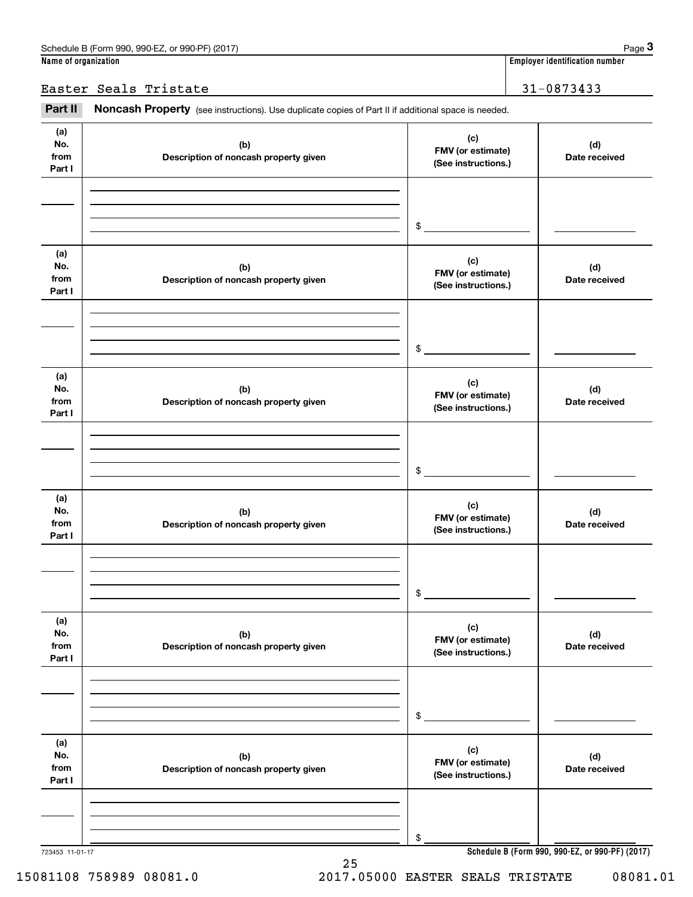Easter Seals Tristate 31-0873433

Employer identification number<br> **31** - 0873433<br> **Part II Noncash Property** (see instructions). Use duplicate copies of Part II if additional space is needed.

| (a)<br>No.<br>from<br>Part I | (b)<br>Description of noncash property given | (c)<br>FMV (or estimate)<br>(See instructions.) | (d)<br>Date received                            |
|------------------------------|----------------------------------------------|-------------------------------------------------|-------------------------------------------------|
|                              |                                              |                                                 |                                                 |
|                              |                                              | \$                                              |                                                 |
|                              |                                              |                                                 |                                                 |
| (a)<br>No.<br>from           | (b)<br>Description of noncash property given | (c)<br>FMV (or estimate)                        | (d)<br>Date received                            |
| Part I                       |                                              | (See instructions.)                             |                                                 |
|                              |                                              |                                                 |                                                 |
|                              |                                              | \$                                              |                                                 |
|                              |                                              |                                                 |                                                 |
| (a)<br>No.                   | (b)                                          | (c)<br>FMV (or estimate)                        | (d)                                             |
| from<br>Part I               | Description of noncash property given        | (See instructions.)                             | Date received                                   |
|                              |                                              |                                                 |                                                 |
|                              |                                              |                                                 |                                                 |
|                              |                                              | \$                                              |                                                 |
| (a)                          |                                              | (c)                                             |                                                 |
| No.<br>from                  | (b)<br>Description of noncash property given | FMV (or estimate)<br>(See instructions.)        | (d)<br>Date received                            |
| Part I                       |                                              |                                                 |                                                 |
|                              |                                              |                                                 |                                                 |
|                              |                                              | \$                                              |                                                 |
|                              |                                              |                                                 |                                                 |
| (a)<br>No.                   | (b)                                          | (c)<br>FMV (or estimate)                        | (d)                                             |
| from<br>Part I               | Description of noncash property given        | (See instructions.)                             | Date received                                   |
|                              |                                              |                                                 |                                                 |
|                              |                                              |                                                 |                                                 |
|                              |                                              | \$                                              |                                                 |
| (a)                          |                                              | (c)                                             |                                                 |
| No.<br>from                  | (b)<br>Description of noncash property given | FMV (or estimate)<br>(See instructions.)        | (d)<br>Date received                            |
| Part I                       |                                              |                                                 |                                                 |
|                              |                                              |                                                 |                                                 |
|                              |                                              | \$                                              |                                                 |
| 723453 11-01-17              |                                              |                                                 | Schedule B (Form 990, 990-EZ, or 990-PF) (2017) |

25

**Schedule B (Form 990, 990-EZ, or 990-PF) (2017)**

15081108 758989 08081.0 2017.05000 EASTER SEALS TRISTATE 08081.01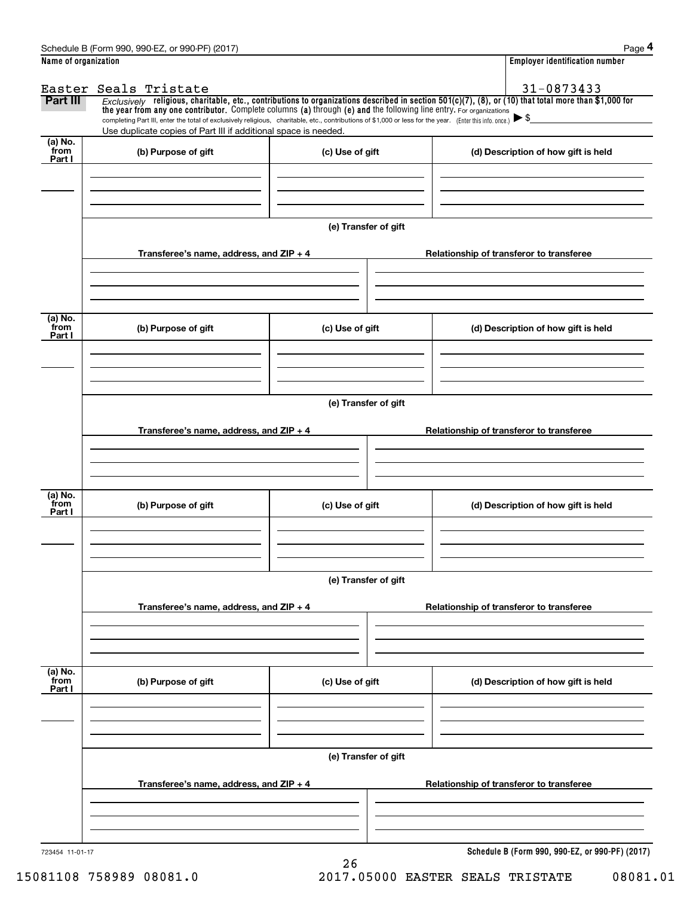|                      | Schedule B (Form 990, 990-EZ, or 990-PF) (2017)                                                                                                                                                                                                                                 |                      |  | Page 4                                          |  |  |  |  |
|----------------------|---------------------------------------------------------------------------------------------------------------------------------------------------------------------------------------------------------------------------------------------------------------------------------|----------------------|--|-------------------------------------------------|--|--|--|--|
| Name of organization |                                                                                                                                                                                                                                                                                 |                      |  | <b>Employer identification number</b>           |  |  |  |  |
|                      | Easter Seals Tristate                                                                                                                                                                                                                                                           |                      |  | 31-0873433                                      |  |  |  |  |
| Part III             | Exclusively religious, charitable, etc., contributions to organizations described in section $501(c)(7)$ , (8), or (10) that total more than \$1,000 for<br>the year from any one contributor. Complete columns (a) through (e) and the following line entry. For organizations |                      |  |                                                 |  |  |  |  |
|                      | completing Part III, enter the total of exclusively religious, charitable, etc., contributions of \$1,000 or less for the year. (Enter this info. once.) $\blacktriangleright$ \$<br>Use duplicate copies of Part III if additional space is needed.                            |                      |  |                                                 |  |  |  |  |
| $(a)$ No.<br>from    |                                                                                                                                                                                                                                                                                 |                      |  |                                                 |  |  |  |  |
| Part I               | (b) Purpose of gift                                                                                                                                                                                                                                                             | (c) Use of gift      |  | (d) Description of how gift is held             |  |  |  |  |
|                      |                                                                                                                                                                                                                                                                                 |                      |  |                                                 |  |  |  |  |
|                      |                                                                                                                                                                                                                                                                                 |                      |  |                                                 |  |  |  |  |
|                      |                                                                                                                                                                                                                                                                                 | (e) Transfer of gift |  |                                                 |  |  |  |  |
|                      |                                                                                                                                                                                                                                                                                 |                      |  |                                                 |  |  |  |  |
|                      | Transferee's name, address, and $ZIP + 4$                                                                                                                                                                                                                                       |                      |  | Relationship of transferor to transferee        |  |  |  |  |
|                      |                                                                                                                                                                                                                                                                                 |                      |  |                                                 |  |  |  |  |
|                      |                                                                                                                                                                                                                                                                                 |                      |  |                                                 |  |  |  |  |
| (a) No.              |                                                                                                                                                                                                                                                                                 |                      |  |                                                 |  |  |  |  |
| from<br>Part I       | (b) Purpose of gift                                                                                                                                                                                                                                                             | (c) Use of gift      |  | (d) Description of how gift is held             |  |  |  |  |
|                      |                                                                                                                                                                                                                                                                                 |                      |  |                                                 |  |  |  |  |
|                      |                                                                                                                                                                                                                                                                                 |                      |  |                                                 |  |  |  |  |
|                      |                                                                                                                                                                                                                                                                                 |                      |  |                                                 |  |  |  |  |
|                      | (e) Transfer of gift                                                                                                                                                                                                                                                            |                      |  |                                                 |  |  |  |  |
|                      | Transferee's name, address, and $ZIP + 4$                                                                                                                                                                                                                                       |                      |  | Relationship of transferor to transferee        |  |  |  |  |
|                      |                                                                                                                                                                                                                                                                                 |                      |  |                                                 |  |  |  |  |
|                      |                                                                                                                                                                                                                                                                                 |                      |  |                                                 |  |  |  |  |
| (a) No.              |                                                                                                                                                                                                                                                                                 |                      |  |                                                 |  |  |  |  |
| from<br>Part I       | (b) Purpose of gift                                                                                                                                                                                                                                                             | (c) Use of gift      |  | (d) Description of how gift is held             |  |  |  |  |
|                      |                                                                                                                                                                                                                                                                                 |                      |  |                                                 |  |  |  |  |
|                      |                                                                                                                                                                                                                                                                                 |                      |  |                                                 |  |  |  |  |
|                      |                                                                                                                                                                                                                                                                                 |                      |  |                                                 |  |  |  |  |
|                      | (e) Transfer of gift                                                                                                                                                                                                                                                            |                      |  |                                                 |  |  |  |  |
|                      | Transferee's name, address, and ZIP + 4                                                                                                                                                                                                                                         |                      |  | Relationship of transferor to transferee        |  |  |  |  |
|                      |                                                                                                                                                                                                                                                                                 |                      |  |                                                 |  |  |  |  |
|                      |                                                                                                                                                                                                                                                                                 |                      |  |                                                 |  |  |  |  |
| (a) No.<br>from      |                                                                                                                                                                                                                                                                                 |                      |  |                                                 |  |  |  |  |
| Part I               | (b) Purpose of gift                                                                                                                                                                                                                                                             | (c) Use of gift      |  | (d) Description of how gift is held             |  |  |  |  |
|                      |                                                                                                                                                                                                                                                                                 |                      |  |                                                 |  |  |  |  |
|                      |                                                                                                                                                                                                                                                                                 |                      |  |                                                 |  |  |  |  |
|                      |                                                                                                                                                                                                                                                                                 |                      |  |                                                 |  |  |  |  |
|                      |                                                                                                                                                                                                                                                                                 | (e) Transfer of gift |  |                                                 |  |  |  |  |
|                      | Transferee's name, address, and $ZIP + 4$                                                                                                                                                                                                                                       |                      |  | Relationship of transferor to transferee        |  |  |  |  |
|                      |                                                                                                                                                                                                                                                                                 |                      |  |                                                 |  |  |  |  |
|                      |                                                                                                                                                                                                                                                                                 |                      |  |                                                 |  |  |  |  |
|                      |                                                                                                                                                                                                                                                                                 |                      |  |                                                 |  |  |  |  |
| 723454 11-01-17      |                                                                                                                                                                                                                                                                                 |                      |  | Schedule B (Form 990, 990-EZ, or 990-PF) (2017) |  |  |  |  |

26

15081108 758989 08081.0 2017.05000 EASTER SEALS TRISTATE 08081.01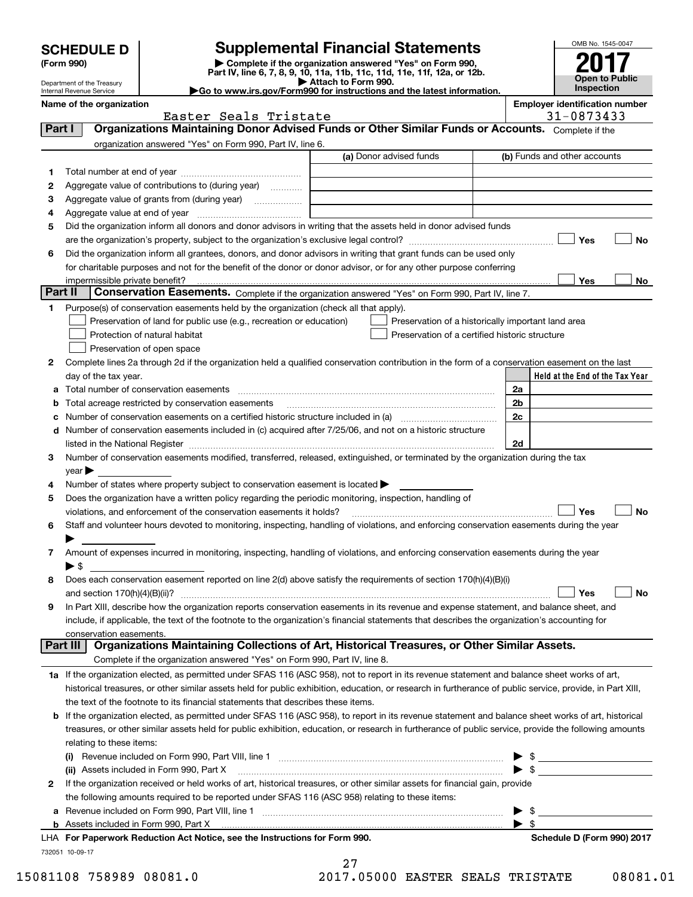|  | <b>SCHEDULE D</b> |  |  |
|--|-------------------|--|--|
|  |                   |  |  |

### **Supplemental Financial Statements**

(Form 990)<br>
Pepartment of the Treasury<br>
Department of the Treasury<br>
Department of the Treasury<br>
Department of the Treasury<br> **Co to www.irs.gov/Form990 for instructions and the latest information.**<br> **Co to www.irs.gov/Form9** 

Easter Seals Tristate 1992 120 120 131-0873433



Department of the Treasury Internal Revenue Service **Name of the organization Employer identification number**

| Part I  | Organizations Maintaining Donor Advised Funds or Other Similar Funds or Accounts. Complete if the                                                                                                                          |                                                |                                                    |
|---------|----------------------------------------------------------------------------------------------------------------------------------------------------------------------------------------------------------------------------|------------------------------------------------|----------------------------------------------------|
|         | organization answered "Yes" on Form 990, Part IV, line 6.                                                                                                                                                                  |                                                |                                                    |
|         |                                                                                                                                                                                                                            | (a) Donor advised funds                        | (b) Funds and other accounts                       |
| 1.      |                                                                                                                                                                                                                            |                                                |                                                    |
| 2       | Aggregate value of contributions to (during year)                                                                                                                                                                          |                                                |                                                    |
| з       |                                                                                                                                                                                                                            |                                                |                                                    |
| 4       |                                                                                                                                                                                                                            |                                                |                                                    |
| 5       | Did the organization inform all donors and donor advisors in writing that the assets held in donor advised funds                                                                                                           |                                                |                                                    |
|         |                                                                                                                                                                                                                            |                                                | Yes<br>No                                          |
| 6       | Did the organization inform all grantees, donors, and donor advisors in writing that grant funds can be used only                                                                                                          |                                                |                                                    |
|         | for charitable purposes and not for the benefit of the donor or donor advisor, or for any other purpose conferring                                                                                                         |                                                |                                                    |
|         |                                                                                                                                                                                                                            |                                                | Yes<br>No                                          |
| Part II | Conservation Easements. Complete if the organization answered "Yes" on Form 990, Part IV, line 7.                                                                                                                          |                                                |                                                    |
| 1       | Purpose(s) of conservation easements held by the organization (check all that apply).                                                                                                                                      |                                                |                                                    |
|         | Preservation of land for public use (e.g., recreation or education)                                                                                                                                                        |                                                | Preservation of a historically important land area |
|         | Protection of natural habitat                                                                                                                                                                                              | Preservation of a certified historic structure |                                                    |
|         | Preservation of open space                                                                                                                                                                                                 |                                                |                                                    |
| 2       | Complete lines 2a through 2d if the organization held a qualified conservation contribution in the form of a conservation easement on the last                                                                             |                                                |                                                    |
|         | day of the tax year.                                                                                                                                                                                                       |                                                | Held at the End of the Tax Year                    |
|         |                                                                                                                                                                                                                            |                                                | 2a                                                 |
| а       |                                                                                                                                                                                                                            |                                                | 2 <sub>b</sub>                                     |
|         | Total acreage restricted by conservation easements                                                                                                                                                                         |                                                |                                                    |
| с       | Number of conservation easements on a certified historic structure included in (a) manufacture included in (a)<br>Number of conservation easements included in (c) acquired after 7/25/06, and not on a historic structure |                                                | 2c                                                 |
| d       |                                                                                                                                                                                                                            |                                                |                                                    |
|         |                                                                                                                                                                                                                            |                                                | 2d                                                 |
| 3       | Number of conservation easements modified, transferred, released, extinguished, or terminated by the organization during the tax                                                                                           |                                                |                                                    |
|         | year                                                                                                                                                                                                                       |                                                |                                                    |
| 4       | Number of states where property subject to conservation easement is located >                                                                                                                                              |                                                |                                                    |
| 5       | Does the organization have a written policy regarding the periodic monitoring, inspection, handling of                                                                                                                     |                                                |                                                    |
|         | violations, and enforcement of the conservation easements it holds?                                                                                                                                                        |                                                | Yes<br>No                                          |
| 6       | Staff and volunteer hours devoted to monitoring, inspecting, handling of violations, and enforcing conservation easements during the year                                                                                  |                                                |                                                    |
|         |                                                                                                                                                                                                                            |                                                |                                                    |
| 7       | Amount of expenses incurred in monitoring, inspecting, handling of violations, and enforcing conservation easements during the year                                                                                        |                                                |                                                    |
|         | $\blacktriangleright$ \$                                                                                                                                                                                                   |                                                |                                                    |
| 8       | Does each conservation easement reported on line 2(d) above satisfy the requirements of section 170(h)(4)(B)(i)                                                                                                            |                                                |                                                    |
|         |                                                                                                                                                                                                                            |                                                | Yes<br>No                                          |
| 9       | In Part XIII, describe how the organization reports conservation easements in its revenue and expense statement, and balance sheet, and                                                                                    |                                                |                                                    |
|         | include, if applicable, the text of the footnote to the organization's financial statements that describes the organization's accounting for                                                                               |                                                |                                                    |
|         | conservation easements.<br>Organizations Maintaining Collections of Art, Historical Treasures, or Other Similar Assets.                                                                                                    |                                                |                                                    |
|         | Part III                                                                                                                                                                                                                   |                                                |                                                    |
|         | Complete if the organization answered "Yes" on Form 990, Part IV, line 8.                                                                                                                                                  |                                                |                                                    |
|         | 1a If the organization elected, as permitted under SFAS 116 (ASC 958), not to report in its revenue statement and balance sheet works of art,                                                                              |                                                |                                                    |
|         | historical treasures, or other similar assets held for public exhibition, education, or research in furtherance of public service, provide, in Part XIII,                                                                  |                                                |                                                    |
|         | the text of the footnote to its financial statements that describes these items.                                                                                                                                           |                                                |                                                    |
| b       | If the organization elected, as permitted under SFAS 116 (ASC 958), to report in its revenue statement and balance sheet works of art, historical                                                                          |                                                |                                                    |
|         | treasures, or other similar assets held for public exhibition, education, or research in furtherance of public service, provide the following amounts                                                                      |                                                |                                                    |
|         | relating to these items:                                                                                                                                                                                                   |                                                |                                                    |
|         |                                                                                                                                                                                                                            |                                                | $\frac{1}{2}$                                      |
|         | (ii) Assets included in Form 990, Part X                                                                                                                                                                                   |                                                |                                                    |
| 2       | If the organization received or held works of art, historical treasures, or other similar assets for financial gain, provide                                                                                               |                                                |                                                    |
|         | the following amounts required to be reported under SFAS 116 (ASC 958) relating to these items:                                                                                                                            |                                                |                                                    |
| а       |                                                                                                                                                                                                                            |                                                | \$                                                 |
|         |                                                                                                                                                                                                                            |                                                | -\$                                                |
|         | LHA For Paperwork Reduction Act Notice, see the Instructions for Form 990.                                                                                                                                                 |                                                | Schedule D (Form 990) 2017                         |
|         | 732051 10-09-17                                                                                                                                                                                                            |                                                |                                                    |
|         |                                                                                                                                                                                                                            | 27                                             |                                                    |

15081108 758989 08081.0 2017.05000 EASTER SEALS TRISTATE 08081.01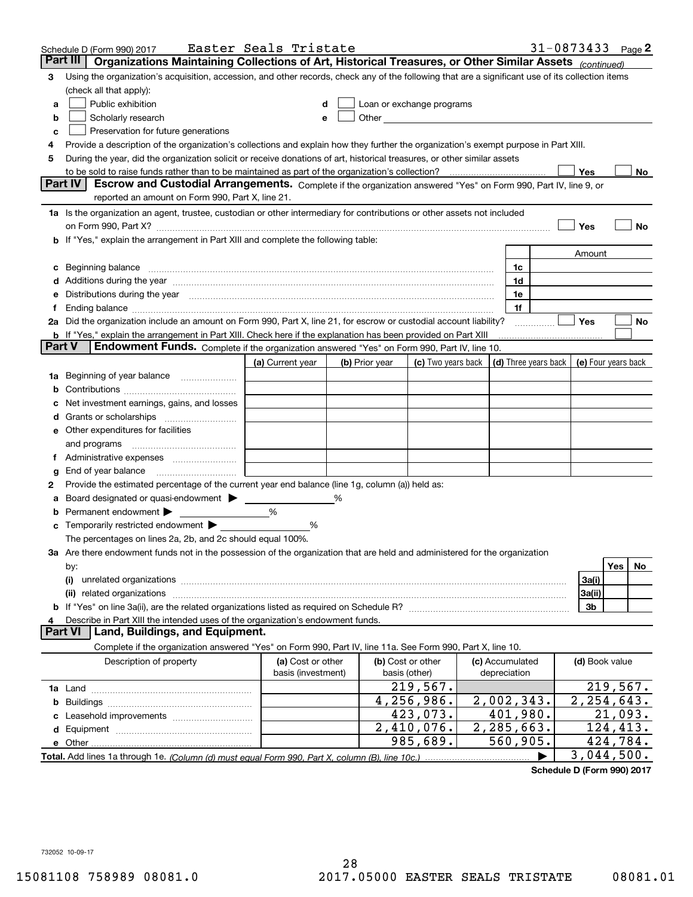|        | Schedule D (Form 990) 2017                                                                                                                                                                                                                          | Easter Seals Tristate |   |                |                           |  |                                      | 31-0873433 $_{Page}$ 2 |                     |          |     |
|--------|-----------------------------------------------------------------------------------------------------------------------------------------------------------------------------------------------------------------------------------------------------|-----------------------|---|----------------|---------------------------|--|--------------------------------------|------------------------|---------------------|----------|-----|
|        | Part III<br>Organizations Maintaining Collections of Art, Historical Treasures, or Other Similar Assets (continued)                                                                                                                                 |                       |   |                |                           |  |                                      |                        |                     |          |     |
| 3      | Using the organization's acquisition, accession, and other records, check any of the following that are a significant use of its collection items                                                                                                   |                       |   |                |                           |  |                                      |                        |                     |          |     |
|        | (check all that apply):                                                                                                                                                                                                                             |                       |   |                |                           |  |                                      |                        |                     |          |     |
| a      | Public exhibition                                                                                                                                                                                                                                   |                       |   |                | Loan or exchange programs |  |                                      |                        |                     |          |     |
| b      | Other and the contract of the contract of the contract of the contract of the contract of the contract of the contract of the contract of the contract of the contract of the contract of the contract of the contract of the<br>Scholarly research |                       |   |                |                           |  |                                      |                        |                     |          |     |
| с      | Preservation for future generations                                                                                                                                                                                                                 |                       |   |                |                           |  |                                      |                        |                     |          |     |
| 4      | Provide a description of the organization's collections and explain how they further the organization's exempt purpose in Part XIII.                                                                                                                |                       |   |                |                           |  |                                      |                        |                     |          |     |
| 5      | During the year, did the organization solicit or receive donations of art, historical treasures, or other similar assets                                                                                                                            |                       |   |                |                           |  |                                      |                        |                     |          |     |
|        | to be sold to raise funds rather than to be maintained as part of the organization's collection?                                                                                                                                                    |                       |   |                |                           |  |                                      |                        | Yes                 |          | No  |
|        | <b>Part IV</b><br>Escrow and Custodial Arrangements. Complete if the organization answered "Yes" on Form 990, Part IV, line 9, or                                                                                                                   |                       |   |                |                           |  |                                      |                        |                     |          |     |
|        | reported an amount on Form 990, Part X, line 21.                                                                                                                                                                                                    |                       |   |                |                           |  |                                      |                        |                     |          |     |
|        | 1a Is the organization an agent, trustee, custodian or other intermediary for contributions or other assets not included                                                                                                                            |                       |   |                |                           |  |                                      |                        |                     |          |     |
|        | on Form 990, Part X? [11] matter contracts and contracts and contracts are contracted and contracts are contracted and contract and contract of the set of the set of the set of the set of the set of the set of the set of t                      |                       |   |                |                           |  |                                      |                        | Yes                 |          | No  |
|        | b If "Yes," explain the arrangement in Part XIII and complete the following table:                                                                                                                                                                  |                       |   |                |                           |  |                                      |                        |                     |          |     |
|        |                                                                                                                                                                                                                                                     |                       |   |                |                           |  |                                      |                        | Amount              |          |     |
| c      | Beginning balance <b>contract to the contract of the contract of the contract of the contract of the contract of t</b>                                                                                                                              |                       |   |                |                           |  | 1c                                   |                        |                     |          |     |
|        | Additions during the year manufactured and an account of the state of the state of the state of the state of the state of the state of the state of the state of the state of the state of the state of the state of the state                      |                       |   |                |                           |  | 1d                                   |                        |                     |          |     |
|        | Distributions during the year manufactured and continuum and contained and contained and contained and contained and contained and contained and contained and contained and contained and contained and contained and contain                      |                       |   |                |                           |  | 1e                                   |                        |                     |          |     |
| Ť.     | Ending balance manufactured and contract the contract of the contract of the contract of the contract of the contract of the contract of the contract of the contract of the contract of the contract of the contract of the c                      |                       |   |                |                           |  | 1f                                   |                        |                     |          |     |
|        | 2a Did the organization include an amount on Form 990, Part X, line 21, for escrow or custodial account liability?                                                                                                                                  |                       |   |                |                           |  |                                      |                        | Yes                 |          | No  |
| Part V | <b>b</b> If "Yes," explain the arrangement in Part XIII. Check here if the explanation has been provided on Part XIII                                                                                                                               |                       |   |                |                           |  |                                      |                        |                     |          |     |
|        | Endowment Funds. Complete if the organization answered "Yes" on Form 990, Part IV, line 10.                                                                                                                                                         |                       |   |                |                           |  |                                      |                        |                     |          |     |
|        |                                                                                                                                                                                                                                                     | (a) Current year      |   | (b) Prior year | (c) Two years back        |  | $\vert$ (d) Three years back $\vert$ |                        | (e) Four years back |          |     |
| 1a     | Beginning of year balance                                                                                                                                                                                                                           |                       |   |                |                           |  |                                      |                        |                     |          |     |
|        |                                                                                                                                                                                                                                                     |                       |   |                |                           |  |                                      |                        |                     |          |     |
|        | Net investment earnings, gains, and losses                                                                                                                                                                                                          |                       |   |                |                           |  |                                      |                        |                     |          |     |
| a      |                                                                                                                                                                                                                                                     |                       |   |                |                           |  |                                      |                        |                     |          |     |
|        | e Other expenditures for facilities                                                                                                                                                                                                                 |                       |   |                |                           |  |                                      |                        |                     |          |     |
|        | and programs                                                                                                                                                                                                                                        |                       |   |                |                           |  |                                      |                        |                     |          |     |
|        |                                                                                                                                                                                                                                                     |                       |   |                |                           |  |                                      |                        |                     |          |     |
| g      | End of year balance<br>Provide the estimated percentage of the current year end balance (line 1g, column (a)) held as:                                                                                                                              |                       |   |                |                           |  |                                      |                        |                     |          |     |
| 2      | Board designated or quasi-endowment                                                                                                                                                                                                                 |                       | % |                |                           |  |                                      |                        |                     |          |     |
| а      | Permanent endowment >                                                                                                                                                                                                                               | %                     |   |                |                           |  |                                      |                        |                     |          |     |
|        | Temporarily restricted endowment $\blacktriangleright$                                                                                                                                                                                              | %                     |   |                |                           |  |                                      |                        |                     |          |     |
|        | The percentages on lines 2a, 2b, and 2c should equal 100%.                                                                                                                                                                                          |                       |   |                |                           |  |                                      |                        |                     |          |     |
|        | 3a Are there endowment funds not in the possession of the organization that are held and administered for the organization                                                                                                                          |                       |   |                |                           |  |                                      |                        |                     |          |     |
|        | by:                                                                                                                                                                                                                                                 |                       |   |                |                           |  |                                      |                        |                     | Yes      | No. |
|        | (i)                                                                                                                                                                                                                                                 |                       |   |                |                           |  |                                      |                        | 3a(i)               |          |     |
|        | 3a(ii)<br>(ii) related organizations                                                                                                                                                                                                                |                       |   |                |                           |  |                                      |                        |                     |          |     |
|        |                                                                                                                                                                                                                                                     |                       |   |                |                           |  |                                      |                        | 3b                  |          |     |
|        | Describe in Part XIII the intended uses of the organization's endowment funds.                                                                                                                                                                      |                       |   |                |                           |  |                                      |                        |                     |          |     |
|        | Land, Buildings, and Equipment.<br>Part VI                                                                                                                                                                                                          |                       |   |                |                           |  |                                      |                        |                     |          |     |
|        | Complete if the organization answered "Yes" on Form 990, Part IV, line 11a. See Form 990, Part X, line 10.                                                                                                                                          |                       |   |                |                           |  |                                      |                        |                     |          |     |
|        | Description of property                                                                                                                                                                                                                             | (a) Cost or other     |   |                | (b) Cost or other         |  | (c) Accumulated                      |                        | (d) Book value      |          |     |
|        |                                                                                                                                                                                                                                                     | basis (investment)    |   |                | basis (other)             |  | depreciation                         |                        |                     |          |     |
|        |                                                                                                                                                                                                                                                     |                       |   |                | 219,567.                  |  |                                      |                        |                     | 219,567. |     |
| b      |                                                                                                                                                                                                                                                     |                       |   |                | 4,256,986.                |  | 2,002,343.                           |                        | 2, 254, 643.        |          |     |
|        |                                                                                                                                                                                                                                                     |                       |   |                | 423,073.                  |  | 401,980.                             |                        |                     | 21,093.  |     |
|        |                                                                                                                                                                                                                                                     |                       |   |                | 2,410,076.                |  | 2,285,663.                           |                        |                     | 124,413. |     |
|        |                                                                                                                                                                                                                                                     |                       |   |                | 985,689.                  |  | 560,905.                             |                        |                     | 424,784. |     |
|        |                                                                                                                                                                                                                                                     |                       |   |                |                           |  |                                      |                        | 3,044,500.          |          |     |

**Schedule D (Form 990) 2017**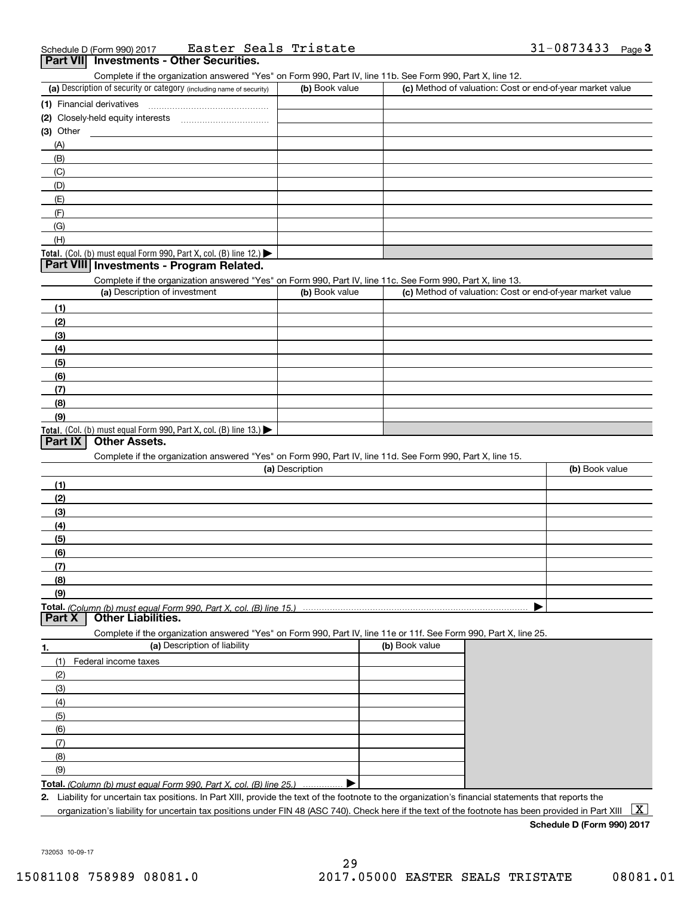|        |         | Schedule D (Form 990) 2017 |  | Easter | Seals ' | Tristate | 0873433<br>– U O | Page |
|--------|---------|----------------------------|--|--------|---------|----------|------------------|------|
| $\sim$ | _______ |                            |  |        | --      |          |                  |      |

### **Part VII Investments - Other Securities.**

Complete if the organization answered "Yes" on Form 990, Part IV, line 11b. See Form 990, Part X, line 12.

| (a) Description of security or category (including name of security) | (b) Book value | (c) Method of valuation: Cost or end-of-year market value |
|----------------------------------------------------------------------|----------------|-----------------------------------------------------------|
| (1) Financial derivatives                                            |                |                                                           |
| (2) Closely-held equity interests                                    |                |                                                           |
| $(3)$ Other                                                          |                |                                                           |
| (A)                                                                  |                |                                                           |
| (B)                                                                  |                |                                                           |
| (C)                                                                  |                |                                                           |
| (D)                                                                  |                |                                                           |
| (E)                                                                  |                |                                                           |
| (F)                                                                  |                |                                                           |
| (G)                                                                  |                |                                                           |
| (H)                                                                  |                |                                                           |
| Total. (Col. (b) must equal Form 990, Part X, col. (B) line $12.$    |                |                                                           |

### **Part VIII Investments - Program Related.**

Complete if the organization answered "Yes" on Form 990, Part IV, line 11c. See Form 990, Part X, line 13.

| (a) Description of investment                                                                 | (b) Book value | (c) Method of valuation: Cost or end-of-year market value |
|-----------------------------------------------------------------------------------------------|----------------|-----------------------------------------------------------|
| (1)                                                                                           |                |                                                           |
| (2)                                                                                           |                |                                                           |
| $\frac{1}{2}$                                                                                 |                |                                                           |
| (4)                                                                                           |                |                                                           |
| (5)                                                                                           |                |                                                           |
| (6)                                                                                           |                |                                                           |
| (7)                                                                                           |                |                                                           |
| (8)                                                                                           |                |                                                           |
| (9)                                                                                           |                |                                                           |
| <b>Total.</b> (Col. (b) must equal Form 990, Part X, col. (B) line 13.) $\blacktriangleright$ |                |                                                           |

### **Part IX Other Assets.**

Complete if the organization answered "Yes" on Form 990, Part IV, line 11d. See Form 990, Part X, line 15.

| (a) Description | (b) Book value |
|-----------------|----------------|
| (1)             |                |
| (2)             |                |
| $\frac{1}{2}$   |                |
| (4)             |                |
| $\frac{1}{2}$   |                |
| (6)             |                |
| (7)             |                |
| (8)             |                |
| (9)             |                |
|                 |                |

**Part X Other Liabilities.**

Complete if the organization answered "Yes" on Form 990, Part IV, line 11e or 11f. See Form 990, Part X, line 25.

| 1.  | (a) Description of liability                                              | (b) Book value |
|-----|---------------------------------------------------------------------------|----------------|
| (1) | Federal income taxes                                                      |                |
| (2) |                                                                           |                |
| (3) |                                                                           |                |
| (4) |                                                                           |                |
| (5) |                                                                           |                |
| (6) |                                                                           |                |
|     |                                                                           |                |
| (8) |                                                                           |                |
| (9) |                                                                           |                |
|     | <b>Total.</b> (Column (b) must equal Form 990. Part X, col. (B) line 25.) |                |

**Total.**  *(Column (b) must equal Form 990, Part X, col. (B) line 25.)* . . . . . . . . . . . . . . .

**2.**Liability for uncertain tax positions. In Part XIII, provide the text of the footnote to the organization's financial statements that reports the organization's liability for uncertain tax positions under FIN 48 (ASC 740). Check here if the text of the footnote has been provided in Part XIII  $~\boxed{\rm X}$ 

**Schedule D (Form 990) 2017**

732053 10-09-17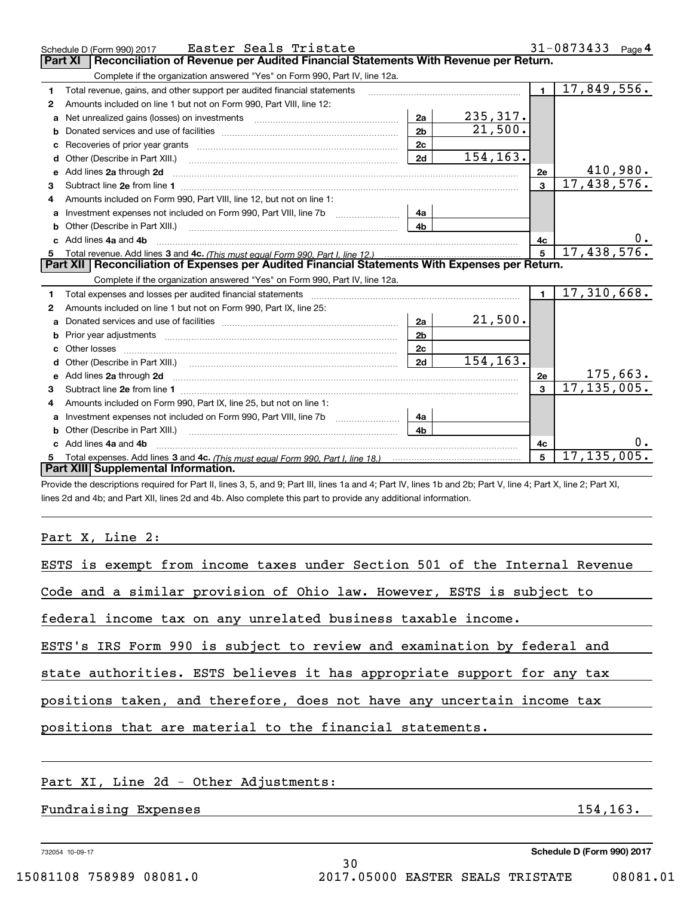|              | Easter Seals Tristate<br>Schedule D (Form 990) 2017                                                                                                                                                                                 |                |           |                | 31-0873433 Page 4            |
|--------------|-------------------------------------------------------------------------------------------------------------------------------------------------------------------------------------------------------------------------------------|----------------|-----------|----------------|------------------------------|
|              | Reconciliation of Revenue per Audited Financial Statements With Revenue per Return.<br><b>Part XI</b>                                                                                                                               |                |           |                |                              |
|              | Complete if the organization answered "Yes" on Form 990, Part IV, line 12a.                                                                                                                                                         |                |           |                |                              |
| 1            | Total revenue, gains, and other support per audited financial statements                                                                                                                                                            |                |           | $\blacksquare$ | 17,849,556.                  |
| $\mathbf{2}$ | Amounts included on line 1 but not on Form 990, Part VIII, line 12:                                                                                                                                                                 |                |           |                |                              |
| a            | Net unrealized gains (losses) on investments [11] matter contracts and the unrealized gains (losses) on investments                                                                                                                 | 2a             | 235, 317. |                |                              |
|              |                                                                                                                                                                                                                                     | 2 <sub>b</sub> | 21,500.   |                |                              |
|              |                                                                                                                                                                                                                                     | 2 <sub>c</sub> |           |                |                              |
| d            | Other (Describe in Part XIII.) <b>Construction Contract Construction</b> Chemistry Chemistry Chemistry Chemistry Chemistry                                                                                                          | 2d             | 154,163.  |                |                              |
| е            | Add lines 2a through 2d                                                                                                                                                                                                             |                |           | 2e             | $\frac{410,980}{17,438,576}$ |
| 3            |                                                                                                                                                                                                                                     |                |           | $\overline{3}$ |                              |
| 4            | Amounts included on Form 990. Part VIII. line 12, but not on line 1:                                                                                                                                                                |                |           |                |                              |
|              | Investment expenses not included on Form 990, Part VIII, line 7b [                                                                                                                                                                  | - 4a           |           |                |                              |
|              |                                                                                                                                                                                                                                     | 4 <sub>h</sub> |           |                |                              |
| c.           | Add lines 4a and 4b                                                                                                                                                                                                                 |                |           | 4с             |                              |
|              |                                                                                                                                                                                                                                     |                |           | 5              | 17,438,576.                  |
|              |                                                                                                                                                                                                                                     |                |           |                |                              |
|              | Part XII   Reconciliation of Expenses per Audited Financial Statements With Expenses per Return.                                                                                                                                    |                |           |                |                              |
|              | Complete if the organization answered "Yes" on Form 990, Part IV, line 12a.                                                                                                                                                         |                |           |                |                              |
| 1            |                                                                                                                                                                                                                                     |                |           | $\blacksquare$ | 17,310,668.                  |
| 2            | Amounts included on line 1 but not on Form 990, Part IX, line 25:                                                                                                                                                                   |                |           |                |                              |
| a            |                                                                                                                                                                                                                                     | 2a             | 21,500.   |                |                              |
| b            |                                                                                                                                                                                                                                     | 2 <sub>b</sub> |           |                |                              |
| c            |                                                                                                                                                                                                                                     | 2 <sub>c</sub> |           |                |                              |
| d            |                                                                                                                                                                                                                                     | 2d             | 154, 163. |                |                              |
|              | Add lines 2a through 2d <b>contained a contained a contained a contained a</b> contained a contact the state of the state of the state of the state of the state of the state of the state of the state of the state of the state o |                |           | 2e             |                              |
| 3            |                                                                                                                                                                                                                                     |                |           | $\overline{3}$ | $\frac{175,663}{17,135,005}$ |
| 4            | Amounts included on Form 990, Part IX, line 25, but not on line 1:                                                                                                                                                                  |                |           |                |                              |
| a            |                                                                                                                                                                                                                                     | 4a             |           |                |                              |
|              | <b>b</b> Other (Describe in Part XIII.)                                                                                                                                                                                             | 4 <sub>h</sub> |           |                |                              |
| C.           | Add lines 4a and 4b                                                                                                                                                                                                                 |                |           | 4с             |                              |
|              | Part XIII Supplemental Information.                                                                                                                                                                                                 |                |           | 5              | 17, 135, 005.                |

Provide the descriptions required for Part II, lines 3, 5, and 9; Part III, lines 1a and 4; Part IV, lines 1b and 2b; Part V, line 4; Part X, line 2; Part XI, lines 2d and 4b; and Part XII, lines 2d and 4b. Also complete this part to provide any additional information.

Part X, Line 2:

| ESTS is exempt from income taxes under Section 501 of the Internal Revenue |          |
|----------------------------------------------------------------------------|----------|
| Code and a similar provision of Ohio law. However, ESTS is subject to      |          |
| federal income tax on any unrelated business taxable income.               |          |
| ESTS's IRS Form 990 is subject to review and examination by federal and    |          |
| state authorities. ESTS believes it has appropriate support for any tax    |          |
| positions taken, and therefore, does not have any uncertain income tax     |          |
| positions that are material to the financial statements.                   |          |
|                                                                            |          |
| Part XI, Line 2d - Other Adjustments:                                      |          |
| Fundraising Expenses                                                       | 154,163. |
|                                                                            |          |

30

732054 10-09-17

**Schedule D (Form 990) 2017**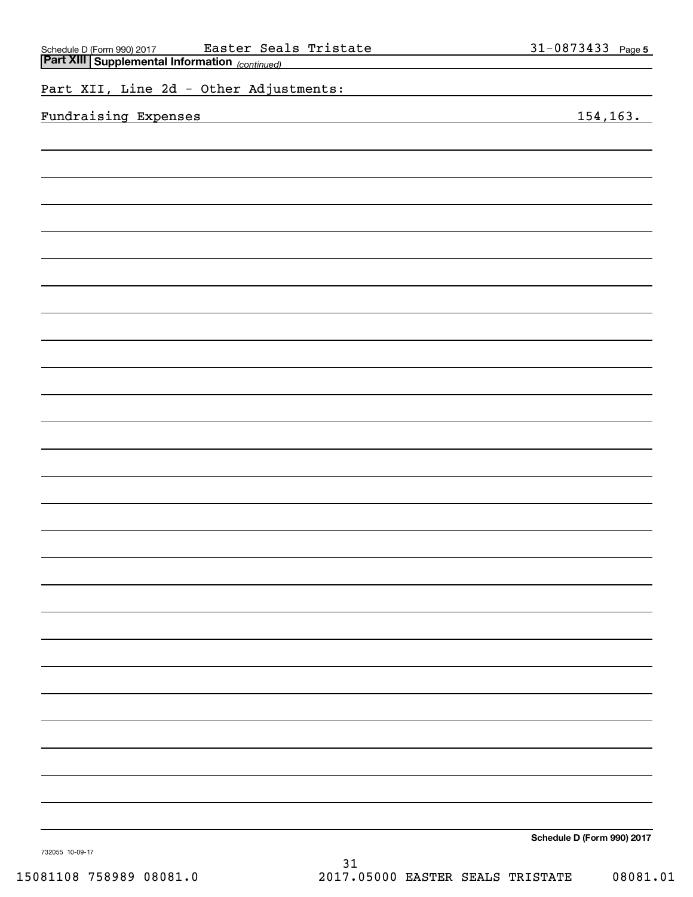| Part XIII Supplemental Information (continued) |                            |
|------------------------------------------------|----------------------------|
| Part XII, Line 2d - Other Adjustments:         |                            |
| Fundraising Expenses                           | 154, 163.                  |
|                                                |                            |
|                                                |                            |
|                                                |                            |
|                                                |                            |
|                                                |                            |
|                                                |                            |
|                                                |                            |
|                                                |                            |
|                                                |                            |
|                                                |                            |
|                                                |                            |
|                                                |                            |
|                                                |                            |
|                                                |                            |
|                                                |                            |
|                                                |                            |
|                                                |                            |
|                                                |                            |
|                                                |                            |
|                                                |                            |
|                                                |                            |
|                                                |                            |
|                                                |                            |
|                                                |                            |
|                                                |                            |
|                                                |                            |
|                                                |                            |
|                                                | Cahadule D (Faum 000) 0047 |

Schedule D (Form 990) 2017 **Easter Seals Tristate** 31-0873433 Page

Easter Seals Tristate

**Schedule D (Form 990) 2017**

**5**

732055 10-09-17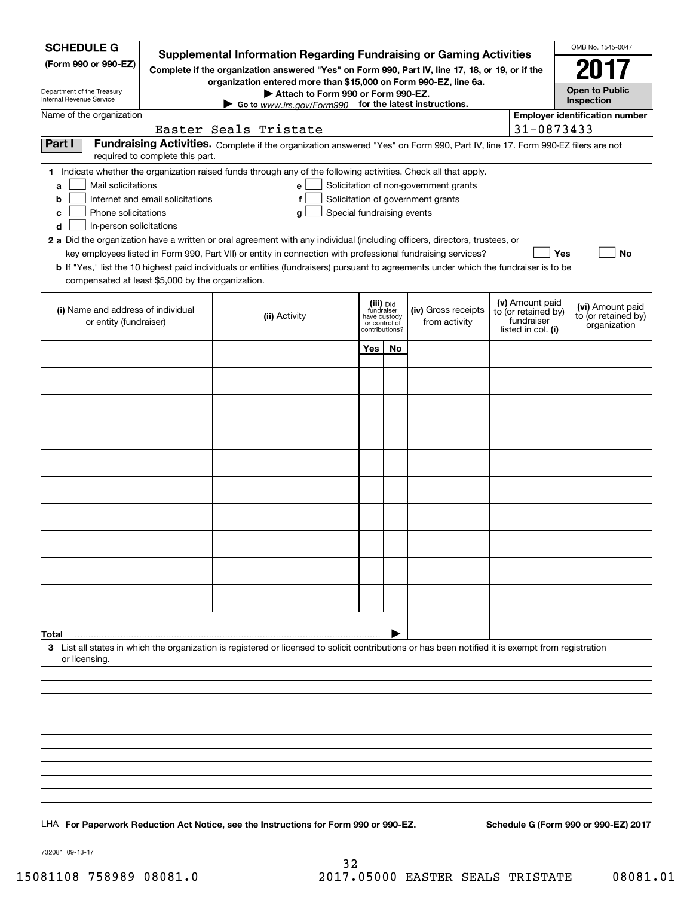| <b>SCHEDULE G</b>                                            |                                  | Supplemental Information Regarding Fundraising or Gaming Activities                                                                                |                                                                            |    |                                       |                                   | OMB No. 1545-0047                     |
|--------------------------------------------------------------|----------------------------------|----------------------------------------------------------------------------------------------------------------------------------------------------|----------------------------------------------------------------------------|----|---------------------------------------|-----------------------------------|---------------------------------------|
| (Form 990 or 990-EZ)                                         |                                  | Complete if the organization answered "Yes" on Form 990, Part IV, line 17, 18, or 19, or if the                                                    |                                                                            |    |                                       |                                   | 2017                                  |
| Department of the Treasury                                   |                                  | organization entered more than \$15,000 on Form 990-EZ, line 6a.                                                                                   |                                                                            |    |                                       |                                   | <b>Open to Public</b>                 |
| Internal Revenue Service                                     |                                  | Attach to Form 990 or Form 990-EZ.<br>Go to www.irs.gov/Form990 for the latest instructions.                                                       |                                                                            |    |                                       |                                   | Inspection                            |
| Name of the organization                                     |                                  | Easter Seals Tristate                                                                                                                              |                                                                            |    |                                       | 31-0873433                        | <b>Employer identification number</b> |
| Part I                                                       | required to complete this part.  | Fundraising Activities. Complete if the organization answered "Yes" on Form 990, Part IV, line 17. Form 990-EZ filers are not                      |                                                                            |    |                                       |                                   |                                       |
|                                                              |                                  | 1 Indicate whether the organization raised funds through any of the following activities. Check all that apply.                                    |                                                                            |    |                                       |                                   |                                       |
| Mail solicitations<br>a                                      |                                  | e                                                                                                                                                  |                                                                            |    | Solicitation of non-government grants |                                   |                                       |
| b                                                            | Internet and email solicitations | f                                                                                                                                                  |                                                                            |    | Solicitation of government grants     |                                   |                                       |
| Phone solicitations<br>c<br>d<br>In-person solicitations     |                                  | Special fundraising events<br>g                                                                                                                    |                                                                            |    |                                       |                                   |                                       |
|                                                              |                                  | 2 a Did the organization have a written or oral agreement with any individual (including officers, directors, trustees, or                         |                                                                            |    |                                       |                                   |                                       |
|                                                              |                                  | key employees listed in Form 990, Part VII) or entity in connection with professional fundraising services?                                        |                                                                            |    |                                       | Yes                               | No                                    |
| compensated at least \$5,000 by the organization.            |                                  | <b>b</b> If "Yes," list the 10 highest paid individuals or entities (fundraisers) pursuant to agreements under which the fundraiser is to be       |                                                                            |    |                                       |                                   |                                       |
|                                                              |                                  |                                                                                                                                                    |                                                                            |    |                                       | (v) Amount paid                   | (vi) Amount paid                      |
| (i) Name and address of individual<br>or entity (fundraiser) |                                  | (ii) Activity                                                                                                                                      | (iii) Did<br>fundraiser<br>have custody<br>or control of<br>contributions? |    | (iv) Gross receipts<br>from activity  | to (or retained by)<br>fundraiser | to (or retained by)<br>organization   |
|                                                              |                                  |                                                                                                                                                    | <b>Yes</b>                                                                 | No |                                       | listed in col. (i)                |                                       |
|                                                              |                                  |                                                                                                                                                    |                                                                            |    |                                       |                                   |                                       |
|                                                              |                                  |                                                                                                                                                    |                                                                            |    |                                       |                                   |                                       |
|                                                              |                                  |                                                                                                                                                    |                                                                            |    |                                       |                                   |                                       |
|                                                              |                                  |                                                                                                                                                    |                                                                            |    |                                       |                                   |                                       |
|                                                              |                                  |                                                                                                                                                    |                                                                            |    |                                       |                                   |                                       |
|                                                              |                                  |                                                                                                                                                    |                                                                            |    |                                       |                                   |                                       |
|                                                              |                                  |                                                                                                                                                    |                                                                            |    |                                       |                                   |                                       |
|                                                              |                                  |                                                                                                                                                    |                                                                            |    |                                       |                                   |                                       |
|                                                              |                                  |                                                                                                                                                    |                                                                            |    |                                       |                                   |                                       |
|                                                              |                                  |                                                                                                                                                    |                                                                            |    |                                       |                                   |                                       |
|                                                              |                                  |                                                                                                                                                    |                                                                            |    |                                       |                                   |                                       |
|                                                              |                                  |                                                                                                                                                    |                                                                            |    |                                       |                                   |                                       |
| Total                                                        |                                  | 3 List all states in which the organization is registered or licensed to solicit contributions or has been notified it is exempt from registration |                                                                            |    |                                       |                                   |                                       |
| or licensing.                                                |                                  |                                                                                                                                                    |                                                                            |    |                                       |                                   |                                       |
|                                                              |                                  |                                                                                                                                                    |                                                                            |    |                                       |                                   |                                       |
|                                                              |                                  |                                                                                                                                                    |                                                                            |    |                                       |                                   |                                       |
|                                                              |                                  |                                                                                                                                                    |                                                                            |    |                                       |                                   |                                       |
|                                                              |                                  |                                                                                                                                                    |                                                                            |    |                                       |                                   |                                       |
|                                                              |                                  |                                                                                                                                                    |                                                                            |    |                                       |                                   |                                       |
|                                                              |                                  |                                                                                                                                                    |                                                                            |    |                                       |                                   |                                       |
|                                                              |                                  |                                                                                                                                                    |                                                                            |    |                                       |                                   |                                       |
|                                                              |                                  |                                                                                                                                                    |                                                                            |    |                                       |                                   |                                       |
|                                                              |                                  | LHA For Paperwork Reduction Act Notice, see the Instructions for Form 990 or 990-EZ.                                                               |                                                                            |    |                                       |                                   | Schedule G (Form 990 or 990-EZ) 2017  |

732081 09-13-17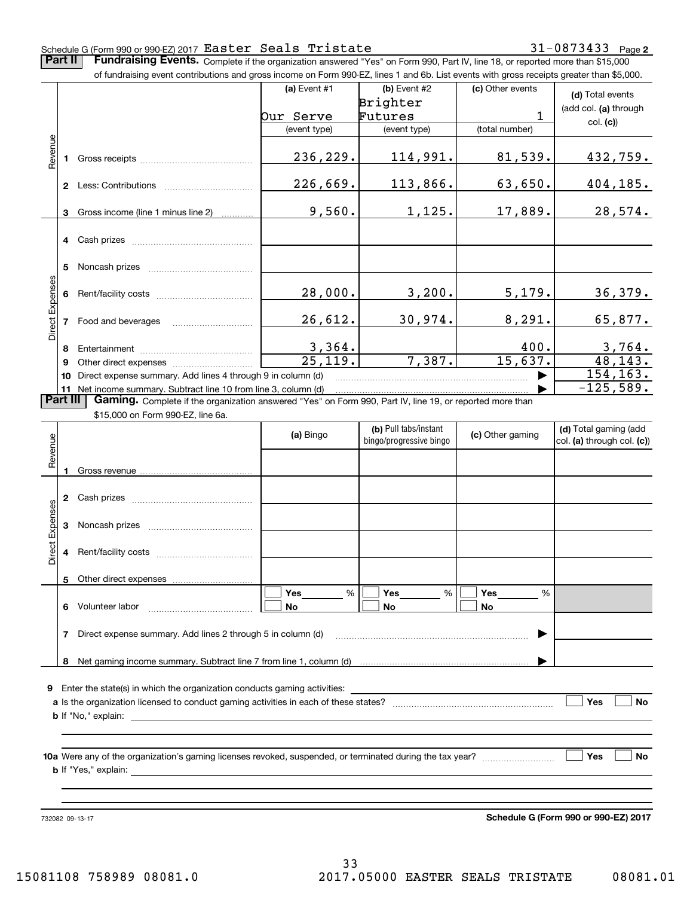#### **2** Schedule G (Form 990 or 990-EZ) 2017 Page Easter Seals Tristate 31-0873433

**Part II** | Fundraising Events. Complete if the organization answered "Yes" on Form 990, Part IV, line 18, or reported more than \$15,000

|                 |          | of fundraising event contributions and gross income on Form 990-EZ, lines 1 and 6b. List events with gross receipts greater than \$5,000. |                          |                                                  |                  |                                                     |
|-----------------|----------|-------------------------------------------------------------------------------------------------------------------------------------------|--------------------------|--------------------------------------------------|------------------|-----------------------------------------------------|
|                 |          |                                                                                                                                           | (a) Event $#1$           | $(b)$ Event #2                                   | (c) Other events | (d) Total events                                    |
|                 |          |                                                                                                                                           |                          | Brighter                                         |                  | (add col. (a) through                               |
|                 |          |                                                                                                                                           | <b>Our Serve</b>         | Futures                                          | $\mathbf{1}$     | col. (c)                                            |
|                 |          |                                                                                                                                           | (event type)             | (event type)                                     | (total number)   |                                                     |
| Revenue         | 1.       |                                                                                                                                           | 236,229.                 | 114,991.                                         | 81,539.          | 432,759.                                            |
|                 |          |                                                                                                                                           | 226,669.                 | 113,866.                                         | 63,650.          | 404,185.                                            |
|                 | 3        | Gross income (line 1 minus line 2)                                                                                                        | 9,560.                   | 1,125.                                           | 17,889.          | 28,574.                                             |
|                 |          | 4 Cash prizes                                                                                                                             |                          |                                                  |                  |                                                     |
|                 | 5        | Noncash prizes                                                                                                                            |                          |                                                  |                  |                                                     |
|                 |          |                                                                                                                                           | 28,000.                  | 3,200.                                           | 5,179.           | 36,379.                                             |
| Direct Expenses |          | 7 Food and beverages                                                                                                                      | 26,612.                  | 30,974.                                          | 8,291.           | 65,877.                                             |
|                 | 8        |                                                                                                                                           |                          |                                                  | 400.             |                                                     |
|                 | 9        |                                                                                                                                           | $\frac{3,364}{25,119}$ . | 7,387.                                           | 15,637.          | $\frac{3,764}{48,143}$ .                            |
|                 | 10       | Direct expense summary. Add lines 4 through 9 in column (d)                                                                               |                          |                                                  |                  | 154, 163.                                           |
|                 |          | 11 Net income summary. Subtract line 10 from line 3, column (d)                                                                           |                          |                                                  |                  | $-125,589.$                                         |
|                 | Part III | Gaming. Complete if the organization answered "Yes" on Form 990, Part IV, line 19, or reported more than                                  |                          |                                                  |                  |                                                     |
|                 |          |                                                                                                                                           |                          |                                                  |                  |                                                     |
|                 |          | \$15,000 on Form 990-EZ, line 6a.                                                                                                         |                          |                                                  |                  |                                                     |
|                 |          |                                                                                                                                           | (a) Bingo                | (b) Pull tabs/instant<br>bingo/progressive bingo | (c) Other gaming | (d) Total gaming (add<br>col. (a) through col. (c)) |
|                 |          |                                                                                                                                           |                          |                                                  |                  |                                                     |
| Revenue         | 1        |                                                                                                                                           |                          |                                                  |                  |                                                     |
|                 |          | 2 Cash prizes                                                                                                                             |                          |                                                  |                  |                                                     |
|                 |          | 3 Noncash prizes                                                                                                                          |                          |                                                  |                  |                                                     |
| Direct Expenses |          | 4 Rent/facility costs                                                                                                                     |                          |                                                  |                  |                                                     |
|                 | 5        | Other direct expenses                                                                                                                     |                          |                                                  |                  |                                                     |
|                 | 6        | Volunteer labor                                                                                                                           | $\%$<br>Yes<br>No        | Yes<br>%<br>No                                   | Yes<br>%<br>No   |                                                     |
|                 | 7        | Direct expense summary. Add lines 2 through 5 in column (d)                                                                               |                          |                                                  |                  |                                                     |
|                 |          |                                                                                                                                           |                          |                                                  |                  |                                                     |
|                 | 8        |                                                                                                                                           |                          |                                                  |                  |                                                     |
| 9               |          | Enter the state(s) in which the organization conducts gaming activities:                                                                  |                          |                                                  |                  |                                                     |
|                 |          |                                                                                                                                           |                          |                                                  |                  | Yes<br><b>No</b>                                    |
|                 |          | <b>b</b> If "No," explain:                                                                                                                |                          |                                                  |                  |                                                     |
|                 |          |                                                                                                                                           |                          |                                                  |                  |                                                     |

**10 a Yes No** Were any of the organization's gaming licenses revoked, suspended, or terminated during the tax year? ~~~~~~~~~ **b** If "Yes," explain:

732082 09-13-17

**Schedule G (Form 990 or 990-EZ) 2017**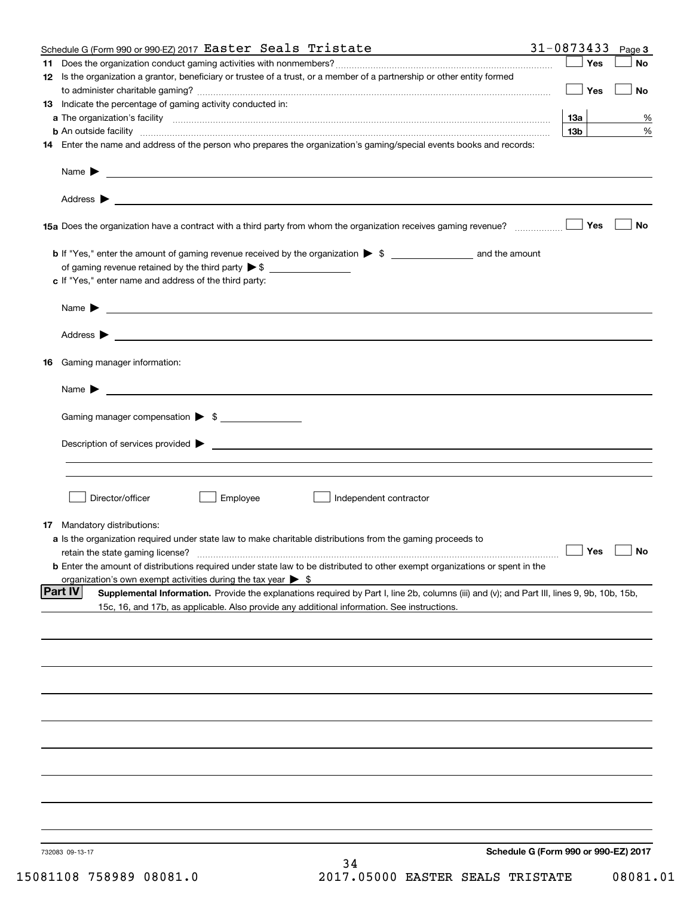|    | Schedule G (Form 990 or 990-EZ) 2017 Easter Seals Tristate                                                                                                                                                                                | 31-0873433                           |                 | Page 3    |
|----|-------------------------------------------------------------------------------------------------------------------------------------------------------------------------------------------------------------------------------------------|--------------------------------------|-----------------|-----------|
| 11 |                                                                                                                                                                                                                                           |                                      | Yes             | No        |
|    | 12 Is the organization a grantor, beneficiary or trustee of a trust, or a member of a partnership or other entity formed                                                                                                                  |                                      | Yes             | No        |
|    | 13 Indicate the percentage of gaming activity conducted in:                                                                                                                                                                               |                                      |                 |           |
|    |                                                                                                                                                                                                                                           |                                      | 1За             | %         |
|    | <b>b</b> An outside facility <b>contained an according to the contract of the contract of the contract of the contract of the contract of the contract of the contract of the contract of the contract of the contract of the contrac</b> |                                      | 13 <sub>b</sub> | %         |
|    | 14 Enter the name and address of the person who prepares the organization's gaming/special events books and records:                                                                                                                      |                                      |                 |           |
|    |                                                                                                                                                                                                                                           |                                      |                 |           |
|    |                                                                                                                                                                                                                                           |                                      |                 |           |
|    |                                                                                                                                                                                                                                           |                                      | Yes             | No        |
|    |                                                                                                                                                                                                                                           |                                      |                 |           |
|    | of gaming revenue retained by the third party $\triangleright$ \$                                                                                                                                                                         |                                      |                 |           |
|    | c If "Yes," enter name and address of the third party:                                                                                                                                                                                    |                                      |                 |           |
|    | $Name \rightarrow$                                                                                                                                                                                                                        |                                      |                 |           |
|    |                                                                                                                                                                                                                                           |                                      |                 |           |
|    | 16 Gaming manager information:                                                                                                                                                                                                            |                                      |                 |           |
|    | $Name \rightarrow$                                                                                                                                                                                                                        |                                      |                 |           |
|    | Gaming manager compensation > \$                                                                                                                                                                                                          |                                      |                 |           |
|    |                                                                                                                                                                                                                                           |                                      |                 |           |
|    |                                                                                                                                                                                                                                           |                                      |                 |           |
|    |                                                                                                                                                                                                                                           |                                      |                 |           |
|    |                                                                                                                                                                                                                                           |                                      |                 |           |
|    | Employee<br>Director/officer<br>Independent contractor                                                                                                                                                                                    |                                      |                 |           |
|    |                                                                                                                                                                                                                                           |                                      |                 |           |
|    | 17 Mandatory distributions:<br>a Is the organization required under state law to make charitable distributions from the gaming proceeds to                                                                                                |                                      |                 |           |
|    | retain the state gaming license?                                                                                                                                                                                                          |                                      | $\Box$ Yes      | $\Box$ No |
|    | <b>b</b> Enter the amount of distributions required under state law to be distributed to other exempt organizations or spent in the                                                                                                       |                                      |                 |           |
|    | organization's own exempt activities during the tax year $\triangleright$ \$                                                                                                                                                              |                                      |                 |           |
|    | Part IV<br>Supplemental Information. Provide the explanations required by Part I, line 2b, columns (iii) and (v); and Part III, lines 9, 9b, 10b, 15b,                                                                                    |                                      |                 |           |
|    | 15c, 16, and 17b, as applicable. Also provide any additional information. See instructions.                                                                                                                                               |                                      |                 |           |
|    |                                                                                                                                                                                                                                           |                                      |                 |           |
|    |                                                                                                                                                                                                                                           |                                      |                 |           |
|    |                                                                                                                                                                                                                                           |                                      |                 |           |
|    |                                                                                                                                                                                                                                           |                                      |                 |           |
|    |                                                                                                                                                                                                                                           |                                      |                 |           |
|    |                                                                                                                                                                                                                                           |                                      |                 |           |
|    |                                                                                                                                                                                                                                           |                                      |                 |           |
|    |                                                                                                                                                                                                                                           |                                      |                 |           |
|    |                                                                                                                                                                                                                                           |                                      |                 |           |
|    | 732083 09-13-17<br>34                                                                                                                                                                                                                     | Schedule G (Form 990 or 990-EZ) 2017 |                 |           |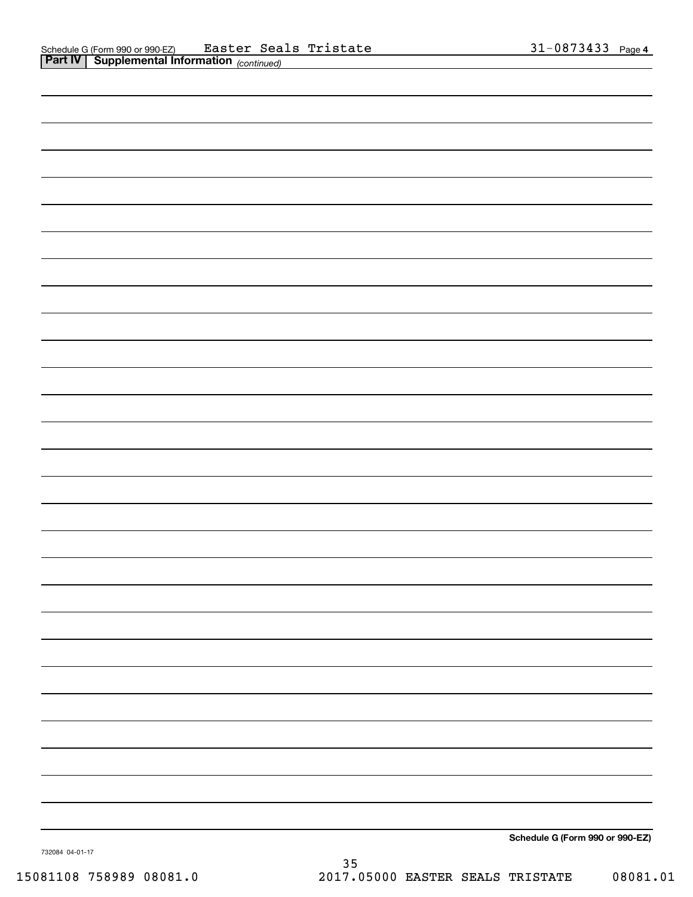| Schedule G (Form 990 or 990-EZ) |
|---------------------------------|
|                                 |

732084 04-01-17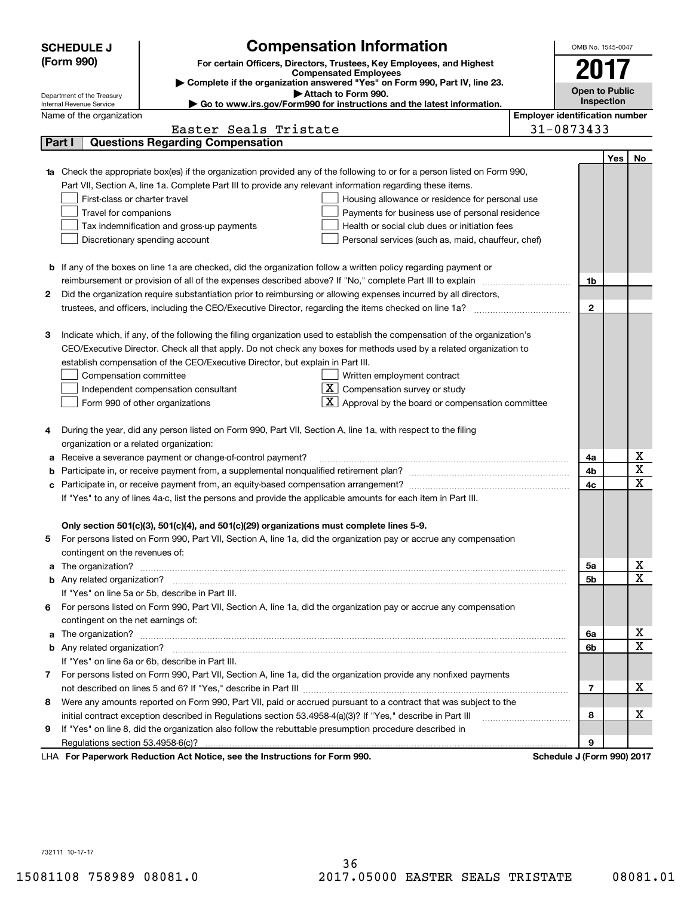|        | <b>Compensation Information</b><br><b>SCHEDULE J</b>                                                                                   | OMB No. 1545-0047                     |            |             |
|--------|----------------------------------------------------------------------------------------------------------------------------------------|---------------------------------------|------------|-------------|
|        | (Form 990)<br>For certain Officers, Directors, Trustees, Key Employees, and Highest                                                    |                                       |            |             |
|        | <b>Compensated Employees</b>                                                                                                           | 2017                                  |            |             |
|        | Complete if the organization answered "Yes" on Form 990, Part IV, line 23.<br>Attach to Form 990.                                      | <b>Open to Public</b>                 |            |             |
|        | Department of the Treasury<br>Go to www.irs.gov/Form990 for instructions and the latest information.<br>Internal Revenue Service       |                                       | Inspection |             |
|        | Name of the organization                                                                                                               | <b>Employer identification number</b> |            |             |
|        | Easter Seals Tristate                                                                                                                  | 31-0873433                            |            |             |
| Part I | <b>Questions Regarding Compensation</b>                                                                                                |                                       |            |             |
|        |                                                                                                                                        |                                       | Yes        | No          |
|        | Check the appropriate box(es) if the organization provided any of the following to or for a person listed on Form 990,                 |                                       |            |             |
|        | Part VII, Section A, line 1a. Complete Part III to provide any relevant information regarding these items.                             |                                       |            |             |
|        | First-class or charter travel<br>Housing allowance or residence for personal use                                                       |                                       |            |             |
|        | Travel for companions<br>Payments for business use of personal residence                                                               |                                       |            |             |
|        | Tax indemnification and gross-up payments<br>Health or social club dues or initiation fees                                             |                                       |            |             |
|        | Discretionary spending account<br>Personal services (such as, maid, chauffeur, chef)                                                   |                                       |            |             |
|        |                                                                                                                                        |                                       |            |             |
|        | <b>b</b> If any of the boxes on line 1a are checked, did the organization follow a written policy regarding payment or                 |                                       |            |             |
|        | reimbursement or provision of all of the expenses described above? If "No," complete Part III to explain                               | 1b                                    |            |             |
| 2      | Did the organization require substantiation prior to reimbursing or allowing expenses incurred by all directors,                       |                                       |            |             |
|        |                                                                                                                                        | $\mathbf{2}$                          |            |             |
|        |                                                                                                                                        |                                       |            |             |
| з      | Indicate which, if any, of the following the filing organization used to establish the compensation of the organization's              |                                       |            |             |
|        | CEO/Executive Director. Check all that apply. Do not check any boxes for methods used by a related organization to                     |                                       |            |             |
|        | establish compensation of the CEO/Executive Director, but explain in Part III.                                                         |                                       |            |             |
|        | Compensation committee<br>Written employment contract                                                                                  |                                       |            |             |
|        | $X$ Compensation survey or study<br>Independent compensation consultant                                                                |                                       |            |             |
|        | $\boxed{\textbf{X}}$ Approval by the board or compensation committee<br>Form 990 of other organizations                                |                                       |            |             |
|        |                                                                                                                                        |                                       |            |             |
| 4      | During the year, did any person listed on Form 990, Part VII, Section A, line 1a, with respect to the filing                           |                                       |            |             |
|        | organization or a related organization:                                                                                                |                                       |            |             |
| а      | Receive a severance payment or change-of-control payment?                                                                              | 4a                                    |            | х           |
| b      |                                                                                                                                        | 4b                                    |            | X           |
| c      | Participate in, or receive payment from, an equity-based compensation arrangement?                                                     | 4c                                    |            | X           |
|        | If "Yes" to any of lines 4a-c, list the persons and provide the applicable amounts for each item in Part III.                          |                                       |            |             |
|        |                                                                                                                                        |                                       |            |             |
|        | Only section 501(c)(3), 501(c)(4), and 501(c)(29) organizations must complete lines 5-9.                                               |                                       |            |             |
|        | For persons listed on Form 990, Part VII, Section A, line 1a, did the organization pay or accrue any compensation                      |                                       |            |             |
|        | contingent on the revenues of:                                                                                                         |                                       |            |             |
| a      |                                                                                                                                        | 5a                                    |            | x           |
|        |                                                                                                                                        | 5b                                    |            | X           |
|        | If "Yes" on line 5a or 5b, describe in Part III.                                                                                       |                                       |            |             |
| 6.     | For persons listed on Form 990, Part VII, Section A, line 1a, did the organization pay or accrue any compensation                      |                                       |            |             |
|        | contingent on the net earnings of:                                                                                                     |                                       |            |             |
| a      |                                                                                                                                        | 6a                                    |            | x           |
|        |                                                                                                                                        | 6b                                    |            | $\mathbf X$ |
|        | If "Yes" on line 6a or 6b, describe in Part III.                                                                                       |                                       |            |             |
|        | 7 For persons listed on Form 990, Part VII, Section A, line 1a, did the organization provide any nonfixed payments                     |                                       |            |             |
|        |                                                                                                                                        | 7                                     |            | х           |
| 8      | Were any amounts reported on Form 990, Part VII, paid or accrued pursuant to a contract that was subject to the                        |                                       |            |             |
|        | initial contract exception described in Regulations section 53.4958-4(a)(3)? If "Yes," describe in Part III                            | 8                                     |            | х           |
| 9      | If "Yes" on line 8, did the organization also follow the rebuttable presumption procedure described in                                 |                                       |            |             |
|        | Regulations section 53.4958-6(c)?<br>Departments Reduction Act Notice, see the Instructions for Ferm 000<br>Schodule I (Form 000) 2017 | 9                                     |            |             |

LHA For Paperwork Reduction Act Notice, see the Instructions for Form 990. Schedule J (Form 990) 2017

732111 10-17-17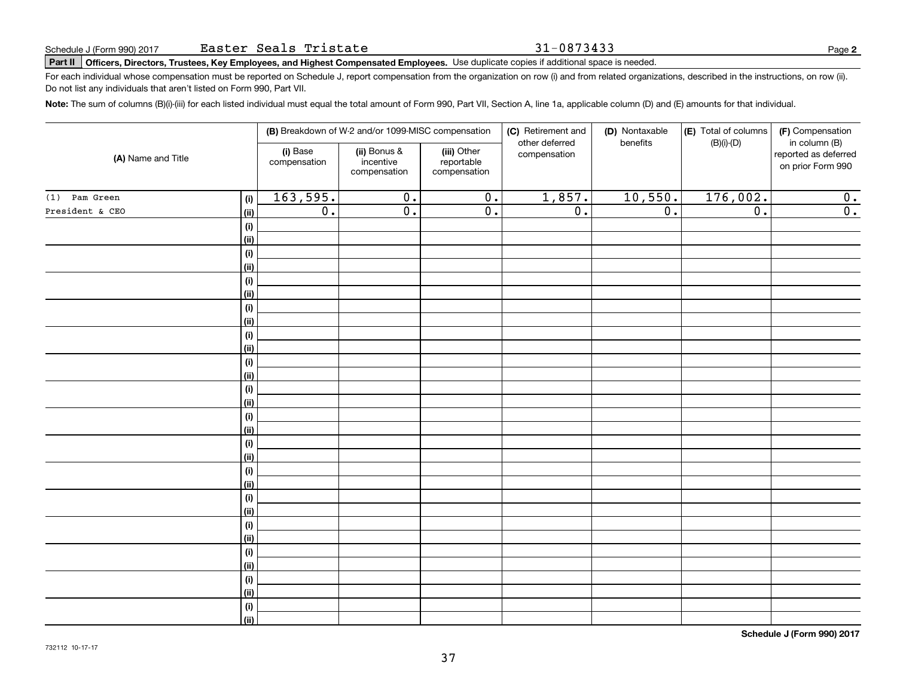### 31-0873433

**2**

## **Part II Officers, Directors, Trustees, Key Employees, and Highest Compensated Employees.**  Schedule J (Form 990) 2017 Page Use duplicate copies if additional space is needed.

For each individual whose compensation must be reported on Schedule J, report compensation from the organization on row (i) and from related organizations, described in the instructions, on row (ii). Do not list any individuals that aren't listed on Form 990, Part VII.

**Note:**  The sum of columns (B)(i)-(iii) for each listed individual must equal the total amount of Form 990, Part VII, Section A, line 1a, applicable column (D) and (E) amounts for that individual.

| (A) Name and Title |                    | (B) Breakdown of W-2 and/or 1099-MISC compensation |                                           |                                           | (C) Retirement and<br>other deferred | (D) Nontaxable<br>benefits | (E) Total of columns | (F) Compensation<br>in column (B)         |
|--------------------|--------------------|----------------------------------------------------|-------------------------------------------|-------------------------------------------|--------------------------------------|----------------------------|----------------------|-------------------------------------------|
|                    |                    | (i) Base<br>compensation                           | (ii) Bonus &<br>incentive<br>compensation | (iii) Other<br>reportable<br>compensation | compensation                         |                            | $(B)(i)-(D)$         | reported as deferred<br>on prior Form 990 |
| Pam Green<br>(1)   | (i)                | 163,595.                                           | $\overline{0}$ .                          | $\overline{\mathbf{0}}$ .                 | 1,857.                               | 10,550.                    | 176,002.             | 0.                                        |
| President & CEO    | <u>(ii)</u>        | $\overline{0}$ .                                   | $\overline{0}$ .                          | $\overline{0}$ .                          | $\overline{0}$ .                     | $\overline{0}$ .           | $\overline{0}$ .     | $\overline{0}$ .                          |
|                    | (i)                |                                                    |                                           |                                           |                                      |                            |                      |                                           |
|                    | <u>(ii)</u>        |                                                    |                                           |                                           |                                      |                            |                      |                                           |
|                    | (i)                |                                                    |                                           |                                           |                                      |                            |                      |                                           |
|                    | <u>(ii)</u>        |                                                    |                                           |                                           |                                      |                            |                      |                                           |
|                    | (i)                |                                                    |                                           |                                           |                                      |                            |                      |                                           |
|                    | (ii)               |                                                    |                                           |                                           |                                      |                            |                      |                                           |
|                    | (i)                |                                                    |                                           |                                           |                                      |                            |                      |                                           |
|                    | (ii)               |                                                    |                                           |                                           |                                      |                            |                      |                                           |
|                    | (i)                |                                                    |                                           |                                           |                                      |                            |                      |                                           |
|                    | (ii)               |                                                    |                                           |                                           |                                      |                            |                      |                                           |
|                    | (i)<br><u>(ii)</u> |                                                    |                                           |                                           |                                      |                            |                      |                                           |
|                    | (i)                |                                                    |                                           |                                           |                                      |                            |                      |                                           |
|                    | <u>(ii)</u>        |                                                    |                                           |                                           |                                      |                            |                      |                                           |
|                    | (i)                |                                                    |                                           |                                           |                                      |                            |                      |                                           |
|                    | <u>(ii)</u>        |                                                    |                                           |                                           |                                      |                            |                      |                                           |
|                    | (i)                |                                                    |                                           |                                           |                                      |                            |                      |                                           |
|                    | (ii)               |                                                    |                                           |                                           |                                      |                            |                      |                                           |
|                    | (i)                |                                                    |                                           |                                           |                                      |                            |                      |                                           |
|                    | (ii)               |                                                    |                                           |                                           |                                      |                            |                      |                                           |
|                    | (i)                |                                                    |                                           |                                           |                                      |                            |                      |                                           |
|                    | <u>(ii)</u>        |                                                    |                                           |                                           |                                      |                            |                      |                                           |
|                    | (i)                |                                                    |                                           |                                           |                                      |                            |                      |                                           |
|                    | (ii)               |                                                    |                                           |                                           |                                      |                            |                      |                                           |
|                    | $(\sf{i})$         |                                                    |                                           |                                           |                                      |                            |                      |                                           |
|                    | (ii)               |                                                    |                                           |                                           |                                      |                            |                      |                                           |
|                    | (i)                |                                                    |                                           |                                           |                                      |                            |                      |                                           |
|                    | <u>(ii)</u>        |                                                    |                                           |                                           |                                      |                            |                      |                                           |
|                    | (i)                |                                                    |                                           |                                           |                                      |                            |                      |                                           |
|                    | $\overline{}}$     |                                                    |                                           |                                           |                                      |                            |                      |                                           |

**Schedule J (Form 990) 2017**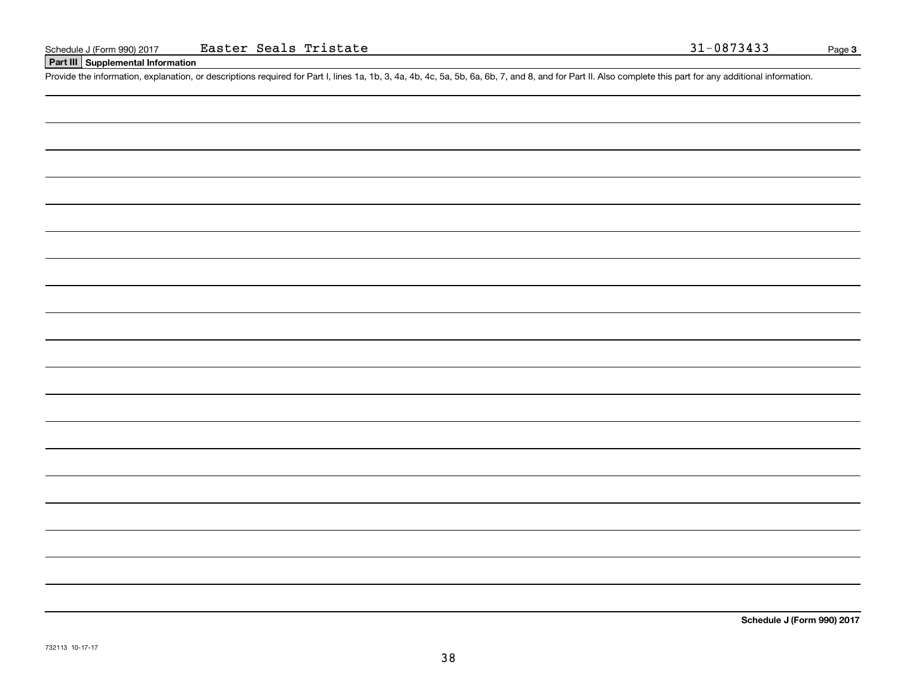### **Part III Supplemental Information**

Schedule J (Form 990) 2017 Easter Seals Tristate 31-0873433<br>
Part III Supplemental Information<br>
Provide the information, explanation, or descriptions required for Part I, lines 1a, 1b, 3, 4a, 4b, 4c, 5a, 5b, 6a, 6b, 7, and

**Schedule J (Form 990) 2017**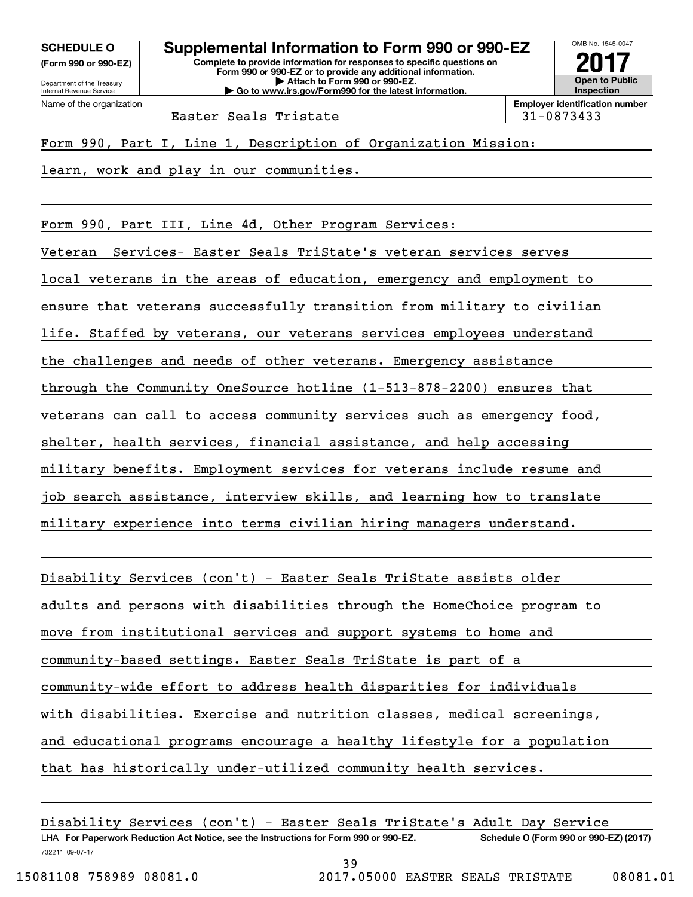**(Form 990 or 990-EZ)**

Department of the Treasury Internal Revenue Service Name of the organization

**Complete to provide information for responses to specific questions on Form 990 or 990-EZ or to provide any additional information. | Attach to Form 990 or 990-EZ. | Go to www.irs.gov/Form990 for the latest information. SCHEDULE O Supplemental Information to Form 990 or 990-EZ**



Easter Seals Tristate 1 131-0873433

Form 990, Part I, Line 1, Description of Organization Mission:

learn, work and play in our communities.

Form 990, Part III, Line 4d, Other Program Services:

Veteran Services- Easter Seals TriState's veteran services serves

local veterans in the areas of education, emergency and employment to

ensure that veterans successfully transition from military to civilian

life. Staffed by veterans, our veterans services employees understand

the challenges and needs of other veterans. Emergency assistance

through the Community OneSource hotline (1-513-878-2200) ensures that

veterans can call to access community services such as emergency food,

shelter, health services, financial assistance, and help accessing

military benefits. Employment services for veterans include resume and

job search assistance, interview skills, and learning how to translate

military experience into terms civilian hiring managers understand.

Disability Services (con't) - Easter Seals TriState assists older adults and persons with disabilities through the HomeChoice program to

move from institutional services and support systems to home and

community-based settings. Easter Seals TriState is part of a

community-wide effort to address health disparities for individuals

with disabilities. Exercise and nutrition classes, medical screenings,

and educational programs encourage a healthy lifestyle for a population

that has historically under-utilized community health services.

732211 09-07-17 LHA For Paperwork Reduction Act Notice, see the Instructions for Form 990 or 990-EZ. Schedule O (Form 990 or 990-EZ) (2017) Disability Services (con't) - Easter Seals TriState's Adult Day Service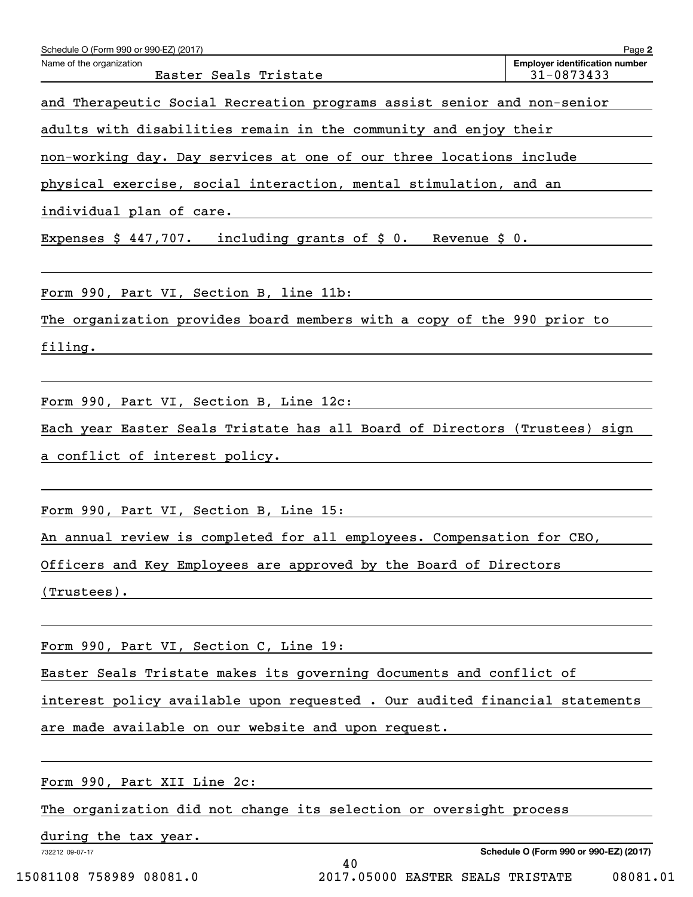| Schedule O (Form 990 or 990-EZ) (2017)                                      | Page 2                                              |
|-----------------------------------------------------------------------------|-----------------------------------------------------|
| Name of the organization<br>Easter Seals Tristate                           | <b>Employer identification number</b><br>31-0873433 |
| and Therapeutic Social Recreation programs assist senior and non-senior     |                                                     |
| adults with disabilities remain in the community and enjoy their            |                                                     |
| non-working day. Day services at one of our three locations include         |                                                     |
| physical exercise, social interaction, mental stimulation, and an           |                                                     |
| individual plan of care.                                                    |                                                     |
| Expenses $$447,707$ . including grants of $$0$ . Revenue $$0$ .             |                                                     |
|                                                                             |                                                     |
| Form 990, Part VI, Section B, line 11b:                                     |                                                     |
| The organization provides board members with a copy of the 990 prior to     |                                                     |
| filing.                                                                     |                                                     |
|                                                                             |                                                     |
| Form 990, Part VI, Section B, Line 12c:                                     |                                                     |
| Each year Easter Seals Tristate has all Board of Directors (Trustees) sign  |                                                     |
| a conflict of interest policy.                                              |                                                     |
|                                                                             |                                                     |
| Form 990, Part VI, Section B, Line 15:                                      |                                                     |
| An annual review is completed for all employees. Compensation for CEO,      |                                                     |
| Officers and Key Employees are approved by the Board of Directors           |                                                     |
| $(Trustees)$ .                                                              |                                                     |
|                                                                             |                                                     |
| Form 990, Part VI, Section C, Line 19:                                      |                                                     |
| Easter Seals Tristate makes its governing documents and conflict of         |                                                     |
| interest policy available upon requested . Our audited financial statements |                                                     |
| are made available on our website and upon request.                         |                                                     |
|                                                                             |                                                     |
| Form 990, Part XII Line 2c:                                                 |                                                     |
| The organization did not change its selection or oversight process          |                                                     |

40

during the tax year.

732212 09-07-17

**Schedule O (Form 990 or 990-EZ) (2017)**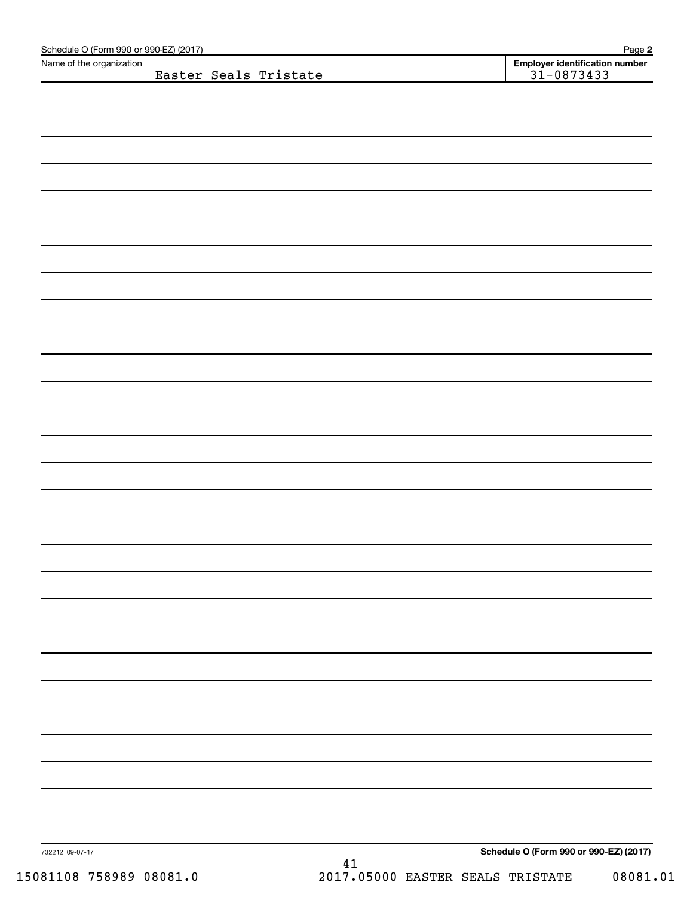| Name of the organization |                                                  |
|--------------------------|--------------------------------------------------|
| Easter Seals Tristate    | Employer identification number<br>$31 - 0873433$ |
|                          |                                                  |
|                          |                                                  |
|                          |                                                  |
|                          |                                                  |
|                          |                                                  |
|                          |                                                  |
|                          |                                                  |
|                          |                                                  |
|                          |                                                  |
|                          |                                                  |
|                          |                                                  |
|                          |                                                  |
|                          |                                                  |
|                          |                                                  |
|                          |                                                  |
|                          |                                                  |
|                          |                                                  |
|                          |                                                  |
|                          |                                                  |
|                          |                                                  |
|                          |                                                  |
|                          |                                                  |
|                          |                                                  |
|                          |                                                  |
|                          |                                                  |
|                          |                                                  |
|                          |                                                  |
|                          |                                                  |
|                          |                                                  |
|                          |                                                  |
|                          |                                                  |
|                          |                                                  |
|                          |                                                  |
|                          |                                                  |
|                          |                                                  |
|                          |                                                  |
|                          |                                                  |
|                          |                                                  |
|                          |                                                  |
|                          |                                                  |
|                          |                                                  |
|                          |                                                  |
|                          |                                                  |
|                          | Schedule O (Form 990 or 990-EZ) (2017)           |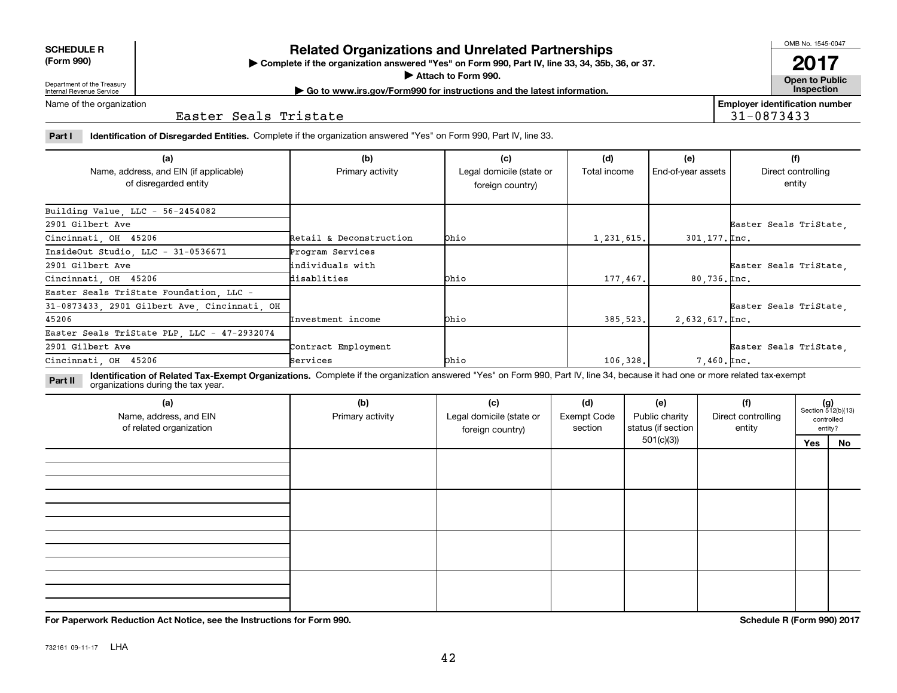732161 09-11-17 LHA

# **Related Organizations and Unrelated Partnerships**

**Complete if the organization answered "Yes" on Form 990, Part IV, line 33, 34, 35b, 36, or 37.** |

**Attach to Form 990.**  |

**Open to Public | Go to www.irs.gov/Form990 for instructions and the latest information. Inspection Employer identification number**

Name of the organization

### Easter Seals Tristate

**Part I Identification of Disregarded Entities.**  Complete if the organization answered "Yes" on Form 990, Part IV, line 33.

| (a)                                                             | (b)                     | (c)                                          | (d)          | (e)                        | (f)                          |
|-----------------------------------------------------------------|-------------------------|----------------------------------------------|--------------|----------------------------|------------------------------|
| Name, address, and EIN (if applicable)<br>of disregarded entity | Primary activity        | Legal domicile (state or<br>foreign country) | Total income | End-of-year assets         | Direct controlling<br>entity |
| Building Value, LLC - 56-2454082                                |                         |                                              |              |                            |                              |
| 2901 Gilbert Ave                                                |                         |                                              |              |                            | Easter Seals TriState,       |
| Cincinnati, OH 45206                                            | Retail & Deconstruction | Ohio                                         | 1,231,615.   | $301, 177.$ Inc.           |                              |
| InsideOut Studio, LLC - 31-0536671                              | Program Services        |                                              |              |                            |                              |
| 2901 Gilbert Ave                                                | lindividuals with       |                                              |              |                            | Easter Seals TriState.       |
| Cincinnati OH 45206                                             | disablities             | Ohio                                         | 177,467.     | $80,736.$ [Inc.            |                              |
| Easter Seals TriState Foundation LLC -                          |                         |                                              |              |                            |                              |
| 31-0873433, 2901 Gilbert Ave, Cincinnati, OH                    |                         |                                              |              |                            | Easter Seals TriState.       |
| 45206                                                           | Investment income       | Ohio                                         | 385, 523.    | $2,632,617.$ $\text{Inc.}$ |                              |
| Easter Seals TriState PLP, LLC - 47-2932074                     |                         |                                              |              |                            |                              |
| 2901 Gilbert Ave                                                | Contract Employment     |                                              |              |                            | Easter Seals TriState        |
| Cincinnati, OH 45206                                            | Services                | <b>Ohio</b>                                  | 106,328.     | $7,460.$ $Inc.$            |                              |

**Identification of Related Tax-Exempt Organizations.** Complete if the organization answered "Yes" on Form 990, Part IV, line 34, because it had one or more related tax-exempt **Part II** organizations during the tax year.

| (a)<br>Name, address, and EIN<br>of related organization | (b)<br>Primary activity | (c)<br>Legal domicile (state or<br>foreign country) | (d)<br><b>Exempt Code</b><br>section | (e)<br>Public charity<br>status (if section | (f)<br>Direct controlling<br>entity | $(g)$<br>Section 512(b)(13) | controlled<br>entity? |
|----------------------------------------------------------|-------------------------|-----------------------------------------------------|--------------------------------------|---------------------------------------------|-------------------------------------|-----------------------------|-----------------------|
|                                                          |                         |                                                     |                                      | 501(c)(3)                                   |                                     | Yes                         | No                    |
|                                                          |                         |                                                     |                                      |                                             |                                     |                             |                       |
|                                                          |                         |                                                     |                                      |                                             |                                     |                             |                       |
|                                                          |                         |                                                     |                                      |                                             |                                     |                             |                       |
|                                                          |                         |                                                     |                                      |                                             |                                     |                             |                       |
|                                                          |                         |                                                     |                                      |                                             |                                     |                             |                       |
|                                                          |                         |                                                     |                                      |                                             |                                     |                             |                       |
|                                                          |                         |                                                     |                                      |                                             |                                     |                             |                       |
|                                                          |                         |                                                     |                                      |                                             |                                     |                             |                       |
|                                                          |                         |                                                     |                                      |                                             |                                     |                             |                       |
|                                                          |                         |                                                     |                                      |                                             |                                     |                             |                       |
|                                                          |                         |                                                     |                                      |                                             |                                     |                             |                       |

**For Paperwork Reduction Act Notice, see the Instructions for Form 990. Schedule R (Form 990) 2017**

**SCHEDULE R**

**(Form 990)**

Department of the Treasury Internal Revenue Service

**2017**

31-0873433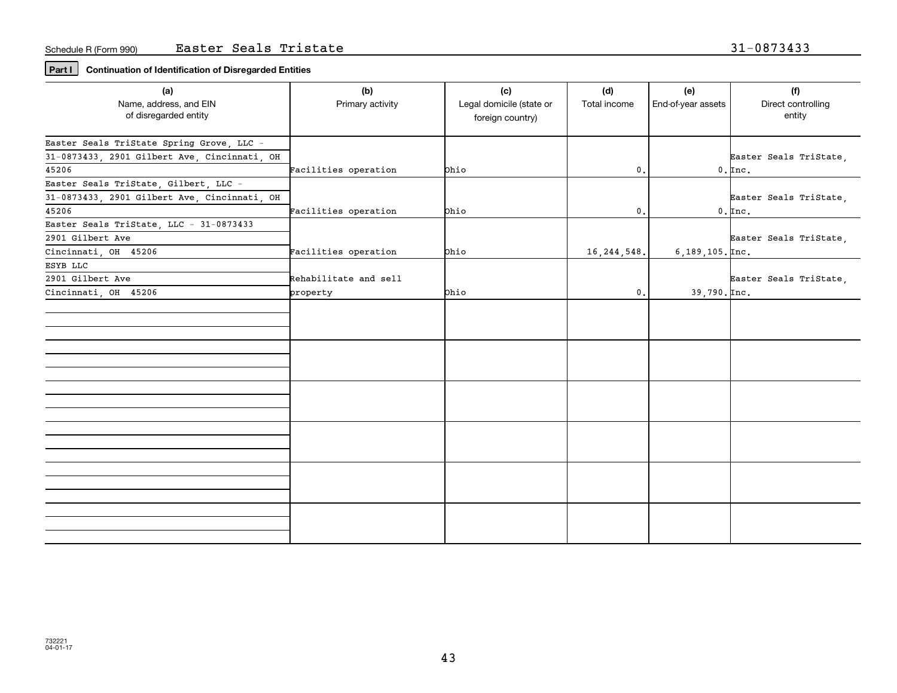### **Part I Continuation of Identification of Disregarded Entities**

| Name, address, and EIN<br>Primary activity<br>Legal domicile (state or<br>End-of-year assets<br>Direct controlling<br>Total income<br>of disregarded entity<br>entity<br>foreign country)<br>Easter Seals TriState Spring Grove, LLC -<br>31-0873433, 2901 Gilbert Ave, Cincinnati, OH<br>Easter Seals TriState,<br>45206<br>Facilities operation<br>$0.$ Inc.<br>Ohio<br>0.<br>Easter Seals TriState, Gilbert, LLC -<br>31-0873433, 2901 Gilbert Ave, Cincinnati, OH<br>Easter Seals TriState,<br>45206<br>Facilities operation<br>bhio<br>0.<br>$0.$ Inc.<br>Easter Seals TriState, LLC - 31-0873433 |
|--------------------------------------------------------------------------------------------------------------------------------------------------------------------------------------------------------------------------------------------------------------------------------------------------------------------------------------------------------------------------------------------------------------------------------------------------------------------------------------------------------------------------------------------------------------------------------------------------------|
|                                                                                                                                                                                                                                                                                                                                                                                                                                                                                                                                                                                                        |
|                                                                                                                                                                                                                                                                                                                                                                                                                                                                                                                                                                                                        |
|                                                                                                                                                                                                                                                                                                                                                                                                                                                                                                                                                                                                        |
|                                                                                                                                                                                                                                                                                                                                                                                                                                                                                                                                                                                                        |
|                                                                                                                                                                                                                                                                                                                                                                                                                                                                                                                                                                                                        |
|                                                                                                                                                                                                                                                                                                                                                                                                                                                                                                                                                                                                        |
|                                                                                                                                                                                                                                                                                                                                                                                                                                                                                                                                                                                                        |
|                                                                                                                                                                                                                                                                                                                                                                                                                                                                                                                                                                                                        |
|                                                                                                                                                                                                                                                                                                                                                                                                                                                                                                                                                                                                        |
|                                                                                                                                                                                                                                                                                                                                                                                                                                                                                                                                                                                                        |
| 2901 Gilbert Ave<br>Easter Seals TriState,                                                                                                                                                                                                                                                                                                                                                                                                                                                                                                                                                             |
| Facilities operation<br>Cincinnati, OH 45206<br><b>Chio</b><br>16, 244, 548.<br>$6, 189, 105.$ Inc.                                                                                                                                                                                                                                                                                                                                                                                                                                                                                                    |
| ESYB LLC                                                                                                                                                                                                                                                                                                                                                                                                                                                                                                                                                                                               |
| 2901 Gilbert Ave<br>Rehabilitate and sell<br>Easter Seals TriState,                                                                                                                                                                                                                                                                                                                                                                                                                                                                                                                                    |
| Cincinnati, OH 45206<br>0.<br><b>Chio</b><br>$39,790.$ $\text{Inc.}$<br>property                                                                                                                                                                                                                                                                                                                                                                                                                                                                                                                       |
|                                                                                                                                                                                                                                                                                                                                                                                                                                                                                                                                                                                                        |
|                                                                                                                                                                                                                                                                                                                                                                                                                                                                                                                                                                                                        |
|                                                                                                                                                                                                                                                                                                                                                                                                                                                                                                                                                                                                        |
|                                                                                                                                                                                                                                                                                                                                                                                                                                                                                                                                                                                                        |
|                                                                                                                                                                                                                                                                                                                                                                                                                                                                                                                                                                                                        |
|                                                                                                                                                                                                                                                                                                                                                                                                                                                                                                                                                                                                        |
|                                                                                                                                                                                                                                                                                                                                                                                                                                                                                                                                                                                                        |
|                                                                                                                                                                                                                                                                                                                                                                                                                                                                                                                                                                                                        |
|                                                                                                                                                                                                                                                                                                                                                                                                                                                                                                                                                                                                        |
|                                                                                                                                                                                                                                                                                                                                                                                                                                                                                                                                                                                                        |
|                                                                                                                                                                                                                                                                                                                                                                                                                                                                                                                                                                                                        |
|                                                                                                                                                                                                                                                                                                                                                                                                                                                                                                                                                                                                        |
|                                                                                                                                                                                                                                                                                                                                                                                                                                                                                                                                                                                                        |
|                                                                                                                                                                                                                                                                                                                                                                                                                                                                                                                                                                                                        |
|                                                                                                                                                                                                                                                                                                                                                                                                                                                                                                                                                                                                        |
|                                                                                                                                                                                                                                                                                                                                                                                                                                                                                                                                                                                                        |
|                                                                                                                                                                                                                                                                                                                                                                                                                                                                                                                                                                                                        |
|                                                                                                                                                                                                                                                                                                                                                                                                                                                                                                                                                                                                        |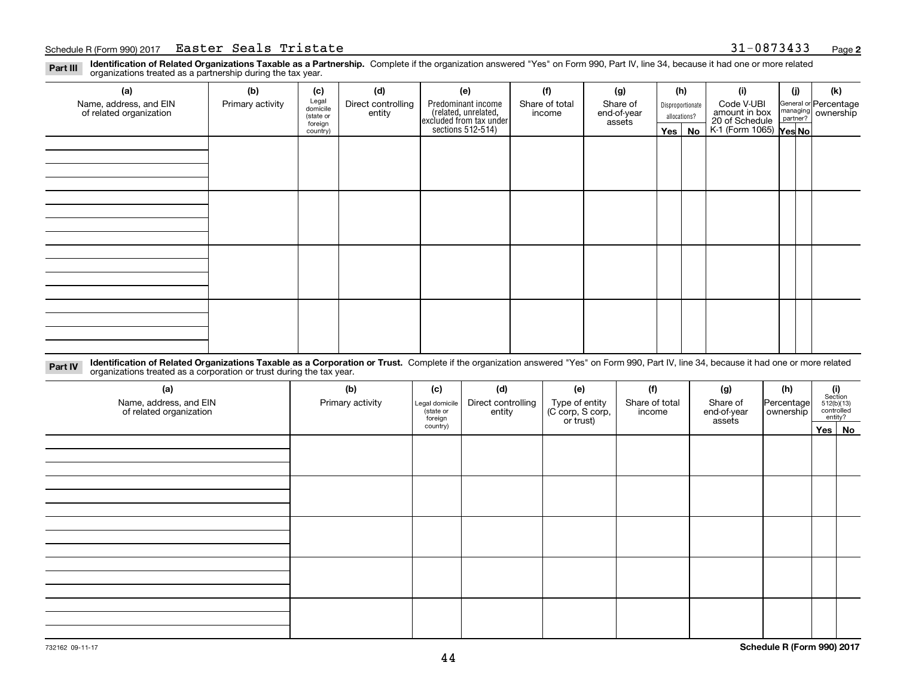### Schedule R (Form 990) 2017 **Easter Seals Tristate** 31-0873433 <sub>Page</sub>

**Identification of Related Organizations Taxable as a Partnership.** Complete if the organization answered "Yes" on Form 990, Part IV, line 34, because it had one or more related **Part III** organizations treated as a partnership during the tax year.

| (b)              | (c)      | (d)                                       | (e)                | (f)            | (g)                                                                            |                       |    | (i)                                                   | (j) | (k)                                                                                                                  |  |
|------------------|----------|-------------------------------------------|--------------------|----------------|--------------------------------------------------------------------------------|-----------------------|----|-------------------------------------------------------|-----|----------------------------------------------------------------------------------------------------------------------|--|
| Primary activity |          | Direct controlling                        | Predominant income | Share of total | Share of                                                                       |                       |    | Code V-UBI                                            |     |                                                                                                                      |  |
|                  |          |                                           |                    |                |                                                                                |                       |    |                                                       |     |                                                                                                                      |  |
|                  | country) |                                           |                    |                |                                                                                |                       | No |                                                       |     |                                                                                                                      |  |
|                  |          |                                           |                    |                |                                                                                |                       |    |                                                       |     |                                                                                                                      |  |
|                  |          |                                           |                    |                |                                                                                |                       |    |                                                       |     |                                                                                                                      |  |
|                  |          |                                           |                    |                |                                                                                |                       |    |                                                       |     |                                                                                                                      |  |
|                  |          |                                           |                    |                |                                                                                |                       |    |                                                       |     |                                                                                                                      |  |
|                  |          |                                           |                    |                |                                                                                |                       |    |                                                       |     |                                                                                                                      |  |
|                  |          |                                           |                    |                |                                                                                |                       |    |                                                       |     |                                                                                                                      |  |
|                  |          |                                           |                    |                |                                                                                |                       |    |                                                       |     |                                                                                                                      |  |
|                  |          |                                           |                    |                |                                                                                |                       |    |                                                       |     |                                                                                                                      |  |
|                  |          |                                           |                    |                |                                                                                |                       |    |                                                       |     |                                                                                                                      |  |
|                  |          |                                           |                    |                |                                                                                |                       |    |                                                       |     |                                                                                                                      |  |
|                  |          |                                           |                    |                |                                                                                |                       |    |                                                       |     |                                                                                                                      |  |
|                  |          |                                           |                    |                |                                                                                |                       |    |                                                       |     |                                                                                                                      |  |
|                  |          |                                           |                    |                |                                                                                |                       |    |                                                       |     |                                                                                                                      |  |
|                  |          |                                           |                    |                |                                                                                |                       |    |                                                       |     |                                                                                                                      |  |
|                  |          |                                           |                    |                |                                                                                |                       |    |                                                       |     |                                                                                                                      |  |
|                  |          |                                           |                    |                |                                                                                |                       |    |                                                       |     |                                                                                                                      |  |
|                  |          | Legal<br>domicile<br>(state or<br>foreign | entity             |                | (related, unrelated,<br>excluded from tax under<br>sections 512-514)<br>income | end-of-year<br>assets |    | (h)<br>Disproportionate<br>allocations?<br>$Yes \mid$ |     | General or Percentage<br>managing ownership<br>partner?<br>amount in box<br>20 of Schedule<br>K-1 (Form 1065) Yes No |  |

**Identification of Related Organizations Taxable as a Corporation or Trust.** Complete if the organization answered "Yes" on Form 990, Part IV, line 34, because it had one or more related **Part IV** organizations treated as a corporation or trust during the tax year.

| (a)<br>Name, address, and EIN<br>of related organization | (b)<br>Primary activity | (c)<br>Legal domicile<br>(state or<br>foreign | (d)<br>Direct controlling<br>entity | (e)<br>Type of entity<br>(C corp, S corp,<br>or trust) | (f)<br>Share of total<br>income | (g)<br>Share of<br>end-of-year<br>assets | (h)<br>Percentage<br>ownership | $\begin{array}{c} \textbf{(i)}\\ \text{Section}\\ 512 \text{(b)} \text{(13)}\\ \text{controlled}\\ \text{entity?} \end{array}$ |
|----------------------------------------------------------|-------------------------|-----------------------------------------------|-------------------------------------|--------------------------------------------------------|---------------------------------|------------------------------------------|--------------------------------|--------------------------------------------------------------------------------------------------------------------------------|
|                                                          |                         | country)                                      |                                     |                                                        |                                 |                                          |                                | Yes No                                                                                                                         |
|                                                          |                         |                                               |                                     |                                                        |                                 |                                          |                                |                                                                                                                                |
|                                                          |                         |                                               |                                     |                                                        |                                 |                                          |                                |                                                                                                                                |
|                                                          |                         |                                               |                                     |                                                        |                                 |                                          |                                |                                                                                                                                |
|                                                          |                         |                                               |                                     |                                                        |                                 |                                          |                                |                                                                                                                                |
|                                                          |                         |                                               |                                     |                                                        |                                 |                                          |                                |                                                                                                                                |
|                                                          |                         |                                               |                                     |                                                        |                                 |                                          |                                |                                                                                                                                |
|                                                          |                         |                                               |                                     |                                                        |                                 |                                          |                                |                                                                                                                                |
|                                                          |                         |                                               |                                     |                                                        |                                 |                                          |                                |                                                                                                                                |
|                                                          |                         |                                               |                                     |                                                        |                                 |                                          |                                |                                                                                                                                |
|                                                          |                         |                                               |                                     |                                                        |                                 |                                          |                                |                                                                                                                                |
|                                                          |                         |                                               |                                     |                                                        |                                 |                                          |                                |                                                                                                                                |
|                                                          |                         |                                               |                                     |                                                        |                                 |                                          |                                |                                                                                                                                |
|                                                          |                         |                                               |                                     |                                                        |                                 |                                          |                                |                                                                                                                                |
|                                                          |                         |                                               |                                     |                                                        |                                 |                                          |                                |                                                                                                                                |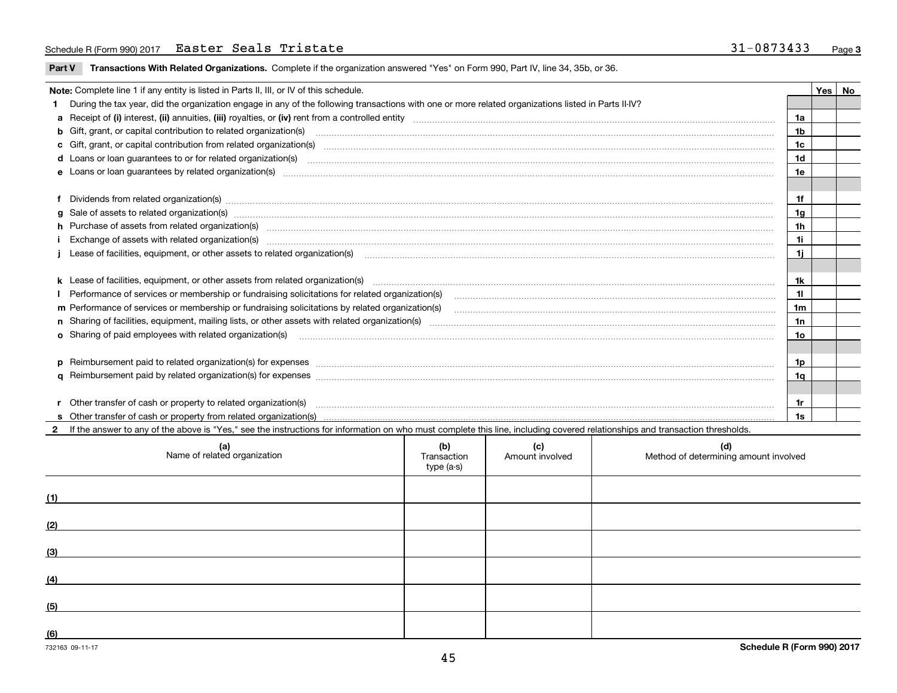### Schedule R (Form 990) 2017 **Easter Seals Tristate** 31-0873433 <sub>Page</sub>

**Part V** T**ransactions With Related Organizations.** Complete if the organization answered "Yes" on Form 990, Part IV, line 34, 35b, or 36.

| Note: Complete line 1 if any entity is listed in Parts II, III, or IV of this schedule. |                                                                                                                                                                                                                                      |                |  |  |  |  |  |
|-----------------------------------------------------------------------------------------|--------------------------------------------------------------------------------------------------------------------------------------------------------------------------------------------------------------------------------------|----------------|--|--|--|--|--|
|                                                                                         | During the tax year, did the organization engage in any of the following transactions with one or more related organizations listed in Parts II-IV?                                                                                  |                |  |  |  |  |  |
|                                                                                         |                                                                                                                                                                                                                                      | 1a             |  |  |  |  |  |
|                                                                                         | b Gift, grant, or capital contribution to related organization(s) manufactured contains and contribution to related organization(s)                                                                                                  | 1 <sub>b</sub> |  |  |  |  |  |
|                                                                                         | c Gift, grant, or capital contribution from related organization(s) manufaction contribution from related organization(s) manufaction contribution from related organization(s) manufaction contribution from related organiza       | 1c             |  |  |  |  |  |
|                                                                                         |                                                                                                                                                                                                                                      | 1d             |  |  |  |  |  |
|                                                                                         |                                                                                                                                                                                                                                      | 1e             |  |  |  |  |  |
|                                                                                         |                                                                                                                                                                                                                                      |                |  |  |  |  |  |
|                                                                                         | f Dividends from related organization(s) manufactured contains and contained a series of the contact of the contact of the contact of the contact of the contact of the contact of the contact of the contact of the contact o       | 1f             |  |  |  |  |  |
|                                                                                         | g Sale of assets to related organization(s) www.assettion.com/www.assettion.com/www.assettion.com/www.assettion.com/www.assettion.com/www.assettion.com/www.assettion.com/www.assettion.com/www.assettion.com/www.assettion.co       | 1 <sub>q</sub> |  |  |  |  |  |
|                                                                                         | h Purchase of assets from related organization(s) www.assettion.com/www.assettion.com/www.assettion.com/www.assettion.com/www.assettion.com/www.assettion.com/www.assettion.com/www.assettion.com/www.assettion.com/www.assett       | 1h             |  |  |  |  |  |
|                                                                                         |                                                                                                                                                                                                                                      | 1i             |  |  |  |  |  |
|                                                                                         | 1i.<br>Lease of facilities, equipment, or other assets to related organization(s) manufaction content to the content of the content of the content of the content of the content of the content of the content of the content of the |                |  |  |  |  |  |
|                                                                                         |                                                                                                                                                                                                                                      |                |  |  |  |  |  |
|                                                                                         | k Lease of facilities, equipment, or other assets from related organization(s) manufaction content and content to the content of facilities, equipment, or other assets from related organization(s) manufaction content and c       | 1k             |  |  |  |  |  |
|                                                                                         | Performance of services or membership or fundraising solicitations for related organization(s) manufaction.community content and services or membership or fundraising solicitations for related organization(s) manufaction.c       | 11             |  |  |  |  |  |
|                                                                                         |                                                                                                                                                                                                                                      | 1m             |  |  |  |  |  |
|                                                                                         |                                                                                                                                                                                                                                      | 1n             |  |  |  |  |  |
|                                                                                         | o Sharing of paid employees with related organization(s) <b>contracts</b> and account to the contract of the contract or starting of paid employees with related organization(s)                                                     | 10             |  |  |  |  |  |
|                                                                                         |                                                                                                                                                                                                                                      |                |  |  |  |  |  |
|                                                                                         | p Reimbursement paid to related organization(s) for expenses [111] and the material content of the set of the set of the set of the set of the set of the set of the set of the set of the set of the set of the set of the se       | 1p             |  |  |  |  |  |
|                                                                                         |                                                                                                                                                                                                                                      | 1q             |  |  |  |  |  |
|                                                                                         |                                                                                                                                                                                                                                      |                |  |  |  |  |  |
|                                                                                         |                                                                                                                                                                                                                                      | 1r             |  |  |  |  |  |
|                                                                                         |                                                                                                                                                                                                                                      | 1s             |  |  |  |  |  |

**2**If the answer to any of the above is "Yes," see the instructions for information on who must complete this line, including covered relationships and transaction thresholds. **(a)(b) (c) (d)**

|     | Name of related organization | יש)<br>Transaction<br>type (a-s) | Amount involved | Method of determining amount involved |
|-----|------------------------------|----------------------------------|-----------------|---------------------------------------|
| (1) |                              |                                  |                 |                                       |
| (2) |                              |                                  |                 |                                       |
| (3) |                              |                                  |                 |                                       |
| (4) |                              |                                  |                 |                                       |
| (5) |                              |                                  |                 |                                       |
| (6) |                              |                                  |                 |                                       |

 $\overline{\phantom{a}}$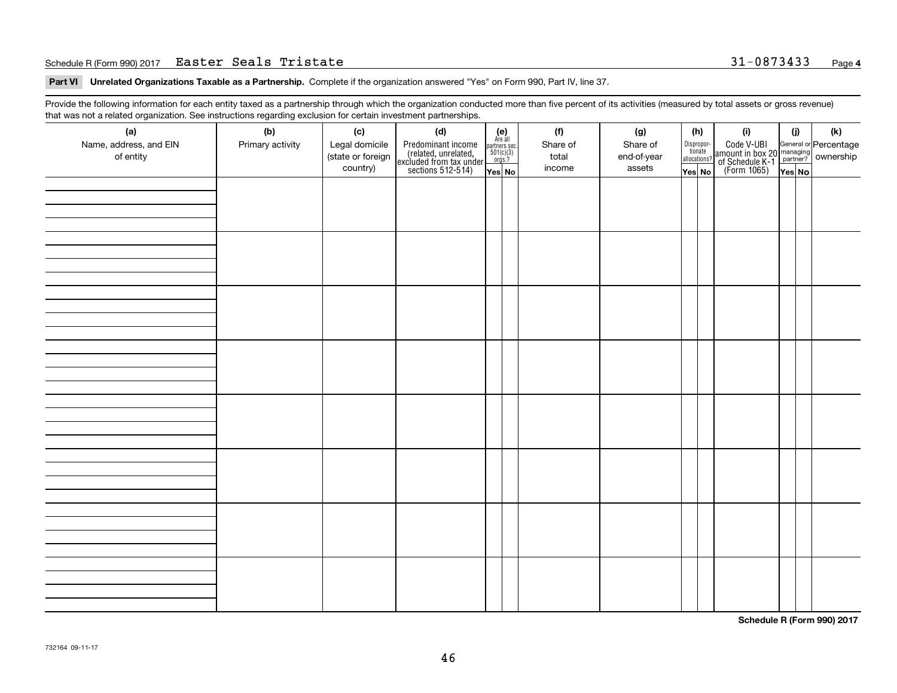#### Schedule R (Form 990) 2017 **Easter Seals Tristate** 31-0873433 <sub>Page</sub>

**Part VI Unrelated Organizations Taxable as a Partnership. Complete if the organization answered "Yes" on Form 990, Part IV, line 37.** 

Provide the following information for each entity taxed as a partnership through which the organization conducted more than five percent of its activities (measured by total assets or gross revenue) that was not a related organization. See instructions regarding exclusion for certain investment partnerships.

| ັ                      | ັ<br>ັ           |                   |                                                                                            |                                                                                               |          |             |                                  |  |                                                                                                  |        |     |
|------------------------|------------------|-------------------|--------------------------------------------------------------------------------------------|-----------------------------------------------------------------------------------------------|----------|-------------|----------------------------------|--|--------------------------------------------------------------------------------------------------|--------|-----|
| (a)                    | (b)              | (c)               | (d)                                                                                        | $(e)$<br>Are all                                                                              | (f)      | (g)         | (h)                              |  | (i)                                                                                              | (i)    | (k) |
| Name, address, and EIN | Primary activity | Legal domicile    |                                                                                            |                                                                                               | Share of | Share of    |                                  |  |                                                                                                  |        |     |
| of entity              |                  | (state or foreign | Predominant income<br>(related, unrelated,<br>excluded from tax under<br>sections 512-514) | $\begin{array}{c}\n\text{partners} & \text{sec.} \\ 501(c)(3) & \text{orgs.?} \\ \end{array}$ | total    | end-of-year | Disproportionate<br>allocations? |  | Code V-UBI<br>amount in box 20 managing<br>of Schedule K-1<br>(Form 1065)<br>$\overline{Yes}$ No |        |     |
|                        |                  | country)          |                                                                                            |                                                                                               | income   | assets      |                                  |  |                                                                                                  |        |     |
|                        |                  |                   |                                                                                            | Yes No                                                                                        |          |             | Yes No                           |  |                                                                                                  | Yes No |     |
|                        |                  |                   |                                                                                            |                                                                                               |          |             |                                  |  |                                                                                                  |        |     |
|                        |                  |                   |                                                                                            |                                                                                               |          |             |                                  |  |                                                                                                  |        |     |
|                        |                  |                   |                                                                                            |                                                                                               |          |             |                                  |  |                                                                                                  |        |     |
|                        |                  |                   |                                                                                            |                                                                                               |          |             |                                  |  |                                                                                                  |        |     |
|                        |                  |                   |                                                                                            |                                                                                               |          |             |                                  |  |                                                                                                  |        |     |
|                        |                  |                   |                                                                                            |                                                                                               |          |             |                                  |  |                                                                                                  |        |     |
|                        |                  |                   |                                                                                            |                                                                                               |          |             |                                  |  |                                                                                                  |        |     |
|                        |                  |                   |                                                                                            |                                                                                               |          |             |                                  |  |                                                                                                  |        |     |
|                        |                  |                   |                                                                                            |                                                                                               |          |             |                                  |  |                                                                                                  |        |     |
|                        |                  |                   |                                                                                            |                                                                                               |          |             |                                  |  |                                                                                                  |        |     |
|                        |                  |                   |                                                                                            |                                                                                               |          |             |                                  |  |                                                                                                  |        |     |
|                        |                  |                   |                                                                                            |                                                                                               |          |             |                                  |  |                                                                                                  |        |     |
|                        |                  |                   |                                                                                            |                                                                                               |          |             |                                  |  |                                                                                                  |        |     |
|                        |                  |                   |                                                                                            |                                                                                               |          |             |                                  |  |                                                                                                  |        |     |
|                        |                  |                   |                                                                                            |                                                                                               |          |             |                                  |  |                                                                                                  |        |     |
|                        |                  |                   |                                                                                            |                                                                                               |          |             |                                  |  |                                                                                                  |        |     |
|                        |                  |                   |                                                                                            |                                                                                               |          |             |                                  |  |                                                                                                  |        |     |
|                        |                  |                   |                                                                                            |                                                                                               |          |             |                                  |  |                                                                                                  |        |     |
|                        |                  |                   |                                                                                            |                                                                                               |          |             |                                  |  |                                                                                                  |        |     |
|                        |                  |                   |                                                                                            |                                                                                               |          |             |                                  |  |                                                                                                  |        |     |
|                        |                  |                   |                                                                                            |                                                                                               |          |             |                                  |  |                                                                                                  |        |     |
|                        |                  |                   |                                                                                            |                                                                                               |          |             |                                  |  |                                                                                                  |        |     |
|                        |                  |                   |                                                                                            |                                                                                               |          |             |                                  |  |                                                                                                  |        |     |
|                        |                  |                   |                                                                                            |                                                                                               |          |             |                                  |  |                                                                                                  |        |     |
|                        |                  |                   |                                                                                            |                                                                                               |          |             |                                  |  |                                                                                                  |        |     |
|                        |                  |                   |                                                                                            |                                                                                               |          |             |                                  |  |                                                                                                  |        |     |
|                        |                  |                   |                                                                                            |                                                                                               |          |             |                                  |  |                                                                                                  |        |     |
|                        |                  |                   |                                                                                            |                                                                                               |          |             |                                  |  |                                                                                                  |        |     |
|                        |                  |                   |                                                                                            |                                                                                               |          |             |                                  |  |                                                                                                  |        |     |
|                        |                  |                   |                                                                                            |                                                                                               |          |             |                                  |  |                                                                                                  |        |     |
|                        |                  |                   |                                                                                            |                                                                                               |          |             |                                  |  |                                                                                                  |        |     |
|                        |                  |                   |                                                                                            |                                                                                               |          |             |                                  |  |                                                                                                  |        |     |
|                        |                  |                   |                                                                                            |                                                                                               |          |             |                                  |  |                                                                                                  |        |     |
|                        |                  |                   |                                                                                            |                                                                                               |          |             |                                  |  |                                                                                                  |        |     |
|                        |                  |                   |                                                                                            |                                                                                               |          |             |                                  |  |                                                                                                  |        |     |
|                        |                  |                   |                                                                                            |                                                                                               |          |             |                                  |  |                                                                                                  |        |     |
|                        |                  |                   |                                                                                            |                                                                                               |          |             |                                  |  |                                                                                                  |        |     |
|                        |                  |                   |                                                                                            |                                                                                               |          |             |                                  |  |                                                                                                  |        |     |
|                        |                  |                   |                                                                                            |                                                                                               |          |             |                                  |  |                                                                                                  |        |     |
|                        |                  |                   |                                                                                            |                                                                                               |          |             |                                  |  |                                                                                                  |        |     |
|                        |                  |                   |                                                                                            |                                                                                               |          |             |                                  |  |                                                                                                  |        |     |
|                        |                  |                   |                                                                                            |                                                                                               |          |             |                                  |  |                                                                                                  |        |     |

**Schedule R (Form 990) 2017**